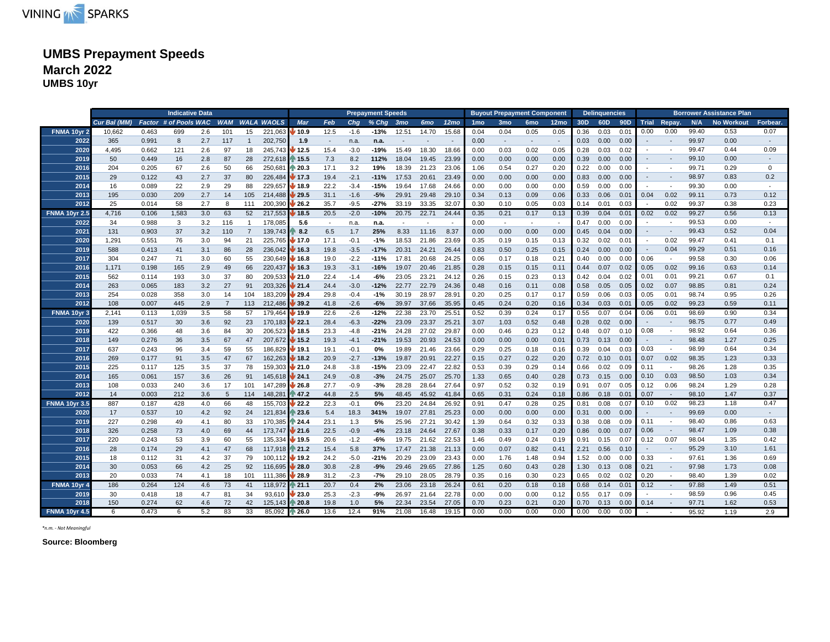

# **UMBS Prepayment Speeds March 2022 UMBS 10yr**

|                      | <b>Indicative Data</b><br>Factor # of Pools WAC |       |       |     |                |                |                       |                            |        | <b>Prepayment Speeds</b> |         |                 |                          |                  | <b>Buyout Prepayment Component</b> |                 |                 |        | <b>Delinquencies</b> |      |      |                          |                          | <b>Borrower Assistance Plan</b> |                   |             |
|----------------------|-------------------------------------------------|-------|-------|-----|----------------|----------------|-----------------------|----------------------------|--------|--------------------------|---------|-----------------|--------------------------|------------------|------------------------------------|-----------------|-----------------|--------|----------------------|------|------|--------------------------|--------------------------|---------------------------------|-------------------|-------------|
|                      | Cur Bal (MM)                                    |       |       |     |                |                | <b>WAM WALA WAOLS</b> | <b>Mar</b>                 | Feb    | Cha                      | $%$ Chg | 3 <sub>mo</sub> | 6mo                      | 12 <sub>mo</sub> | 1 <sub>mo</sub>                    | 3 <sub>mo</sub> | 6 <sub>mo</sub> | 12mo   | 30D                  | 60D  | 90D  |                          | Trial Repay.             | N/A                             | <b>No Workout</b> | Forbear.    |
| FNMA 10yr 2          | 10.662                                          | 0.463 | 699   | 2.6 | 101            | 15             | 221,063               | $\blacktriangleright$ 10.9 | 12.5   | $-1.6$                   | -13%    | 12.51           | 14.70                    | 15.68            | 0.04                               | 0.04            | 0.05            | 0.05   | 0.36                 | 0.03 | 0.01 | 0.00                     | 0.00                     | 99.40                           | 0.53              | 0.07        |
| 2022                 | 365                                             | 0.991 | 8     | 2.7 | 117            | $\overline{1}$ | 202,750               | 1.9                        | $\sim$ | n.a.                     | n.a.    | $\sim$          | $\overline{\phantom{a}}$ |                  | 0.00                               | $\sim$          | $\sim$          | $\sim$ | 0.03                 | 0.00 | 0.00 |                          | $\sim$                   | 99.97                           | 0.00              |             |
| 2020                 | 4,495                                           | 0.662 | 121   | 2.6 | 97             | 18             | 245,743 12.5          |                            | 15.4   | $-3.0$                   | $-19%$  | 15.49           | 18.30                    | 18.66            | 0.00                               | 0.03            | 0.02            | 0.05   | 0.28                 | 0.03 | 0.02 | $\sim$                   | $\overline{\phantom{a}}$ | 99.47                           | 0.44              | 0.09        |
| 2019                 | 50                                              | 0.449 | 16    | 2.8 | 87             | 28             | 272,618 15.5          |                            | 7.3    | 8.2                      | 112%    | 18.04           | 19.45                    | 23.99            | 0.00                               | 0.00            | 0.00            | 0.00   | 0.39                 | 0.00 | 0.00 | $\sim$                   | $\sim$                   | 99.10                           | 0.00              |             |
| 2016                 | 204                                             | 0.205 | 67    | 2.6 | 50             | 66             | 250,681               | ⋔ 20.3                     | 17.1   | 3.2                      | 19%     | 18.39           | 21.23                    | 23.06            | 1.06                               | 0.54            | 0.27            | 0.20   | 0.22                 | 0.00 | 0.00 |                          |                          | 99.71                           | 0.29              | $\mathbf 0$ |
| 2015                 | 29                                              | 0.122 | 43    | 2.7 | 37             | 80             | 226,484 17.3          |                            | 19.4   | $-2.1$                   | $-11%$  | 17.53           | 20.61                    | 23.49            | 0.00                               | 0.00            | 0.00            | 0.00   | 0.83                 | 0.00 | 0.00 | $\sim$                   | $\overline{\phantom{a}}$ | 98.97                           | 0.83              | 0.2         |
| 2014                 | 16                                              | 0.089 | 22    | 2.9 | 29             | 88             | 229,657               | $\bigvee$ 18.9             | 22.2   | $-3.4$                   | $-15%$  | 19.64           | 17.68                    | 24.66            | 0.00                               | 0.00            | 0.00            | 0.00   | 0.59                 | 0.00 | 0.00 |                          |                          | 99.30                           | 0.00              |             |
| 2013                 | 195                                             | 0.030 | 209   | 2.7 | 14             | 105            | 214,488 29.5          |                            | 31.1   | $-1.6$                   | $-5%$   | 29.91           | 29.48                    | 29.10            | 0.34                               | 0.13            | 0.09            | 0.06   | 0.33                 | 0.06 | 0.01 | 0.04                     | 0.02                     | 99.11                           | 0.73              | 0.12        |
| 2012                 | 25                                              | 0.014 | 58    | 2.7 | 8              | 111            | 200,390 26.2          |                            | 35.7   | $-9.5$                   | $-27%$  | 33.19           | 33.35                    | 32.07            | 0.30                               | 0.10            | 0.05            | 0.03   | 0.14                 | 0.01 | 0.03 |                          | 0.02                     | 99.37                           | 0.38              | 0.23        |
| <b>FNMA 10yr 2.5</b> | 4,716                                           | 0.106 | 1,583 | 3.0 | 63             | 52             | 217,553               | $\sqrt{18.5}$              | 20.5   | $-2.0$                   | $-10%$  | 20.75           | 22.71                    | 24.44            | 0.35                               | 0.21            | 0.17            | 0.13   | 0.39                 | 0.04 | 0.01 | 0.02                     | 0.02                     | 99.27                           | 0.56              | 0.13        |
| 2022                 | 34                                              | 0.988 | 3     | 3.2 | 116            | $\overline{1}$ | 178,085               | 5.6                        | $\sim$ | n.a.                     | n.a.    | $\sim$          |                          |                  | 0.00                               | $\sim$          |                 | $\sim$ | 0.47                 | 0.00 | 0.00 |                          |                          | 99.53                           | 0.00              |             |
| 2021                 | 131                                             | 0.903 | 37    | 3.2 | 110            | $\overline{7}$ | 139,743               | 8.2                        | 6.5    | 1.7                      | 25%     | 8.33            | 11.16                    | 8.37             | 0.00                               | 0.00            | 0.00            | 0.00   | 0.45                 | 0.04 | 0.00 | $\sim$                   | $\overline{\phantom{a}}$ | 99.43                           | 0.52              | 0.04        |
| 2020                 | 1,291                                           | 0.551 | 76    | 3.0 | 94             | 21             | 225,765               | / 17.0                     | 17.1   | $-0.1$                   | $-1%$   | 18.53           | 21.86                    | 23.69            | 0.35                               | 0.19            | 0.15            | 0.13   | 0.32                 | 0.02 | 0.01 |                          | 0.02                     | 99.47                           | 0.41              | 0.1         |
| 2019                 | 588                                             | 0.413 | 41    | 3.1 | 86             | 28             | 236,042               | 16.3                       | 19.8   | $-3.5$                   | $-17%$  | 20.31           | 24.21                    | 26.44            | 0.83                               | 0.50            | 0.25            | 0.15   | 0.24                 | 0.00 | 0.00 | $\sim$                   | 0.04                     | 99.29                           | 0.51              | 0.16        |
| 2017                 | 304                                             | 0.247 | 71    | 3.0 | 60             | 55             | $230,649$ $46.8$      |                            | 19.0   | $-2.2$                   | -11%    | 17.81           | 20.68                    | 24.25            | 0.06                               | 0.17            | 0.18            | 0.21   | 0.40                 | 0.00 | 0.00 | 0.06                     | $\overline{\phantom{a}}$ | 99.58                           | 0.30              | 0.06        |
| 2016                 | 1,171                                           | 0.198 | 165   | 2.9 | 49             | 66             | 220,437 16.3          |                            | 19.3   | $-3.1$                   | $-16%$  | 19.07           | 20.46                    | 21.85            | 0.28                               | 0.15            | 0.15            | 0.11   | 0.44                 | 0.07 | 0.02 | 0.05                     | 0.02                     | 99.16                           | 0.63              | 0.14        |
| 2015                 | 562                                             | 0.114 | 193   | 3.0 | 37             | 80             | $209,533$ 21.0        |                            | 22.4   | $-1.4$                   | -6%     | 23.05           | 23.21                    | 24.12            | 0.26                               | 0.15            | 0.23            | 0.13   | 0.42                 | 0.04 | 0.02 | 0.01                     | 0.01                     | 99.21                           | 0.67              | 0.1         |
| 2014                 | 263                                             | 0.065 | 183   | 3.2 | 27             | 91             | 203,326 21.4          |                            | 24.4   | $-3.0$                   | $-12%$  | 22.77           | 22.79                    | 24.36            | 0.48                               | 0.16            | 0.11            | 0.08   | 0.58                 | 0.05 | 0.05 | 0.02                     | 0.07                     | 98.85                           | 0.81              | 0.24        |
| 2013                 | 254                                             | 0.028 | 358   | 3.0 | 14             | 104            | 183,209 29.4          |                            | 29.8   | $-0.4$                   | $-1%$   | 30.19           | 28.97                    | 28.91            | 0.20                               | 0.25            | 0.17            | 0.17   | 0.59                 | 0.06 | 0.03 | 0.05                     | 0.01                     | 98.74                           | 0.95              | 0.26        |
| 2012                 | 108                                             | 0.007 | 445   | 2.9 | $\overline{7}$ | 113            | 212,486 39.2          |                            | 41.8   | $-2.6$                   | $-6%$   | 39.97           | 37.66                    | 35.95            | 0.45                               | 0.24            | 0.20            | 0.16   | 0.34                 | 0.03 | 0.01 | 0.05                     | 0.02                     | 99.23                           | 0.59              | 0.11        |
| <b>FNMA 10yr 3</b>   | 2,141                                           | 0.113 | 1,039 | 3.5 | 58             | 57             | 179,464               | $\bigvee$ 19.9             | 22.6   | $-2.6$                   | $-12%$  | 22.38           | 23.70                    | 25.51            | 0.52                               | 0.39            | 0.24            | 0.17   | 0.55                 | 0.07 | 0.04 | 0.06                     | 0.01                     | 98.69                           | 0.90              | 0.34        |
| 2020                 | 139                                             | 0.517 | 30    | 3.6 | 92             | 23             | $170,183$ 22.1        |                            | 28.4   | $-6.3$                   | $-22%$  | 23.09           | 23.37                    | 25.21            | 3.07                               | 1.03            | 0.52            | 0.48   | 0.28                 | 0.02 | 0.00 | $\sim$                   | $\sim$                   | 98.75                           | 0.77              | 0.49        |
| 2019                 | 422                                             | 0.366 | 48    | 3.6 | 84             | 30             | 206,523 18.5          |                            | 23.3   | $-4.8$                   | $-21%$  | 24.28           | 27.02                    | 29.87            | 0.00                               | 0.46            | 0.23            | 0.12   | 0.48                 | 0.07 | 0.10 | 0.08                     |                          | 98.92                           | 0.64              | 0.36        |
| 2018                 | 149                                             | 0.276 | 36    | 3.5 | 67             | 47             | 207,672 15.2          |                            | 19.3   | $-4.1$                   | $-21%$  | 19.53           | 20.93                    | 24.53            | 0.00                               | 0.00            | 0.00            | 0.01   | 0.73                 | 0.13 | 0.00 | $\sim$                   | $\blacksquare$           | 98.48                           | 1.27              | 0.25        |
| 2017                 | 637                                             | 0.243 | 96    | 3.4 | 59             | 55             | 186,829 19.1          |                            | 19.1   | $-0.1$                   | 0%      | 19.89           | 21.46                    | 23.66            | 0.29                               | 0.25            | 0.18            | 0.16   | 0.39                 | 0.04 | 0.03 | 0.03                     | $\sim$                   | 98.99                           | 0.64              | 0.34        |
| 2016                 | 269                                             | 0.177 | 91    | 3.5 | 47             | 67             | 162,263 18.2          |                            | 20.9   | $-2.7$                   | $-13%$  | 19.87           | 20.91                    | 22.27            | 0.15                               | 0.27            | 0.22            | 0.20   | 0.72                 | 0.10 | 0.01 | 0.07                     | 0.02                     | 98.35                           | 1.23              | 0.33        |
| 2015                 | 225                                             | 0.117 | 125   | 3.5 | 37             | 78             | 159,303 21.0          |                            | 24.8   | $-3.8$                   | $-15%$  | 23.09           | 22.47                    | 22.82            | 0.53                               | 0.39            | 0.29            | 0.14   | 0.66                 | 0.02 | 0.09 | 0.11                     |                          | 98.26                           | 1.28              | 0.35        |
| 2014                 | 165                                             | 0.061 | 157   | 3.6 | 26             | 91             | 145,618 24.1          |                            | 24.9   | $-0.8$                   | $-3%$   | 24.75           | 25.07                    | 25.70            | 1.33                               | 0.65            | 0.40            | 0.28   | 0.73                 | 0.15 | 0.00 | 0.10                     | 0.03                     | 98.50                           | 1.03              | 0.34        |
| 2013                 | 108                                             | 0.033 | 240   | 3.6 | 17             | 101            | 147,289 26.8          |                            | 27.7   | $-0.9$                   | $-3%$   | 28.28           | 28.64                    | 27.64            | 0.97                               | 0.52            | 0.32            | 0.19   | 0.91                 | 0.07 | 0.05 | 0.12                     | 0.06                     | 98.24                           | 1.29              | 0.28        |
| 2012                 | 14                                              | 0.003 | 212   | 3.6 | $\overline{5}$ | 114            | 148,281 147.2         |                            | 44.8   | 2.5                      | 5%      | 48.45           | 45.92                    | 41.84            | 0.65                               | 0.31            | 0.24            | 0.18   | 0.86                 | 0.18 | 0.01 | 0.07                     |                          | 98.10                           | 1.47              | 0.37        |
| <b>FNMA 10yr 3.5</b> | 887                                             | 0.187 | 428   | 4.0 | 66             | 48             | 155.703               | $\bigvee$ 22.2             | 22.3   | $-0.1$                   | 0%      | 23.20           | 24.84                    | 26.92            | 0.91                               | 0.47            | 0.28            | 0.25   | 0.81                 | 0.08 | 0.07 | 0.10                     | 0.02                     | 98.23                           | 1.18              | 0.47        |
| 2020                 | 17                                              | 0.537 | 10    | 4.2 | 92             | 24             | 121,834               | $\approx 23.6$             | 5.4    | 18.3                     | 341%    | 19.07           | 27.81                    | 25.23            | 0.00                               | 0.00            | 0.00            | 0.00   | 0.31                 | 0.00 | 0.00 |                          | $\sim$                   | 99.69                           | 0.00              |             |
| 2019                 | 227                                             | 0.298 | 49    | 4.1 | 80             | 33             | 170,385               | 124.4                      | 23.1   | 1.3                      | 5%      | 25.96           | 27.21                    | 30.42            | 1.39                               | 0.64            | 0.32            | 0.33   | 0.38                 | 0.08 | 0.09 | 0.11                     | $\overline{\phantom{a}}$ | 98.40                           | 0.86              | 0.63        |
| 2018                 | 326                                             | 0.258 | 73    | 4.0 | 69             | 44             | 173,747 21.6          |                            | 22.5   | $-0.9$                   | $-4%$   | 23.18           | 24.64                    | 27.67            | 0.38                               | 0.33            | 0.17            | 0.20   | 0.86                 | 0.00 | 0.07 | 0.06                     |                          | 98.47                           | 1.09              | 0.38        |
| 2017                 | 220                                             | 0.243 | 53    | 3.9 | 60             | 55             | 135,334               | $\bigvee$ 19.5             | 20.6   | $-1.2$                   | -6%     | 19.75           | 21.62                    | 22.53            | 1.46                               | 0.49            | 0.24            | 0.19   | 0.91                 | 0.15 | 0.07 | 0.12                     | 0.07                     | 98.04                           | 1.35              | 0.42        |
| 2016                 | 28                                              | 0.174 | 29    | 4.1 | 47             | 68             | 117,918 21.2          |                            | 15.4   | 5.8                      | 37%     | 17.47           | 21.38                    | 21.13            | 0.00                               | 0.07            | 0.82            | 0.41   | 2.21                 | 0.56 | 0.10 | $\sim$                   |                          | 95.29                           | 3.10              | 1.61        |
| 2015                 | 18                                              | 0.112 | 31    | 4.2 | 37             | 79             | 100,112 19.2          |                            | 24.2   | $-5.0$                   | $-21%$  | 20.29           | 23.09                    | 23.43            | 0.00                               | 1.76            | 1.48            | 0.94   | 1.52                 | 0.00 | 0.00 | 0.33                     |                          | 97.61                           | 1.36              | 0.69        |
| 2014                 | 30                                              | 0.053 | 66    | 4.2 | 25             | 92             | 116,695 <b>28.0</b>   |                            | 30.8   | $-2.8$                   | $-9%$   | 29.46           | 29.65                    | 27.86            | 1.25                               | 0.60            | 0.43            | 0.28   | 1.30                 | 0.13 | 0.08 | 0.21                     | $\sim$                   | 97.98                           | 1.73              | 0.08        |
| 2013                 | 20                                              | 0.033 | 74    | 4.1 | 18             | 101            | 111,386               | $\sqrt{28.9}$              | 31.2   | $-2.3$                   | -7%     | 29.10           | 28.05                    | 28.79            | 0.35                               | 0.16            | 0.30            | 0.23   | 0.65                 | 0.02 | 0.02 | 0.20                     |                          | 98.40                           | 1.39              | 0.02        |
| FNMA 10yr 4          | 186                                             | 0.264 | 124   | 4.6 | 73             | 41             | 118,972 121.1         |                            | 20.7   | 0.4                      | 2%      | 23.06           | 23.18                    | 26.24            | 0.61                               | 0.20            | 0.18            | 0.18   | 0.68                 | 0.14 | 0.01 | 0.12                     |                          | 97.88                           | 1.49              | 0.51        |
| 2019                 | 30                                              | 0.418 | 18    | 4.7 | 81             | 34             | 93,610                | 23.0                       | 25.3   | $-2.3$                   | -9%     | 26.97           | 21.64                    | 22.78            | 0.00                               | 0.00            | 0.00            | 0.12   | 0.55                 | 0.17 | 0.09 | $\overline{\phantom{a}}$ |                          | 98.59                           | 0.96              | 0.45        |
| 2018                 | 150                                             | 0.274 | 62    | 4.6 | 72             | 42             | 125,143               | ↑ 20.8                     | 19.8   | 1.0                      | 5%      | 22.34           | 23.54                    | 27.05            | 0.70                               | 0.23            | 0.21            | 0.20   | 0.70                 | 0.13 | 0.00 | 0.14                     |                          | 97.71                           | 1.62              | 0.53        |
| <b>FNMA 10yr 4.5</b> | 6                                               | 0.473 | 6     | 5.2 | 83             | 33             | 85,092                | ↑ 26.0                     | 13.6   | 12.4                     | 91%     | 21.08           | 16.48                    | 19.15            | 0.00                               | 0.00            | 0.00            | 0.00   | 0.00                 | 0.00 | 0.00 |                          |                          | 95.92                           | 1.19              | 2.9         |

*\*n.m. - Not Meaningful*

**Source: Bloomberg**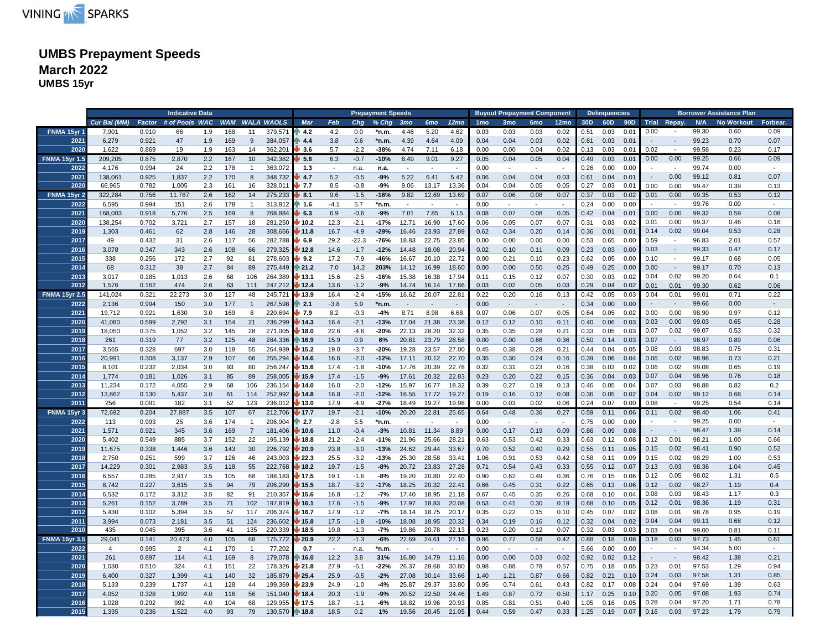

# **UMBS Prepayment Speeds March 2022 UMBS 15yr**

|                      |              |        | <b>Indicative Data</b> |     |     |                |                       |                |        |         | <b>Prepayment Speeds</b> |                 |                          |                  |                 |                 | <b>Buyout Prepayment Component</b> |                  |      | <b>Delinquencies</b> |      |      |                          |       | <b>Borrower Assistance Plan</b> |          |
|----------------------|--------------|--------|------------------------|-----|-----|----------------|-----------------------|----------------|--------|---------|--------------------------|-----------------|--------------------------|------------------|-----------------|-----------------|------------------------------------|------------------|------|----------------------|------|------|--------------------------|-------|---------------------------------|----------|
|                      | Cur Bal (MM) | Factor | # of Pools WAC         |     |     |                | <b>WAM WALA WAOLS</b> | <b>Mar</b>     | Feb    | Chg     | $%$ Chg                  | 3 <sub>mo</sub> | 6mo                      | 12 <sub>mo</sub> | 1 <sub>mo</sub> | 3 <sub>mo</sub> | 6 <sub>mo</sub>                    | 12 <sub>mo</sub> | 30D  | 60D                  |      |      | 90D Trial Repay.         | N/A   | <b>No Workout</b>               | Forbear. |
| FNMA 15yr 1          | 7.901        | 0.910  | 66                     | 1.9 | 168 | 11             | 379,571               | 4.2            | 4.2    | 0.0     | *n.m.                    | 4.46            | 5.20                     | 4.62             | 0.03            | 0.03            | 0.03                               | 0.02             | 0.51 | 0.03                 | 0.01 | 0.00 |                          | 99.30 | 0.60                            | 0.09     |
| 2021                 | 6,279        | 0.921  | 47                     | 1.9 | 169 | 9              | 384,057               | 4.4            | 3.8    | 0.6     | *n.m.                    | 4.39            | 4.64                     | 4.09             | 0.04            | 0.04            | 0.03                               | 0.02             | 0.61 | 0.03                 | 0.01 |      | $\sim$                   | 99.23 | 0.70                            | 0.07     |
| 2020                 | 1,622        | 0.869  | 19                     | 1.9 | 163 | 14             | 362,201               | 3.6            | 5.7    | $-2.2$  | -38%                     | 4.74            | 7.11                     | 6.18             | 0.00            | 0.00            | 0.04                               | 0.02             | 0.13 | 0.03                 | 0.01 | 0.02 |                          | 99.58 | 0.23                            | 0.17     |
| <b>FNMA 15yr 1.5</b> | 209,205      | 0.875  | 2,870                  | 2.2 | 167 | 10             | 342,382               | 5.6            | 6.3    | $-0.7$  | $-10%$                   | 6.49            | 9.01                     | 9.27             | 0.05            | 0.04            | 0.05                               | 0.04             | 0.49 | 0.03                 | 0.01 | 0.00 | 0.00                     | 99.25 | 0.66                            | 0.09     |
| 2022                 | 4,176        | 0.994  | 24                     | 2.2 | 178 | $\mathbf{1}$   | 363,072               | 1.3            | $\sim$ | n.a.    | n.a.                     | $\sim$          | $\sim$                   | $\sim$           | 0.00            | $\sim$          | $\sim$                             | $\sim$           | 0.26 | 0.00                 | 0.00 |      | $\sim$                   | 99.74 | 0.00                            | $\sim$   |
| 2021                 | 138,061      | 0.925  | 1,837                  | 2.2 | 170 | 8              | 348,732               | 4.7            | 5.2    | $-0.5$  | -9%                      | 5.22            | 6.41                     | 5.42             | 0.06            | 0.04            | 0.04                               | 0.03             | 0.61 | 0.04                 | 0.01 |      | 0.00                     | 99.12 | 0.81                            | 0.07     |
| 2020                 | 66.965       | 0.782  | 1.005                  | 2.3 | 161 | 16             | 328.011               | $-7.7$         | 8.5    | $-0.8$  | $-9%$                    | 9.06            | 13.17                    | 13.36            | 0.04            | 0.04            | 0.05                               | 0.05             | 0.27 | 0.03                 | 0.01 | 0.00 | 0.00                     | 99.47 | 0.39                            | 0.13     |
| <b>FNMA 15yr 2</b>   | 322,284      | 0.756  | 11,787                 | 2.6 | 162 | 14             | 275,233               | 8.1            | 9.6    | $-1.5$  | $-16%$                   | 9.82            | 12.69                    | 13.69            | 0.07            | 0.06            | 0.08                               | 0.07             | 0.37 | 0.03                 | 0.02 | 0.01 | 0.00                     | 99.35 | 0.53                            | 0.12     |
| 2022                 | 6,595        | 0.994  | 151                    | 2.6 | 178 | $\mathbf{1}$   | 313,812               | 1.6            | $-4.1$ | 5.7     | *n.m.                    | $\sim$          | $\sim$                   |                  | 0.00            | $\overline{a}$  | $\overline{\phantom{a}}$           | $\sim$           | 0.24 | 0.00                 | 0.00 |      | $\overline{\phantom{a}}$ | 99.76 | 0.00                            |          |
| 2021                 | 168,003      | 0.918  | 5,776                  | 2.5 | 169 | 8              | 268,884               | 6.3            | 6.9    | $-0.6$  | $-9%$                    | 7.01            | 7.85                     | 6.15             | 0.08            | 0.07            | 0.08                               | 0.05             | 0.42 | 0.04                 | 0.01 | 0.00 | 0.00                     | 99.32 | 0.59                            | 0.08     |
| 2020                 | 138,254      | 0.702  | 3,721                  | 2.7 | 157 | 18             | 281,250               | 10.2           | 12.3   | $-2.1$  | $-17%$                   | 12.71           | 16.90                    | 17.60            | 0.06            | 0.05            | 0.07                               | 0.07             | 0.31 | 0.03                 | 0.02 | 0.01 | 0.00                     | 99.37 | 0.46                            | 0.16     |
| 2019                 | 1,303        | 0.461  | 62                     | 2.8 | 146 | 28             | 308,656               | 11.8           | 16.7   | $-4.9$  | $-29%$                   | 16.46           | 23.93                    | 27.89            | 0.62            | 0.34            | 0.20                               | 0.14             | 0.36 | 0.01                 | 0.01 | 0.14 | 0.02                     | 99.04 | 0.53                            | 0.28     |
| 2017                 | 49           | 0.432  | 31                     | 2.6 | 117 | 56             | 282,788               | 6.9            | 29.2   | $-22.3$ | $-76%$                   | 18.83           | 22.75                    | 23.85            | 0.00            | 0.00            | 0.00                               | 0.00             | 0.53 | 0.65                 | 0.00 | 0.59 | $\sim$                   | 96.83 | 2.01                            | 0.57     |
| 2016                 | 3.078        | 0.347  | 343                    | 2.6 | 108 | 66             | 279.325               | 12.8           | 14.6   | $-1.7$  | $-12%$                   | 14.48           | 18.08                    | 20.94            | 0.02            | 0.10            | 0.11                               | 0.09             | 0.23 | 0.03                 | 0.00 | 0.03 | $\sim$                   | 99.33 | 0.47                            | 0.17     |
| 2015                 | 338          | 0.256  | 172                    | 2.7 | 92  | 81             | 278,603               | 9.2            | 17.2   | $-7.9$  | -46%                     | 16.67           | 20.10                    | 22.72            | 0.00            | 0.21            | 0.10                               | 0.23             | 0.62 | 0.05                 | 0.00 | 0.10 | $\sim$                   | 99.17 | 0.68                            | 0.05     |
| 2014                 | 68           | 0.312  | 38                     | 2.7 | 84  | 89             | 275,449               | $\approx 21.2$ | 7.0    | 14.2    | 203%                     | 14.12           | 16.99                    | 18.60            | 0.00            | 0.00            | 0.50                               | 0.25             | 0.49 | 0.25                 | 0.00 | 0.00 | $\sim$                   | 99.17 | 0.70                            | 0.13     |
| 2013                 | 3,017        | 0.185  | 1,013                  | 2.6 | 68  | 106            | 264,389               | / 13.1         | 15.6   | $-2.5$  | -16%                     | 15.38           | 16.38                    | 17.94            | 0.11            | 0.15            | 0.12                               | 0.07             | 0.30 | 0.03                 | 0.02 | 0.04 | 0.02                     | 99.20 | 0.64                            | 0.1      |
| 2012                 | 1,576        | 0.162  | 474                    | 2.6 | 63  | 111            | 247,212               | 12.4           | 13.6   | $-1.2$  | -9%                      | 14.74           | 16.14                    | 17.66            | 0.03            | 0.02            | 0.05                               | 0.03             | 0.29 | 0.04                 | 0.02 | 0.01 | 0.01                     | 99.30 | 0.62                            | 0.06     |
| <b>FNMA 15yr 2.5</b> | 141,024      | 0.321  | 22,273                 | 3.0 | 127 | 48             | 245,721               | 13.9           | 16.4   | $-2.4$  | $-15%$                   | 16.62           | 20.07                    | 22.81            | 0.22            | 0.20            | 0.16                               | 0.13             | 0.42 | 0.05                 | 0.03 | 0.04 | 0.01                     | 99.01 | 0.71                            | 0.22     |
| 2022                 | 2,136        | 0.994  | 150                    | 3.0 | 177 | $\mathbf{1}$   | 267,598               | $\sqrt{2.1}$   | $-3.8$ | 5.9     | *n.m.                    | $\sim$          | $\overline{\phantom{a}}$ | $\sim$           | 0.00            | $\sim$          | $\sim$                             | $\sim$           | 0.34 | 0.00                 | 0.00 |      | $\sim$                   | 99.66 | 0.00                            | $\sim$   |
| 2021                 | 19,712       | 0.921  | 1.630                  | 3.0 | 169 | 8              | 220,694               | 7.9            | 8.2    | $-0.3$  | $-4%$                    | 8.71            | 8.98                     | 6.68             | 0.07            | 0.06            | 0.07                               | 0.05             | 0.64 | 0.05                 | 0.02 | 0.00 | 0.00                     | 98.90 | 0.97                            | 0.12     |
| 2020                 | 41,080       | 0.599  | 2,792                  | 3.1 | 154 | 21             | 236,299               | 14.3           | 16.4   | $-2.1$  | $-13%$                   | 17.04           | 21.38                    | 23.38            | 0.12            | 0.12            | 0.10                               | 0.11             | 0.40 | 0.06                 | 0.03 | 0.03 | 0.00                     | 99.03 | 0.65                            | 0.28     |
| 2019                 | 18,050       | 0.375  | 1,052                  | 3.2 | 145 | 28             | 271,005               | / 18.0         | 22.6   | $-4.6$  | $-20%$                   | 22.13           | 28.20                    | 32.32            | 0.35            | 0.35            | 0.28                               | 0.21             | 0.33 | 0.05                 | 0.03 | 0.07 | 0.02                     | 99.07 | 0.53                            | 0.32     |
| 2018                 | 261          | 0.319  | 77                     | 3.2 | 125 | 48             | 284,336               | 16.9           | 15.9   | 0.9     | 6%                       | 20.81           | 23.79                    | 28.58            | 0.00            | 0.00            | 0.66                               | 0.36             | 0.50 | 0.14                 | 0.03 | 0.07 | $\sim$                   | 98.97 | 0.89                            | 0.06     |
| 2017                 | 3,565        | 0.328  | 697                    | 3.0 | 118 | 55             | 264,939               | / 15.2         | 19.0   | $-3.7$  | $-20%$                   | 19.28           | 23.57                    | 27.00            | 0.45            | 0.38            | 0.28                               | 0.21             | 0.44 | 0.04                 | 0.05 | 0.08 | 0.03                     | 98.83 | 0.75                            | 0.31     |
| 2016                 | 20,991       | 0.308  | 3,137                  | 2.9 | 107 | 66             | 255,294               | 14.6           | 16.6   | $-2.0$  | $-12%$                   | 17.11           | 20.12                    | 22.70            | 0.35            | 0.30            | 0.24                               | 0.16             | 0.39 | 0.06                 | 0.04 | 0.06 | 0.02                     | 98.98 | 0.73                            | 0.21     |
| 2015                 | 8,101        | 0.232  | 2,034                  | 3.0 | 93  | 80             | 256,247               | 15.6           | 17.4   | $-1.8$  | -10%                     | 17.76           | 20.39                    | 22.78            | 0.32            | 0.31            | 0.23                               | 0.16             | 0.38 | 0.03                 | 0.02 | 0.06 | 0.02                     | 99.08 | 0.65                            | 0.19     |
| 2014                 | 1,774        | 0.181  | 1,026                  | 3.1 | 85  | 89             | 258,005               | 15.9           | 17.4   | $-1.5$  | $-9%$                    | 17.61           | 20.32                    | 22.83            | 0.23            | 0.20            | 0.22                               | 0.15             | 0.36 | 0.04                 | 0.03 | 0.07 | 0.04                     | 98.96 | 0.76                            | 0.18     |
| 2013                 | 11,234       | 0.172  | 4,055                  | 2.9 | 68  | 106            | 236,154               | 14.0           | 16.0   | $-2.0$  | $-12%$                   | 15.97           | 16.77                    | 18.32            | 0.39            | 0.27            | 0.19                               | 0.13             | 0.46 | 0.05                 | 0.04 | 0.07 | 0.03                     | 98.88 | 0.82                            | 0.2      |
| 2012                 | 13,862       | 0.130  | 5,437                  | 3.0 | 61  | 114            | 252,992               | 14.8           | 16.8   | $-2.0$  | $-12%$                   | 16.55           | 17.72                    | 19.27            | 0.19            | 0.16            | 0.12                               | 0.08             | 0.36 | 0.05                 | 0.02 | 0.04 | 0.02                     | 99.12 | 0.68                            | 0.14     |
| 2011                 | 256          | 0.091  | 182                    | 3.1 | 52  | 123            | 236.012               | 13.0           | 17.9   | $-4.9$  | $-27%$                   | 18.49           | 19.27                    | 19.98            | 0.00            | 0.03            | 0.02                               | 0.06             | 0.24 | 0.07                 | 0.00 | 0.08 | $\sim$                   | 99.25 | 0.54                            | 0.14     |
| FNMA 15yr 3          | 72,692       | 0.204  | 27,887                 | 3.5 | 107 | 67             | 212,706               | 17.7           | 19.7   | $-2.1$  | $-10%$                   | 20.20           | 22.81                    | 25.65            | 0.64            | 0.48            | 0.36                               | 0.27             | 0.59 | 0.11                 | 0.06 | 0.11 | 0.02                     | 98.40 | 1.06                            | 0.41     |
| 2022                 | 113          | 0.993  | 25                     | 3.6 | 174 | $\mathbf{1}$   | 206,904               | $\sqrt{2.7}$   | $-2.8$ | 5.5     | *n.m.                    | $\sim$          |                          |                  | 0.00            | $\sim$          | $\overline{\phantom{a}}$           | $\sim$           | 0.75 | 0.00                 | 0.00 |      | $\overline{\phantom{a}}$ | 99.25 | 0.00                            |          |
| 2021                 | 1,571        | 0.921  | 345                    | 3.6 | 169 | $\overline{7}$ | 181,406               | 10.6           | 11.0   | $-0.4$  | $-3%$                    | 10.81 11.34     |                          | 8.89             | 0.00            | 0.17            | 0.19                               | 0.09             | 0.86 | 0.09                 | 0.08 |      | $\sim$                   | 98.47 | 1.39                            | 0.14     |
| 2020                 | 5,402        | 0.549  | 885                    | 3.7 | 152 | 22             | 195,139               | 18.8           | 21.2   | $-2.4$  | $-11%$                   | 21.96           | 25.66                    | 28.21            | 0.63            | 0.53            | 0.42                               | 0.33             | 0.63 | 0.12                 | 0.08 | 0.12 | 0.01                     | 98.21 | 1.00                            | 0.66     |
| 2019                 | 11,675       | 0.338  | 1,446                  | 3.6 | 143 | 30             | 226,792               | 20.9           | 23.8   | $-3.0$  | $-13%$                   | 24.62           | 29.44                    | 33.67            | 0.70            | 0.52            | 0.40                               | 0.29             | 0.55 | 0.11                 | 0.05 | 0.15 | 0.02                     | 98.41 | 0.90                            | 0.52     |
| 2018                 | 2,750        | 0.251  | 599                    | 3.7 | 126 | 46             | 243,003               | 22.3           | 25.5   | $-3.2$  | $-13%$                   | 25.30           | 28.58                    | 33.41            | 1.06            | 0.91            | 0.53                               | 0.42             | 0.58 | 0.11                 | 0.09 | 0.15 | 0.02                     | 98.29 | 1.00                            | 0.53     |
| 2017                 | 14,229       | 0.301  | 2,983                  | 3.5 | 118 | 55             | 222,768               | 18.2           | 19.7   | $-1.5$  | $-8%$                    | 20.72           | 23.83                    | 27.28            | 0.71            | 0.54            | 0.43                               | 0.33             | 0.55 | 0.12                 | 0.07 | 0.13 | 0.03                     | 98.36 | 1.04                            | 0.45     |
| 2016                 | 6,557        | 0.285  | 2,917                  | 3.5 | 105 | 68             | 188,183               | 17.5           | 19.1   | $-1.6$  | $-8%$                    | 19.20           | 20.80                    | 22.40            | 0.90            | 0.62            | 0.49                               | 0.36             | 0.76 | 0.15                 | 0.06 | 0.12 | 0.05                     | 98.02 | 1.31                            | 0.5      |
| 2015                 | 8,742        | 0.227  | 3,615                  | 3.5 | 94  | 79             | 206,290               | 15.5           | 18.7   | $-3.2$  | $-17%$                   | 18.25           | 20.32                    | 22.41            | 0.66            | 0.45            | 0.31                               | 0.22             | 0.65 | 0.13                 | 0.06 | 0.12 | 0.02                     | 98.27 | 1.19                            | 0.4      |
| 2014                 | 6,532        | 0.172  | 3,312                  | 3.5 | 82  | 91             | 210,357               | / 15.6         | 16.8   | $-1.2$  | $-7%$                    | 17.40           | 18.95                    | 21.18            | 0.67            | 0.45            | 0.35                               | 0.26             | 0.68 | 0.10                 | 0.04 | 0.08 | 0.03                     | 98.43 | 1.17                            | 0.3      |
| 2013                 | 5,261        | 0.152  | 3,789                  | 3.5 | 71  | 102            | 197,819               | 16.1           | 17.6   | $-1.5$  | $-9%$                    | 17.97           | 18.83                    | 20.08            | 0.53            | 0.41            | 0.30                               | 0.19             | 0.68 | 0.10                 | 0.05 | 0.12 | 0.01                     | 98.36 | 1.19                            | 0.31     |
| 2012                 | 5,430        | 0.102  | 5,394                  | 3.5 | 57  | 117            | 206,374               | 16.7           | 17.9   | $-1.2$  | $-7%$                    | 18.14           | 18.75                    | 20.17            | 0.35            | 0.22            | 0.15                               | 0.10             | 0.45 | 0.07                 | 0.02 | 0.08 | 0.01                     | 98.78 | 0.95                            | 0.19     |
| 2011                 | 3,994        | 0.073  | 2,181                  | 3.5 | 51  | 124            | 236,602               | 15.8           | 17.5   | $-1.8$  | $-10%$                   | 18.08           | 18.95                    | 20.32            | 0.34            | 0.19            | 0.16                               | 0.12             | 0.32 | 0.04                 | 0.02 | 0.04 | 0.04                     | 99.11 | 0.68                            | 0.12     |
| 2010                 | 435          | 0.045  | 395                    | 3.6 | 41  | 135            | 220,339               | 18.5           | 19.8   | $-1.3$  | $-7%$                    | 19.86           | 20.78                    | 22.13            | 0.23            | 0.20            | 0.12                               | 0.07             | 0.32 | 0.03                 | 0.03 | 0.03 | 0.04                     | 99.00 | 0.81                            | 0.11     |
| <b>FNMA 15yr 3.5</b> | 29,041       | 0.141  | 20,473                 | 4.0 | 105 | 68             | 175,772               | 20.9           | 22.2   | $-1.3$  | $-6%$                    | 22.69           | 24.61                    | 27.16            | 0.96            | 0.77            | 0.58                               | 0.42             | 0.88 | 0.18                 | 0.08 | 0.18 | 0.03                     | 97.73 | 1.45                            | 0.61     |
| 2022                 | 4            | 0.995  | 2                      | 4.1 | 170 | $\mathbf{1}$   | 77,202                | 0.7            | $\sim$ | n.a.    | *n.m.                    | $\sim$          | $\sim$                   | $\sim$           | 0.00            | $\sim$          | $\sim$                             | $\sim$           | 5.66 | 0.00                 | 0.00 |      | $\sim$                   | 94.34 | 5.00                            | $\sim$   |
| 2021                 | 261          | 0.897  | 114                    | 4.1 | 169 | 8              | 179,078               | 16.0           | 12.2   | 3.8     | 31%                      | 16.80           | 14.79                    | 11.16            | 0.00            | 0.00            | 0.03                               | 0.02             | 0.92 | 0.02                 | 0.12 |      | $\sim$                   | 98.42 | 1.38                            | 0.21     |
| 2020                 | 1,030        | 0.510  | 324                    | 4.1 | 151 | 22             | 178,326               | 21.8           | 27.9   | $-6.1$  | $-22%$                   | 26.37           | 28.68                    | 30.80            | 0.98            | 0.88            | 0.78                               | 0.57             | 0.75 | 0.18                 | 0.05 | 0.23 | 0.01                     | 97.53 | 1.29                            | 0.94     |
| 2019                 | 6,400        | 0.327  | 1,399                  | 4.1 | 140 | 32             | 185,879               | 25.4           | 25.9   | $-0.5$  | $-2%$                    | 27.08           | 30.14                    | 33.66            | 1.40            | 1.21            | 0.87                               | 0.66             | 0.82 | 0.21                 | 0.10 | 0.24 | 0.03                     | 97.58 | 1.31                            | 0.85     |
| 2018                 | 5,133        | 0.239  | 1,737                  | 4.1 | 128 | 44             | 199,369               | 23.9           | 24.9   | $-1.0$  | -4%                      | 25.87           | 29.37                    | 33.80            | 0.95            | 0.74            | 0.61                               | 0.43             | 0.82 | 0.17                 | 0.08 | 0.24 | 0.04                     | 97.69 | 1.39                            | 0.63     |
| 2017                 | 4,052        | 0.328  | 1,992                  | 4.0 | 116 | 56             | 151,040               | 18.4           | 20.3   | $-1.9$  | $-9%$                    | 20.52           | 22.50                    | 24.46            | 1.49            | 0.87            | 0.72                               | 0.50             | 1.17 | 0.25                 | 0.10 | 0.20 | 0.05                     | 97.08 | 1.93                            | 0.74     |
| 2016                 | 1,028        | 0.292  | 992                    | 4.0 | 104 | 68             | 129,955               | 17.5           | 18.7   | $-1.1$  | -6%                      | 18.82           | 19.96                    | 20.93            | 0.85            | 0.81            | 0.51                               | 0.40             | 1.05 | 0.16                 | 0.05 | 0.28 | 0.04                     | 97.20 | 1.71                            | 0.78     |
| 2015                 | 1,335        | 0.236  | 1,522                  | 4.0 | 93  | 79             | 130,570 18.8          |                | 18.5   | 0.2     | 1%                       | 19.56           | 20.45                    | 21.05            | 0.44            | 0.59            | 0.47                               | 0.33             | 1.25 | 0.19                 | 0.07 | 0.16 | 0.03                     | 97.23 | 1.79                            | 0.79     |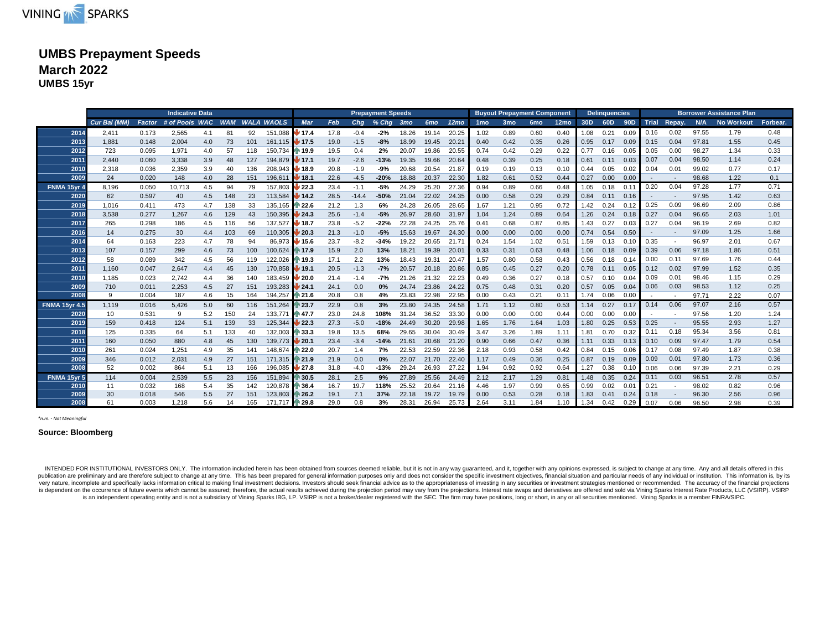

### **UMBS Prepayment Speeds March 2022 UMBS 15yr**

|                      | <b>Indicative Data</b> |        |                |     |            |     |                       |                            |      |         | <b>Prepayment Speeds</b> |                 |                 |                  |                 | <b>Buvout Prepayment Component</b> |                 |                  |      | <b>Delinquencies</b> |      |      |                          |       | <b>Borrower Assistance Plan</b> |          |
|----------------------|------------------------|--------|----------------|-----|------------|-----|-----------------------|----------------------------|------|---------|--------------------------|-----------------|-----------------|------------------|-----------------|------------------------------------|-----------------|------------------|------|----------------------|------|------|--------------------------|-------|---------------------------------|----------|
|                      | Cur Bal (MM)           | Factor | # of Pools WAC |     | <b>WAM</b> |     | <b>WALA WAOLS</b>     | <b>Mar</b>                 | Feb  | Cha     | $%$ Chg                  | 3 <sub>mo</sub> | 6 <sub>mo</sub> | 12 <sub>mo</sub> | 1 <sub>mo</sub> | 3 <sub>mo</sub>                    | 6 <sub>mo</sub> | 12 <sub>mo</sub> | 30D  | 60D                  |      |      | 90D Trial Repay.         | N/A   | <b>No Workout</b>               | Forbear. |
| 2014                 | 2.411                  | 0.173  | 2.565          | 4.1 | 81         | 92  | 151.088               | ⊌ 17.4                     | 17.8 | $-0.4$  | $-2%$                    | 18.26           | 19.14           | 20.25            | 1.02            | 0.89                               | 0.60            | 0.40             | 1.08 | 0.21                 | 0.09 | 0.16 | 0.02                     | 97.55 | 1.79                            | 0.48     |
| 2013                 | 1.881                  | 0.148  | 2,004          | 4.0 | 73         | 101 | 161.115 <b>V</b> 17.5 |                            | 19.0 | $-1.5$  | $-8%$                    | 18.99           | 19.45           | 20.21            | 0.40            | 0.42                               | 0.35            | 0.26             | 0.95 | 0.17                 | 0.09 | 0.15 | 0.04                     | 97.81 | 1.55                            | 0.45     |
| 2012                 | 723                    | 0.095  | 1,971          | 4.0 | 57         | 118 | 150.734 14 19.9       |                            | 19.5 | 0.4     | 2%                       | 20.07           | 19.86           | 20.55            | 0.74            | 0.42                               | 0.29            | 0.22             | 0.77 | 0.16                 | 0.05 | 0.05 | 0.00                     | 98.27 | 1.34                            | 0.33     |
| 2011                 | 2,440                  | 0.060  | 3,338          | 3.9 | 48         | 127 | 194.879 <b>17.1</b>   |                            | 19.7 | $-2.6$  | $-13%$                   | 19.35           | 19.66           | 20.64            | 0.48            | 0.39                               | 0.25            | 0.18             | 0.61 | 0.11                 | 0.03 | 0.07 | 0.04                     | 98.50 | 1.14                            | 0.24     |
| 2010                 | 2,318                  | 0.036  | 2,359          | 3.9 | 40         | 136 | 208.943               | ⊌ 18.9                     | 20.8 | $-1.9$  | $-9%$                    | 20.68           | 20.54           | 21.87            | 0.19            | 0.19                               | 0.13            | 0.10             | 0.44 | 0.05                 | 0.02 | 0.04 | 0.01                     | 99.02 | 0.77                            | 0.17     |
| 2009                 | 24                     | 0.020  | 148            | 4.0 | 28         | 151 | 196.611               | $\sqrt{18.1}$              | 22.6 | $-4.5$  | $-20%$                   | 18.88           | 20.37           | 22.30            | 1.82            | 0.61                               | 0.52            | 0.44             | 0.27 | 0.00                 | 0.00 |      | $\overline{\phantom{a}}$ | 98.68 | 1.22                            | 0.1      |
| FNMA 15vr 4          | 8.196                  | 0.050  | 10,713         | 4.5 | 94         | 79  | 157,803               | $\blacktriangleright$ 22.3 | 23.4 | $-1.1$  | $-5%$                    | 24.29           | 25.20           | 27.36            | 0.94            | 0.89                               | 0.66            | 0.48             | 1.05 | 0.18                 | 0.11 | 0.20 | 0.04                     | 97.28 | 1.77                            | 0.71     |
| 2020                 | 62                     | 0.597  | 40             | 4.5 | 148        | 23  | 113,584 14.2          |                            | 28.5 | $-14.4$ | $-50%$                   | 21.04           | 22.02           | 24.35            | 0.00            | 0.58                               | 0.29            | 0.29             | 0.84 | 0.11                 | 0.16 |      | $\overline{\phantom{a}}$ | 97.95 | 1.42                            | 0.63     |
| 2019                 | 1,016                  | 0.411  | 473            | 4.7 | 138        | 33  | 135,165               | ↑ 22.6                     | 21.2 | 1.3     | 6%                       | 24.28           | 26.05           | 28.65            | 1.67            | 1.21                               | 0.95            | 0.72             | 1.42 | 0.24                 | 0.12 | 0.25 | 0.09                     | 96.69 | 2.09                            | 0.86     |
| 2018                 | 3,538                  | 0.277  | 1,267          | 4.6 | 129        | 43  | 150,395               | 124.3                      | 25.6 | $-1.4$  | $-5%$                    | 26.97           | 28.60           | 31.97            | 1.04            | 1.24                               | 0.89            | 0.64             | 1.26 | 0.24                 | 0.18 | 0.27 | 0.04                     | 96.65 | 2.03                            | 1.01     |
| 2017                 | 265                    | 0.298  | 186            | 4.5 | 116        | 56  | 137,527 18.7          |                            | 23.8 | $-5.2$  | $-22%$                   | 22.28           | 24.25           | 25.76            | 0.41            | 0.68                               | 0.87            | 0.85             | 1.43 | 0.27                 | 0.03 | 0.27 | 0.04                     | 96.19 | 2.69                            | 0.82     |
| 2016                 | 14                     | 0.275  | 30             | 4.4 | 103        | 69  | 110.305               | $\blacktriangleright$ 20.3 | 21.3 | $-1.0$  | $-5%$                    | 15.63           | 19.67           | 24.30            | 0.00            | 0.00                               | 0.00            | 0.00             | 0.74 | 0.54                 | 0.50 |      |                          | 97.09 | 1.25                            | 1.66     |
| 2014                 | 64                     | 0.163  | 223            | 4.7 | 78         | 94  | 86.973                | $\rlap{-}$ 15.6            | 23.7 | $-8.2$  | $-34%$                   | 19.22           | 20.65           | 21.7             | 0.24            | 1.54                               | 1.02            | 0.51             | 1.59 | 0.13                 | 0.10 | 0.35 | $\overline{\phantom{a}}$ | 96.97 | 2.01                            | 0.67     |
| 2013                 | 107                    | 0.157  | 299            | 4.6 | 73         | 100 | 100.624 17.9          |                            | 15.9 | 2.0     | 13%                      | 18.21           | 19.39           | $20.0^{\circ}$   | 0.33            | 0.31                               | 0.63            | 0.48             | 1.06 | 0.18                 | 0.09 | 0.39 | 0.06                     | 97.18 | 1.86                            | 0.51     |
| 2012                 | 58                     | 0.089  | 342            | 4.5 | 56         | 119 | 122.026               | ⋔ 19.3                     | 17.1 | 2.2     | 13%                      | 18.43           | 19.31           | 20.47            | 1.57            | 0.80                               | 0.58            | 0.43             | 0.56 | 0.18                 | 0.14 | 0.00 | 0.11                     | 97.69 | 1.76                            | 0.44     |
| 2011                 | 1,160                  | 0.047  | 2,647          | 4.4 | 45         | 130 | 170.858               | $\blacktriangleright$ 19.1 | 20.5 | $-1.3$  | $-7%$                    | 20.57           | 20.18           | 20.86            | 0.85            | 0.45                               | 0.27            | 0.20             | 0.78 | 0.11                 | 0.05 | 0.12 | 0.02                     | 97.99 | 1.52                            | 0.35     |
| 2010                 | 1.185                  | 0.023  | 2.742          | 4.4 | 36         | 140 | 183.459               | U 20.0                     | 21.4 | $-1.4$  | $-7%$                    | 21.26           | 21.32           | 22.23            | 0.49            | 0.36                               | 0.27            | 0.18             | 0.57 | 0.10                 | 0.04 | 0.09 | 0.01                     | 98.46 | 1.15                            | 0.29     |
| 2009                 | 710                    | 0.011  | 2,253          | 4.5 | 27         | 151 | 193,283               | $\frac{1}{24.1}$           | 24.1 | 0.0     | 0%                       | 24.74           | 23.86           | 24.22            | 0.75            | 0.48                               | 0.31            | 0.20             | 0.57 | 0.05                 | 0.04 | 0.06 | 0.03                     | 98.53 | 1.12                            | 0.25     |
| 2008                 | 9                      | 0.004  | 187            | 4.6 | 15         | 164 | 194,257               | $\blacktriangleright$ 21.6 | 20.8 | 0.8     | 4%                       | 23.83           | 22.98           | 22.95            | 0.00            | 0.43                               | 0.21            | 0.11             | 1.74 | 0.06                 | 0.00 |      |                          | 97.71 | 2.22                            | 0.07     |
| <b>FNMA 15vr 4.5</b> | 1.119                  | 0.016  | 5.426          | 5.0 | 60         | 116 | 151.264               | ₦ 23.7                     | 22.9 | 0.8     | 3%                       | 23.80           | 24.35           | 24.58            | 1.71            | 1.12                               | 0.80            | 0.53             | 1.14 | 0.27                 | 0.17 | 0.14 | 0.06                     | 97.07 | 2.16                            | 0.57     |
| 2020                 | 10                     | 0.531  | 9              | 5.2 | 150        | 24  | 133.771               | $\bigwedge 47.7$           | 23.0 | 24.8    | 108%                     | 31.24           | 36.52           | 33.30            | 0.00            | 0.00                               | 0.00            | 0.44             | 0.00 | 0.00                 | 0.00 |      | $\overline{\phantom{a}}$ | 97.56 | 1.20                            | 1.24     |
| 2019                 | 159                    | 0.418  | 124            | 5.1 | 139        | 33  | 125,344               | /22.3                      | 27.3 | $-5.0$  | $-18%$                   | 24.49           | 30.20           | 29.98            | 1.65            | 1.76                               | 1.64            | 1.03             | 1.80 | 0.25                 | 0.53 | 0.25 | $\overline{\phantom{a}}$ | 95.55 | 2.93                            | 1.27     |
| 2018                 | 125                    | 0.335  | 64             | 5.1 | 133        | 40  | 132,003               | ₼ 33.3                     | 19.8 | 13.5    | 68%                      | 29.65           | 30.04           | 30.49            | 3.47            | 3.26                               | 1.89            | 1.11             | 1.81 | 0.70                 | 0.32 | 0.11 | 0.18                     | 95.34 | 3.56                            | 0.81     |
| 2011                 | 160                    | 0.050  | 880            | 4.8 | 45         | 130 | 139,773               | $\blacktriangleright$ 20.1 | 23.4 | $-3.4$  | $-14%$                   | 21.61           | 20.68           | 21.20            | 0.90            | 0.66                               | 0.47            | 0.36             | 1.11 | 0.33                 | 0.13 | 0.10 | 0.09                     | 97.47 | 1.79                            | 0.54     |
| 2010                 | 261                    | 0.024  | 1,251          | 4.9 | 35         | 141 | 148,674 22.0          |                            | 20.7 | 1.4     | 7%                       | 22.53           | 22.59           | 22.36            | 2.18            | 0.93                               | 0.58            | 0.42             | 0.84 | 0.15                 | 0.06 | 0.17 | 0.08                     | 97.49 | 1.87                            | 0.38     |
| 2009                 | 346                    | 0.012  | 2,031          | 4.9 | 27         | 151 | 171.315               | 1 21.9                     | 21.9 | 0.0     | 0%                       | 22.07           | 21.70           | 22.40            | 1.17            | 0.49                               | 0.36            | 0.25             | 0.87 | 0.19                 | 0.09 | 0.09 | 0.01                     | 97.80 | 1.73                            | 0.36     |
| 2008                 | 52                     | 0.002  | 864            | 5.1 | 13         | 166 | 196,085 27.8          |                            | 31.8 | $-4.0$  | $-13%$                   | 29.24           | 26.93           | 27.22            | 1.94            | 0.92                               | 0.92            | 0.64             | 1.27 | 0.38                 | 0.10 | 0.06 | 0.06                     | 97.39 | 2.21                            | 0.29     |
| FNMA 15yr 5          | 114                    | 0.004  | 2,539          | 5.5 | 23         | 156 | 151.894 130.5         |                            | 28.1 | 2.5     | 9%                       | 27.89           | 25.56           | 24.49            | 2.12            | 2.17                               | 1.29            | 0.81             | 1.48 | 0.35                 | 0.24 | 0.11 | 0.03                     | 96.51 | 2.78                            | 0.57     |
| 2010                 | 11                     | 0.032  | 168            | 5.4 | 35         | 142 | 120.878 136.4         |                            | 16.7 | 19.7    | 118%                     | 25.52           | 20.64           | 21.16            | 4.46            | 1.97                               | 0.99            | 0.65             | 0.99 | 0.02                 | 0.01 | 0.21 |                          | 98.02 | 0.82                            | 0.96     |
| 2009                 | 30                     | 0.018  | 546            | 5.5 | 27         | 151 | 123.803               | $\approx 26.2$             | 19.1 | 7.1     | 37%                      | 22.18           | 19.72           | 19.79            | 0.00            | 0.53                               | 0.28            | 0.18             | 1.83 | 0.41                 | 0.24 | 0.18 |                          | 96.30 | 2.56                            | 0.96     |
| 2008                 | 61                     | 0.003  | 1.218          | 5.6 |            | 165 | 171.717               | ₼ 29.8                     | 29.0 | 0.8     | 3%                       | 28.31           | 26.94           | 25.73            | 2.64            | 3.11                               | 1.84            | 1.10             | 1.34 | 0.42                 | 0.29 | 0.07 | 0.06                     | 96.50 | 2.98                            | 0.39     |

*\*n.m. - Not Meaningful*

#### **Source: Bloomberg**

INTENDED FOR INSTITUTIONAL INVESTORS ONLY. The information included herein has been obtained from sources deemed reliable, but it is not in any way guaranteed, and it, together with any opinions expressed, is subject to ch publication are preliminary and are therefore subject to change at any time. This has been prepared for general information purposes only and does not consider the specific investment objectives, financial situation and pa very nature, incomplete and specifically lacks information critical to making final investment decisions. Investors should seek financial advice as to the appropriateness of investing in any securities or investment strate is dependent on the occurrence of future events which cannot be assured; therefore, the actual results achieved during the projection period may vary from the projections. Interest rate swaps and derivatives are offered an is an independent operating entity and is not a subsidiary of Vining Sparks IBG, LP. VSIRP is not a broker/dealer registered with the SEC. The firm may have positions, long or short, in any or all securities mentioned. Vin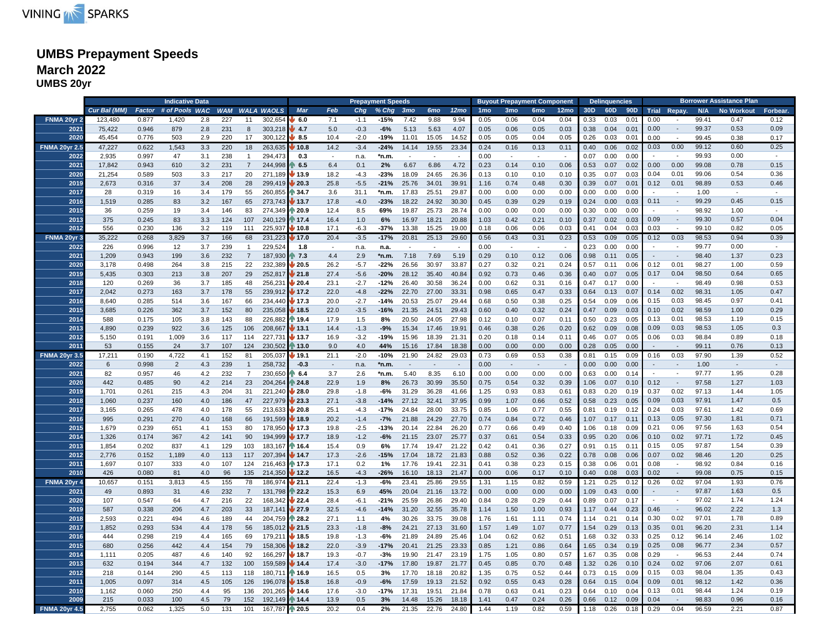# VINING **AN SPARKS**

# **UMBS Prepayment Speeds March 2022**

**UMBS 20yr**

|                      |              |       | <b>Indicative Data</b>               |     |     |                |                |                       |        |        | <b>Prepayment Speeds</b> |                          |                          |                  |                 |                 | <b>Buyout Prepayment Component</b> |                  |      | <b>Delinquencies</b> |      |      |                          |       | <b>Borrower Assistance Plan</b> |          |
|----------------------|--------------|-------|--------------------------------------|-----|-----|----------------|----------------|-----------------------|--------|--------|--------------------------|--------------------------|--------------------------|------------------|-----------------|-----------------|------------------------------------|------------------|------|----------------------|------|------|--------------------------|-------|---------------------------------|----------|
|                      | Cur Bal (MM) |       | Factor # of Pools WAC WAM WALA WAOLS |     |     |                |                | <b>Mar</b>            | Feb    | Chg    | % Chg 3mo                |                          | 6 <sub>mo</sub>          | 12 <sub>mo</sub> | 1 <sub>mo</sub> | 3 <sub>mo</sub> | 6 <sub>mo</sub>                    | 12 <sub>mo</sub> | 30D  | 60D                  |      |      | 90D Trial Repay.         | N/A   | <b>No Workout</b>               | Forbear. |
| <b>FNMA 20yr 2</b>   | 123,480      | 0.877 | 1,420                                | 2.8 | 227 | 11             | 302,654        | 6.0                   | 7.1    | $-1.1$ | -15%                     | 7.42                     | 9.88                     | 9.94             | 0.05            | 0.06            | 0.04                               | 0.04             | 0.33 | 0.03                 | 0.01 | 0.00 | $\overline{a}$           | 99.41 | 0.47                            | 0.12     |
| 2021                 | 75,422       | 0.946 | 879                                  | 2.8 | 231 | 8              | 303,218        | 4.7                   | 5.0    | $-0.3$ | $-6%$                    | 5.13                     | 5.63                     | 4.07             | 0.05            | 0.06            | 0.05                               | 0.03             | 0.38 | 0.04                 | 0.01 | 0.00 | $\sim$                   | 99.37 | 0.53                            | 0.09     |
| 2020                 | 45.454       | 0.776 | 503                                  | 2.9 | 220 | 17             | 300.122        | 8.5                   | 10.4   | $-2.0$ | $-19%$                   | 11.01                    | 15.05                    | 14.52            | 0.05            | 0.05            | 0.04                               | 0.05             | 0.26 | 0.03                 | 0.01 | 0.00 | $\sim$                   | 99.45 | 0.38                            | 0.17     |
| <b>FNMA 20yr 2.5</b> | 47,227       | 0.622 | 1,543                                | 3.3 | 220 | 18             | 263,635        | 10.8                  | 14.2   | $-3.4$ | $-24%$                   | 14.14                    | 19.55                    | 23.34            | 0.24            | 0.16            | 0.13                               | 0.11             | 0.40 | 0.06                 | 0.02 | 0.03 | 0.00                     | 99.12 | 0.60                            | 0.25     |
| 2022                 | 2,935        | 0.997 | 47                                   | 3.1 | 238 | $\mathbf{1}$   | 294,473        | 0.3                   | $\sim$ | n.a.   | *n.m.                    | $\overline{\phantom{a}}$ |                          |                  | 0.00            |                 |                                    | $\sim$           | 0.07 | 0.00                 | 0.00 |      | $\sim$                   | 99.93 | 0.00                            |          |
| 2021                 | 17.842       | 0.943 | 610                                  |     |     | $\overline{7}$ |                |                       | 6.4    | 0.1    | 2%                       |                          |                          |                  | 0.23            |                 |                                    | 0.06             |      |                      |      | 0.00 | 0.00                     |       |                                 |          |
|                      |              |       |                                      | 3.2 | 231 |                | 244,998        | 6.5                   |        |        |                          | 6.67                     | 6.86                     | 4.72             |                 | 0.14            | 0.10                               |                  | 0.53 | 0.07                 | 0.02 |      |                          | 99.08 | 0.78                            | 0.15     |
| 2020                 | 21,254       | 0.589 | 503                                  | 3.3 | 217 | 20             | 271,189        | 13.9                  | 18.2   | $-4.3$ | $-23%$                   | 18.09                    | 24.65                    | 26.36            | 0.13            | 0.10            | 0.10                               | 0.10             | 0.35 | 0.07                 | 0.03 | 0.04 | 0.01                     | 99.06 | 0.54                            | 0.36     |
| 2019                 | 2,673        | 0.316 | 37                                   | 3.4 | 208 | 28             | 299,419        | 20.3                  | 25.8   | $-5.5$ | $-21%$                   | 25.76                    | 34.01                    | 39.91            | 1.16            | 0.74            | 0.48                               | 0.30             | 0.39 | 0.07                 | 0.01 | 0.12 | 0.01                     | 98.89 | 0.53                            | 0.46     |
| 2017                 | 28           | 0.319 | 16                                   | 3.4 | 179 | 55             | 260,855        | $\mathbb{R}$ 34.7     | 3.6    | 31.1   | *n.m.                    | 17.83                    | 25.51                    | 29.87            | 0.00            | 0.00            | 0.00                               | 0.00             | 0.00 | 0.00                 | 0.00 |      | $\sim$                   | 1.00  | $\sim$                          |          |
| 2016                 | 1,519        | 0.285 | 83                                   | 3.2 | 167 | 65             | 273,743        | 13.7                  | 17.8   | $-4.0$ | $-23%$                   | 18.22                    | 24.92                    | 30.30            | 0.45            | 0.39            | 0.29                               | 0.19             | 0.24 | 0.00                 | 0.03 | 0.11 | $\sim$                   | 99.29 | 0.45                            | 0.15     |
| 2015                 | 36           | 0.259 | 19                                   | 3.4 | 146 | 83             | 274,349        | $\triangleright$ 20.9 | 12.4   | 8.5    | 69%                      | 19.87                    | 25.73                    | 28.74            | 0.00            | 0.00            | 0.00                               | 0.00             | 0.30 | 0.00                 | 0.00 |      |                          | 98.92 | 1.00                            |          |
| 2013                 | 375          | 0.245 | 83                                   | 3.3 | 124 | 107            | 240,129        | $\uparrow$ 17.4       | 16.4   | 1.0    | 6%                       | 16.97                    | 18.21                    | 20.88            | 1.03            | 0.42            | 0.21                               | 0.10             | 0.37 | 0.02                 | 0.03 | 0.09 | $\sim$                   | 99.30 | 0.57                            | 0.04     |
| 2012                 | 556          | 0.230 | 136                                  | 3.2 | 119 | 111            | 225,937        | 10.8                  | 17.1   | $-6.3$ | -37%                     | 13.38                    | 15.25                    | 19.00            | 0.18            | 0.06            | 0.06                               | 0.03             | 0.41 | 0.04                 | 0.03 | 0.03 |                          | 99.10 | 0.82                            | 0.05     |
| FNMA 20yr 3          | 35,222       | 0.268 | 3,829                                | 3.7 | 166 | 68             | 231,223        | 17.0                  | 20.4   | $-3.5$ | $-17%$                   | 20.81                    | 25.13                    | 29.60            | 0.56            | 0.43            | 0.31                               | 0.23             | 0.53 | 0.09                 | 0.05 | 0.12 | 0.03                     | 98.53 | 0.94                            | 0.39     |
| 2022                 | 226          | 0.996 | 12                                   | 3.7 | 239 | $\mathbf{1}$   | 229,524        | 1.8                   | $\sim$ | n.a.   | n.a.                     | $\sim$                   | $\overline{\phantom{a}}$ | $\sim$           | 0.00            | $\sim$          | $\sim$                             | $\sim$           | 0.23 | 0.00                 | 0.00 |      | $\sim$                   | 99.77 | 0.00                            | $\sim$   |
| 2021                 | 1,209        | 0.943 | 199                                  | 3.6 | 232 | $\overline{7}$ | 187,930        | $\triangleright$ 7.3  | 4.4    | 2.9    | *n.m.                    | 7.18                     | 7.69                     | 5.19             | 0.29            | 0.10            | 0.12                               | 0.06             | 0.98 | 0.11                 | 0.05 |      | $\overline{\phantom{a}}$ | 98.40 | 1.37                            | 0.23     |
| 2020                 | 3,178        | 0.498 | 264                                  | 3.8 | 215 | 22             | 232,389        | 20.5                  | 26.2   | $-5.7$ | $-22%$                   | 26.56                    | 30.97                    | 33.87            | 0.27            | 0.32            | 0.21                               | 0.24             | 0.57 | 0.11                 | 0.06 | 0.12 | 0.01                     | 98.27 | 1.00                            | 0.59     |
| 2019                 | 5,435        | 0.303 | 213                                  | 3.8 | 207 | 29             | 252,817        | 21.8                  | 27.4   | $-5.6$ | $-20%$                   | 28.12                    | 35.40                    | 40.84            | 0.92            | 0.73            | 0.46                               | 0.36             | 0.40 | 0.07                 | 0.05 | 0.17 | 0.04                     | 98.50 | 0.64                            | 0.65     |
| 2018                 | 120          | 0.269 | 36                                   | 3.7 | 185 | 48             | 256,231        | 20.4                  | 23.1   | $-2.7$ | -12%                     | 26.40                    | 30.58                    | 36.24            | 0.00            | 0.62            | 0.31                               | 0.16             | 0.47 | 0.17                 | 0.00 |      |                          | 98.49 | 0.98                            | 0.53     |
| 2017                 | 2.042        | 0.273 | 163                                  | 3.7 | 178 | 55             | 239,912        | 17.2                  | 22.0   | $-4.8$ | $-22%$                   | 22.70                    | 27.00                    | 33.31            | 0.98            | 0.65            | 0.47                               | 0.33             | 0.64 | 0.13                 | 0.07 | 0.14 | 0.02                     | 98.31 | 1.05                            | 0.47     |
| 2016                 | 8,640        | 0.285 | 514                                  | 3.6 | 167 | 66             | 234,440        | 17.3                  | 20.0   | $-2.7$ | $-14%$                   | 20.53                    | 25.07                    | 29.44            | 0.68            | 0.50            | 0.38                               | 0.25             | 0.54 | 0.09                 | 0.06 | 0.15 | 0.03                     | 98.45 | 0.97                            | 0.41     |
| 2015                 | 3,685        | 0.226 | 362                                  | 3.7 | 152 | 80             | 235,058        | 18.5                  | 22.0   | $-3.5$ | $-16%$                   | 21.35                    | 24.51                    | 29.43            | 0.60            | 0.40            | 0.32                               | 0.24             | 0.47 | 0.09                 | 0.03 | 0.10 | 0.02                     | 98.59 | 1.00                            | 0.29     |
| 2014                 | 588          | 0.175 | 105                                  | 3.8 | 143 | 88             | 226,882        | 19.4                  | 17.9   | 1.5    | 8%                       | 20.50                    | 24.05                    | 27.98            | 0.12            | 0.10            | 0.07                               | 0.11             | 0.50 | 0.23                 | 0.05 | 0.13 | 0.01                     | 98.53 | 1.19                            | 0.15     |
| 2013                 | 4,890        | 0.239 | 922                                  | 3.6 | 125 | 106            | 208,667        | 13.1                  | 14.4   | $-1.3$ | $-9%$                    | 15.34                    | 17.46                    | 19.91            | 0.46            | 0.38            | 0.26                               | 0.20             | 0.62 | 0.09                 | 0.08 | 0.09 | 0.03                     | 98.53 | 1.05                            | 0.3      |
| 2012                 | 5,150        | 0.191 | 1,009                                | 3.6 | 117 | 114            | 227,731        | 13.7                  | 16.9   | $-3.2$ | $-19%$                   | 15.96                    | 18.39                    | 21.31            | 0.20            | 0.18            | 0.14                               | 0.11             | 0.46 | 0.07                 | 0.05 | 0.06 | 0.03                     | 98.84 | 0.89                            | 0.18     |
| 2011                 | 53           | 0.155 | 24                                   | 3.7 | 107 | 124            | 230,502        | 13.0                  | 9.0    | 4.0    | 44%                      | 15.16                    | 17.84                    | 18.38            | 0.00            | 0.00            | 0.00                               | 0.00             | 0.28 | 0.05                 | 0.00 |      | $\sim$                   | 99.11 | 0.76                            | 0.13     |
| <b>FNMA 20yr 3.5</b> | 17,211       | 0.190 | 4,722                                | 4.1 | 152 | 81             | 205,037        | 19.1                  | 21.1   | $-2.0$ | -10%                     | 21.90                    | 24.82                    | 29.03            | 0.73            | 0.69            | 0.53                               | 0.38             | 0.81 | 0.15                 | 0.09 | 0.16 | 0.03                     | 97.90 | 1.39                            | 0.52     |
| 2022                 | 6            | 0.998 | $\overline{2}$                       | 4.3 | 239 | $\mathbf{1}$   | 258,732        | $-0.3$                | $\sim$ | n.a.   | $*n.m.$                  |                          |                          |                  | 0.00            | $\sim$          | $\sim$                             | $\sim$           | 0.00 | 0.00                 | 0.00 |      | $\sim$                   | 1.00  | $\sim$                          |          |
| 2021                 | 82           | 0.957 | 46                                   | 4.2 | 232 | $\overline{7}$ | 230,650        | 6.4                   | 3.7    | 2.6    | *n.m.                    | 5.40                     | 8.35                     | 6.10             | 0.00            | 0.00            | 0.00                               | 0.00             | 0.63 | 0.00                 | 0.14 |      | $\sim$                   | 97.77 | 1.95                            | 0.28     |
| 2020                 | 442          | 0.485 | 90                                   | 4.2 | 214 | 23             | 204,264        | 24.8                  | 22.9   | 1.9    | 8%                       | 26.73                    | 30.99                    | 35.50            | 0.75            | 0.54            | 0.32                               | 0.39             | 1.06 | 0.07                 | 0.10 | 0.12 | $\sim$                   | 97.58 | 1.27                            | 1.03     |
| 2019                 | 1,701        | 0.261 | 215                                  | 4.3 | 204 | 31             | 221,240        | 28.0                  | 29.8   | $-1.8$ | $-6%$                    | 31.29                    | 36.28                    | 41.66            | 1.25            | 0.93            | 0.83                               | 0.61             | 0.83 | 0.20                 | 0.19 | 0.37 | 0.02                     | 97.13 | 1.44                            | 1.05     |
| 2018                 | 1,060        | 0.237 | 160                                  | 4.0 | 186 | 47             | 227,979        | 23.3                  | 27.1   | $-3.8$ | $-14%$                   | 27.12                    | 32.41                    | 37.95            | 0.99            | 1.07            | 0.66                               | 0.52             | 0.58 | 0.23                 | 0.05 | 0.09 | 0.03                     | 97.91 | 1.47                            | 0.5      |
| 2017                 |              | 0.265 |                                      |     | 178 |                | 213,633        |                       | 25.1   | $-4.3$ | $-17%$                   | 24.84                    | 28.00                    |                  |                 |                 |                                    | 0.55             |      | 0.19                 |      | 0.24 | 0.03                     | 97.61 | 1.42                            | 0.69     |
|                      | 3,165        |       | 478                                  | 4.0 |     | 55             |                | 120.8                 |        |        |                          |                          |                          | 33.75            | 0.85            | 1.06            | 0.77                               |                  | 0.81 |                      | 0.12 |      | 0.05                     |       | 1.81                            | 0.71     |
| 2016                 | 995          | 0.291 | 270                                  | 4.0 | 168 | 66             | 191,599        | 18.9                  | 20.2   | $-1.4$ | $-7%$                    | 21.88                    | 24.29                    | 27.70            | 0.74            | 0.84            | 0.72                               | 0.46             | 1.07 | 0.17                 | 0.11 | 0.13 | 0.06                     | 97.30 | 1.63                            | 0.54     |
| 2015                 | 1,679        | 0.239 | 651                                  | 4.1 | 153 | 80             | 178,950        | 17.3                  | 19.8   | $-2.5$ | $-13%$                   | 20.14                    | 22.84                    | 26.20            | 0.77            | 0.66            | 0.49                               | 0.40             | 1.06 | 0.18                 | 0.09 | 0.21 |                          | 97.56 |                                 |          |
| 2014                 | 1,326        | 0.174 | 367                                  | 4.2 | 141 | 90             | 194,999        | 17.7                  | 18.9   | $-1.2$ | $-6%$                    | 21.15                    | 23.07                    | 25.77            | 0.37            | 0.61            | 0.54                               | 0.33             | 0.95 | 0.20                 | 0.06 | 0.10 | 0.02                     | 97.71 | 1.72                            | 0.45     |
| 2013                 | 1,854        | 0.202 | 837                                  | 4.1 | 129 | 103            | 183,167        | $N_{16.4}$            | 15.4   | 0.9    | 6%                       | 17.74                    | 19.47                    | 21.22            | 0.42            | 0.41            | 0.36                               | 0.27             | 0.91 | 0.15                 | 0.11 | 0.15 | 0.05                     | 97.87 | 1.54                            | 0.39     |
| 2012                 | 2,776        | 0.152 | 1,189                                | 4.0 | 113 | 117            | 207,394        | 14.7                  | 17.3   | $-2.6$ | $-15%$                   | 17.04                    | 18.72                    | 21.83            | 0.88            | 0.52            | 0.36                               | 0.22             | 0.78 | 0.08                 | 0.06 | 0.07 | 0.02                     | 98.46 | 1.20                            | 0.25     |
| 2011                 | 1,697        | 0.107 | 333                                  | 4.0 | 107 | 124            | 216,463        | 17.3                  | 17.1   | 0.2    | 1%                       | 17.76                    | 19.41                    | 22.31            | 0.41            | 0.38            | 0.23                               | 0.15             | 0.38 | 0.06                 | 0.01 | 0.08 | $\sim$                   | 98.92 | 0.84                            | 0.16     |
| 2010                 | 426          | 0.080 | 81                                   | 4.0 | 96  | 135            | 214,350        | 12.2                  | 16.5   | $-4.3$ | $-26%$                   | 16.10                    | 18.13                    | 21.47            | 0.00            | 0.06            | 0.17                               | 0.10             | 0.40 | 0.08                 | 0.03 | 0.02 | $\sim$                   | 99.08 | 0.75                            | 0.15     |
| FNMA 20yr 4          | 10,657       | 0.151 | 3,813                                | 4.5 | 155 | 78             | 186,974        | $\frac{1}{21.1}$      | 22.4   | $-1.3$ | $-6%$                    | 23.41                    | 25.86                    | 29.55            | 1.31            | 1.15            | 0.82                               | 0.59             | 1.21 | 0.25                 | 0.12 | 0.26 | 0.02                     | 97.04 | 1.93                            | 0.76     |
| 2021                 | 49           | 0.893 | 31                                   | 4.6 | 232 | $\overline{7}$ | 131,798        | 22.2                  | 15.3   | 6.9    | 45%                      | 20.04                    | 21.16                    | 13.72            | 0.00            | 0.00            | 0.00                               | 0.00             | 1.09 | 0.43                 | 0.00 |      | $\sim$                   | 97.87 | 1.63                            | 0.5      |
| 2020                 | 107          | 0.547 | 64                                   | 4.7 | 216 | 22             | 168,342        | 22.4                  | 28.4   | $-6.1$ | -21%                     | 25.59                    | 26.86                    | 29.40            | 0.84            | 0.28            | 0.29                               | 0.44             | 0.89 | 0.07                 | 0.17 |      | $\sim$                   | 97.02 | 1.74                            | 1.24     |
| 2019                 | 587          | 0.338 | 206                                  | 4.7 | 203 | 33             | 187,141        | 27.9                  | 32.5   | $-4.6$ | $-14%$                   | 31.20                    | 32.55                    | 35.78            | 1.14            | 1.50            | 1.00                               | 0.93             | 1.17 | 0.44                 | 0.23 | 0.46 | $\sim$                   | 96.02 | 2.22                            | 1.3      |
| 2018                 | 2,593        | 0.221 | 494                                  | 4.6 | 189 | 44             | 204,759        | $\sqrt{28.2}$         | 27.1   | 1.1    | 4%                       | 30.26                    | 33.75                    | 39.08            | 1.76            | 1.61            | 1.11                               | 0.74             | 1.14 | 0.21                 | 0.14 | 0.30 | 0.02                     | 97.01 | 1.78                            | 0.89     |
| 2017                 | 1,852        | 0.293 | 534                                  | 4.4 | 178 | 56             | 185,012        | 21.5                  | 23.3   | $-1.8$ | $-8%$                    | 24.21                    | 27.13                    | 31.60            | 1.57            | 1.49            | 1.07                               | 0.77             | 1.54 | 0.29                 | 0.13 | 0.35 | 0.01                     | 96.20 | 2.31                            | 1.14     |
| 2016                 | 444          | 0.298 | 219                                  | 4.4 | 165 | 69             | 179,211        | 18.5                  | 19.8   | $-1.3$ | $-6%$                    | 21.89                    | 24.89                    | 25.46            | 1.04            | 0.62            | 0.62                               | 0.51             | 1.68 | 0.32                 | 0.33 | 0.25 | 0.12                     | 96.14 | 2.46                            | 1.02     |
| 2015                 | 680          | 0.256 | 442                                  | 4.4 | 154 | 79             | 158,306        | 18.2                  | 22.0   | $-3.9$ | $-17%$                   | 20.41                    | 21.25                    | 23.33            | 0.85            | 1.21            | 0.86                               | 0.64             | 1.65 | 0.34                 | 0.19 | 0.25 | 0.08                     | 96.77 | 2.34                            | 0.57     |
| 2014                 | 1,111        | 0.205 | 487                                  | 4.6 | 140 | 92             | 166,297        | 18.7                  | 19.3   | $-0.7$ | $-3%$                    | 19.90                    | 21.47                    | 23.19            | 1.75            | 1.05            | 0.80                               | 0.57             | 1.67 | 0.35                 | 0.08 | 0.29 | $\sim$                   | 96.53 | 2.44                            | 0.74     |
| 2013                 | 632          | 0.194 | 344                                  | 4.7 | 132 | 100            | 159,589        | 14.4                  | 17.4   | $-3.0$ | $-17%$                   | 17.80                    | 19.87                    | 21.77            | 0.45            | 0.85            | 0.70                               | 0.48             | 1.32 | 0.26                 | 0.10 | 0.24 | 0.02                     | 97.06 | 2.07                            | 0.61     |
| 2012                 | 218          | 0.144 | 290                                  | 4.5 | 113 | 118            | 180,711        | 16.9                  | 16.5   | 0.5    | 3%                       | 17.70                    | 18.18                    | 20.82            | 1.35            | 0.75            | 0.52                               | 0.44             | 0.73 | 0.15                 | 0.09 | 0.15 | 0.03                     | 98.04 | 1.35                            | 0.43     |
| 2011                 | 1,005        | 0.097 | 314                                  | 4.5 | 105 | 126            | 196,078        | 15.8                  | 16.8   | $-0.9$ | $-6%$                    | 17.59                    | 19.13                    | 21.52            | 0.92            | 0.55            | 0.43                               | 0.28             | 0.64 | 0.15                 | 0.04 | 0.09 | 0.01                     | 98.12 | 1.42                            | 0.36     |
| 2010                 | 1,162        | 0.060 | 250                                  | 4.4 | 95  | 136            | 201.265        | 14.6                  | 17.6   | $-3.0$ | $-17%$                   | 17.31                    | 19.51                    | 21.84            | 0.78            | 0.63            | 0.41                               | 0.23             | 0.64 | 0.10                 | 0.04 | 0.13 | 0.01                     | 98.44 | 1.24                            | 0.19     |
| 2009                 | 215          | 0.033 | 100                                  | 4.5 | 79  | 152            | 192,149        | $\,14.4$              | 13.9   | 0.5    | 3%                       | 14.48                    | 15.26                    | 18.18            | 1.41            | 0.47            | 0.24                               | 0.26             | 0.66 | 0.12                 | 0.09 | 0.04 |                          | 98.83 | 0.96                            | 0.16     |
| <b>FNMA 20vr 4.5</b> | 2,755        | 0.062 | 1,325                                | 5.0 | 131 | 101            | 167.787 1 20.5 |                       | 20.2   | 0.4    | 2%                       | 21.35                    | 22.76                    | 24.80            | 1.44            | 1.19            | 0.82                               | 0.59             | 1.18 | 0.26                 | 0.18 | 0.29 | 0.04                     | 96.59 | 2.21                            | 0.87     |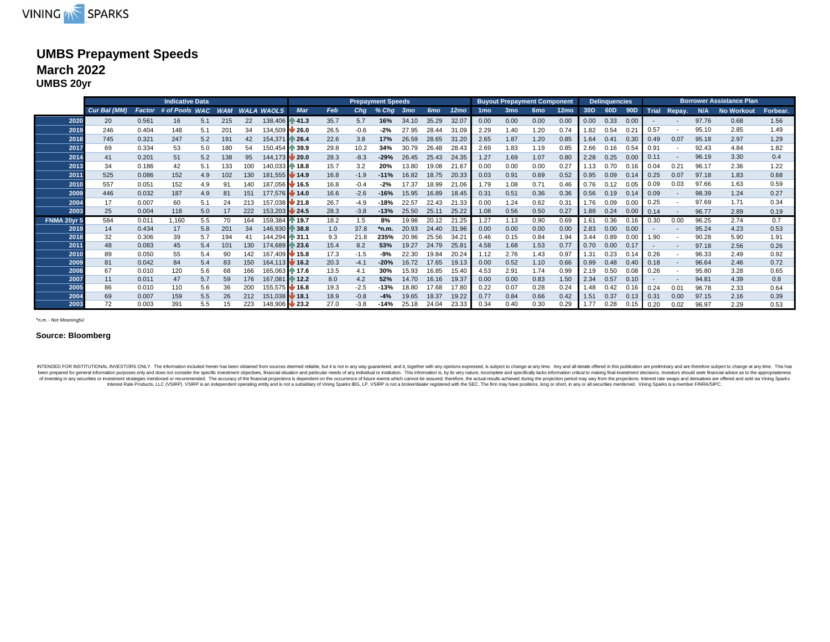

### **UMBS Prepayment Speeds March 2022 UMBS 20yr**

|              |             |                |                |            |            | <b>Prepayment Speeds</b> |                       |                            |              |                  |                 | <b>Buyout Prepayment Component</b> |                 |                  | <b>Delinquencies</b> |                 |                 |                  |                 | <b>Borrower Assistance Plan</b> |                 |              |                          |       |                   |              |
|--------------|-------------|----------------|----------------|------------|------------|--------------------------|-----------------------|----------------------------|--------------|------------------|-----------------|------------------------------------|-----------------|------------------|----------------------|-----------------|-----------------|------------------|-----------------|---------------------------------|-----------------|--------------|--------------------------|-------|-------------------|--------------|
|              | Cur Bal (MM | Factor         | # of Pools WAC |            | <b>WAM</b> | <b>WALA</b>              | <b>WAOLS</b>          | Mar                        | Feb          | Cha              | $%$ Cha         | 3 <sub>mo</sub>                    | 6 <sub>mo</sub> | 12 <sub>mo</sub> | 1 <sub>mo</sub>      | 3 <sub>mo</sub> | 6 <sub>mo</sub> | 12 <sub>mo</sub> | 30 <sub>D</sub> | 60D                             | 90 <sub>D</sub> | <b>Trial</b> | Repay.                   | N/A   | <b>No Workout</b> | Forbear.     |
| 2020         | 20          | 0.561          | 16             | 5.1        | 215        | 22                       | 138,406               | $\mathbb{R}$ 41.3          | 35.7         | 5.7              | 16%             | 34.10                              | 35.29           | 32.07            | 0.00                 | 0.00            | 0.00            | 0.00             | 0.00            | 0.33                            | 0.00            |              |                          | 97.76 | 0.68              | 1.56         |
| 2019         | 246         | 0.404          | 148            | 5.1        | 201        | 34                       | 134,509               | $\bigvee$ 26.0             | 26.5         | $-0.6$           | $-2%$           | 27.95                              | 28.44           | 31.09            | 2.29                 | 1.40            | 1.20            | 0.74             | 1.82            | 0.54                            | 0.21            | 0.57         |                          | 95.10 | 2.85              | 1.49         |
| 2018         | 745         | 0.321          | 247            | 5.2        | 191        | 42                       | 154,371               | ↑ 26.4                     | 22.6         | 3.8              | 17%             | 26.59                              | 28.65           | 31.20            | 2.65                 | 1.87            | 1.20            | 0.85             | 1.64            | 0.41                            | 0.30            | 0.49         | 0.07                     | 95.18 | 2.97              | 1.29         |
| 2017         | 69          | 0.334          | 53             | 5.0        | 180        | 54                       | 150,454               | ↑ 39.9                     | 29.8         | 10.2             | 34%             | 30.79                              | 26.48           | 28.43            | 2.69                 | 1.83            | 1.19            | 0.85             | 2.66            | 0.16                            | 0.54            | 0.91         |                          | 92.43 | 4.84              | 1.82         |
| 2014         | 41          | 0.201          | 51             | 5.2        | 138        | 95                       | 144.173               | $\blacktriangleright$ 20.0 | 28.3         | $-8.3$           | $-29%$          | 26.45                              | 25.43           | 24.35            | 1.27                 | 1.69            | 1.07            | 0.80             | 2.28            | 0.25                            | 0.00            | 0.11         | $\sim$                   | 96.19 | 3.30              | 0.4          |
| 2013         | 34          | 0.186          | 42             | 5.1        | 133        | 100                      | 140,033 18.8          |                            | 15.7         | 3.2              | 20%             | 13.80                              | 19.08           | 21.67            | 0.00                 | 0.00            | 0.00            | 0.27             | 1.13            | 0.70                            | 0.16            | 0.04         | 0.21                     | 96.17 | 2.36              | 1.22         |
| 2011         | 525         | 0.086          | 152            | 4.9        | 02         | 130                      | 181.555 <b>14.9</b>   |                            | 16.8         | $-1.9$           | $-11%$          | 16.82                              | 18.75           | 20.33            | 0.03                 | 0.91            | 0.69            | 0.52             | 0.95            | 0.09                            | 0.14            | 0.25         | 0.07                     | 97.18 | 1.83              | 0.68         |
| 2010         | 557         | 0.051          | 152            | 4.9        |            | 140                      | 187.056 <b>M</b> 16.5 |                            | 16.8         | $-0.4$           | $-2%$           | 17.37                              | 18.99           | 21.06            | 1.79                 | 1.08            | 0.71            | 0.46             | 0.76            | 0.12                            | 0.05            | 0.09         | 0.03                     | 97.66 | 1.63              | 0.59         |
| 2009         | 446         | 0.032          | 187            | 4.9        | 81         | 151                      | 177,576 14.0          |                            | 16.6         | $-2.6$           | $-16%$          | 15.95                              | 16.89           | 18.45            | 0.31                 | 0.51            | 0.36            | 0.36             | 0.56            | 0.19                            | 0.14            | 0.09         | $\overline{\phantom{a}}$ | 98.39 | 1.24              | 0.27         |
| 2004         | 17          | 0.007          | 60             | 5.1        | 24         | 213                      | 157.038 21.8          |                            | 26.7         | $-4.9$           | $-18%$          | 22.57                              | 22.43           | 21.33            | 0.00                 | 1.24            | 0.62            | 0.31             | 1.76            | 0.09                            | 0.0             | 0.25         |                          | 97.69 | 1.71              | 0.34         |
| 2003         | 25          | 0.004          | 118            | 5.0        |            | 222                      | 153,203 24.5          |                            | 28.3         | $-3.8$           | $-13%$          | 25.50                              | 25.11           | 25.22            | 1.08                 | 0.56            | 0.50            | 0.27             | 1.88            | 0.24                            | 0.00            | 0.14         |                          | 96.77 | 2.89              | 0.19         |
| FNMA 20yr 5  | 584         | 0.011          | 1,160          | 5.5        |            | 164                      | 159.384               | ⋔ 19.7                     | 18.2         | 1.5              | 8%              | 19.98                              | 20.12           | 21.25            | 1.27                 | 1.13            | 0.90            | 0.69             | 161             | 0.36                            | 0.16            | 0.30         | 0.00                     | 96.25 | 2.74              | 0.7          |
| 2019         | 14          | 0.434          | 17             | 5.8        | 201        | 34                       | 146.930               | $\mathbb{R}$ 38.8          | 1.0          | 37.8             | *n.m.           | 20.93                              | 24.40           | 31.96            | 0.00                 | 0.00            | 0.00            | 0.00             | 2.83            | 0.00                            | 0.00            |              |                          | 95.24 | 4.23              | 0.53         |
| 2018         | 32          | 0.306          | 39             | 5.7        | 194        | 41                       | 144.294 31.1          |                            | 9.3          | 21.8             | 235%            | 20.96                              | 25.56           | $34.2^{\circ}$   | 0.46                 | 0.15            | 0.84            | 1.94             | 3.44            | 0.89                            | 0.00            | 1.90         |                          | 90.28 | 5.90              | 1.91         |
| 2011         | 48          | 0.083          | 45             | 5.4        | 101        | 130                      | 174.689               | ₼ 23.6                     | 15.4         | 8.2              | 53%             | 19.27                              | 24.79           | 25.81            | 4.58                 | 1.68            | 1.53            | 0.77             | 0.70            | 0.00                            | 0.17            |              | $\sim$                   | 97.18 | 2.56              | 0.26         |
| 2010         | 89          | 0.050          | 55             | 5.4        |            | 142                      | 167.409 <b>15.8</b>   |                            | 17.3         | $-1.5$           | -9%             | 22.30                              | 19.84           | 20.24            | 1.12                 | 2.76            | 1.43            | 0.97             | 1.31            | 0.23                            | 0.14            | 0.26         |                          | 96.33 | 2.49              | 0.92         |
| 2009         | 81          | 0.042          | 84             | 5.4        | 83         | 150                      | 164.113 34 16.2       |                            | 20.3         | $-4.1$           | $-20%$          | 16.72                              | 17.65           | 19.13            | 0.00                 | 0.52            | 1.10            | 0.66             | 0.99            | 0.48                            | 0.40            | 0.18         |                          | 96.64 | 2.46              | 0.72         |
| 2008<br>2007 | 67<br>11    | 0.010          | 120            | 5.6        | 68         | 166                      | 165,063 17.6          |                            | 13.5         | 4.1              | 30%             | 15.93                              | 16.85           | 15.40            | 4.53                 | 2.91            | 1.74            | 0.99             | 2.19            | 0.50                            | 0.08            | 0.26         |                          | 95.80 | 3.28              | 0.65         |
|              |             | 0.011          | 47             | 5.7        | 59         | 176                      | 167,081               | ⋔ 12.2                     | 8.0          | 4.2              | 52%             | 14.70                              | 16.16           | 19.37            | 0.00                 | 0.00            | 0.83            | 1.50             | 2.34            | 0.57                            | 0.10            |              |                          | 94.81 | 4.39              | 0.8          |
| 2005<br>2004 | 86<br>69    | 0.010<br>0.007 | 110            | 5.6<br>5.5 | 26         | 200<br>212               | 155.575 <b>16.8</b>   |                            | 19.3<br>18.9 | $-2.5$<br>$-0.8$ | $-13%$<br>$-4%$ | 18.80<br>19.65                     | 17.68<br>18.37  | 17.80<br>19.22   | 0.22<br>0.77         | 0.07            | 0.28<br>0.66    | 0.24<br>0.42     | 1.48<br>1.51    | 0.42<br>0.37                    | 0.16<br>0.13    | 0.24<br>0.31 | 0.01<br>0.00             | 96.78 | 2.33<br>2.16      | 0.64<br>0.39 |
| 2003         | 72          | 0.003          | 159            | 5.5        |            | 223                      | 151,038 18.1          |                            |              |                  | $-14%$          |                                    |                 |                  |                      | 0.84            | 0.30            | 0.29             |                 |                                 |                 |              |                          | 97.15 |                   |              |
|              |             |                | 391            |            |            |                          | 148,906 23.2          |                            | 27.0         | $-3.8$           |                 | 25.18                              | 24.04           | 23.33            | 0.34                 | 0.40            |                 |                  | 1.77            | 0.28                            | 0.15            | 0.20         | 0.02                     | 96.97 | 2.29              | 0.53         |

*\*n.m. - Not Meaningful*

#### **Source: Bloomberg**

INTENDED FOR INSTITUTIONAL INVESTORS ONLY. The information included herein has been obtained from sources deem details, but it is not may guaranteed, and it is included to several substances in the sector of the interest o of investing in any securities or investment strategies mentioned or recommended. The accuracy of the financial projections is dependent on the occurrence of thutere wents which cassured the observe the base and propertion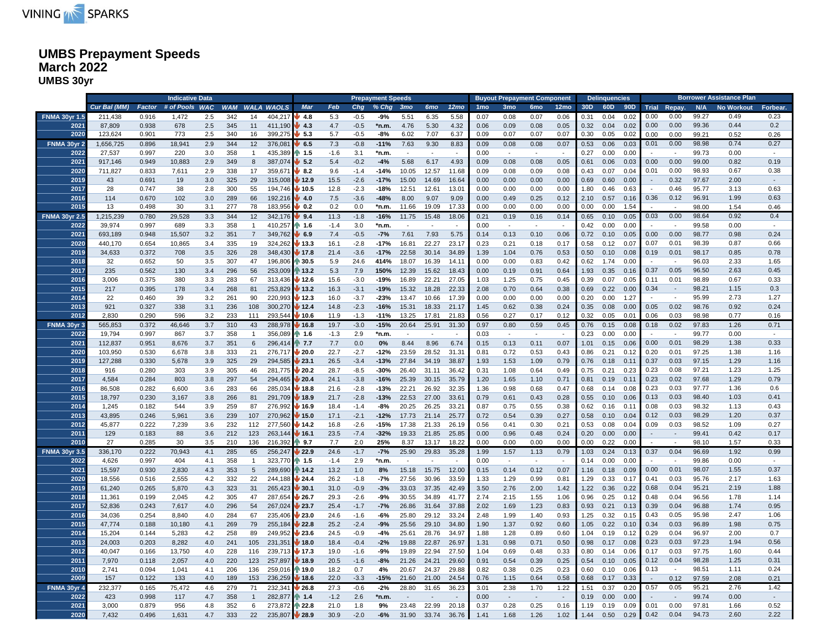

### **UMBS Prepayment Speeds March 2022 UMBS 30yr**

|                      |              |        | <b>Indicative Data</b> |     |     |                 |                       |                 |        |        | <b>Prepayment Speeds</b> |                 |                |                          |                 | <b>Buyout Prepayment Component</b> |                          |                          |      | <b>Delinquencies</b> |      |      |                             |       | <b>Borrower Assistance Plan</b> |                          |
|----------------------|--------------|--------|------------------------|-----|-----|-----------------|-----------------------|-----------------|--------|--------|--------------------------|-----------------|----------------|--------------------------|-----------------|------------------------------------|--------------------------|--------------------------|------|----------------------|------|------|-----------------------------|-------|---------------------------------|--------------------------|
|                      | Cur Bal (MM) | Factor | # of Pools WAC         |     |     |                 | <b>WAM WALA WAOLS</b> | Mar             | Feb    | Chg    | % Chg                    | 3 <sub>mo</sub> | <b>6mo</b>     | 12 <sub>mo</sub>         | 1 <sub>mo</sub> | 3 <sub>mo</sub>                    | 6 <sub>mo</sub>          | 12 <sub>mo</sub>         | 30D  | 60D                  |      |      | 90D Trial Repay.            | N/A   | <b>No Workout</b>               | Forbear.                 |
| <b>FNMA 30yr 1.5</b> | 211,438      | 0.916  | 1,472                  | 2.5 | 342 | 14              | 404,217               | 4.8             | 5.3    | $-0.5$ | -9%                      | 5.51            | 6.35           | 5.58                     | 0.07            | 0.08                               | 0.07                     | 0.06                     | 0.31 | 0.04                 | 0.02 | 0.00 | 0.00                        | 99.27 | 0.49                            | 0.23                     |
| 2021                 | 87,809       | 0.938  | 678                    | 2.5 | 345 | 11              | 411,190               | 4.3             | 4.7    | $-0.5$ | *n.m.                    | 4.76            | 5.30           | 4.32                     | 0.06            | 0.09                               | 0.08                     | 0.05                     | 0.32 | 0.04                 | 0.02 | 0.00 | 0.00                        | 99.36 | 0.44                            | 0.2                      |
| 2020                 | 123,624      | 0.901  | 773                    | 2.5 | 340 | 16              | 399,275               | 45.3            | 5.7    | $-0.5$ | $-8%$                    | 6.02            | 7.07           | 6.37                     | 0.09            | 0.07                               | 0.07                     | 0.07                     | 0.30 | 0.05                 | 0.02 | 0.00 | 0.00                        | 99.21 | 0.52                            | 0.26                     |
| FNMA 30yr 2          | 1,656,725    | 0.896  | 18,941                 | 2.9 | 344 | 12              | 376,081               | 6.5             | 7.3    | $-0.8$ | $-11%$                   | 7.63            | 9.30           | 8.83                     | 0.09            | 0.08                               | 0.08                     | 0.07                     | 0.53 | 0.06                 | 0.03 | 0.01 | 0.00                        | 98.98 | 0.74                            | 0.27                     |
| 2022                 | 27,537       | 0.997  | 220                    | 3.0 | 358 | $\mathbf{1}$    | 435,389               | 1.5             | $-1.6$ | 3.1    |                          |                 |                |                          | 0.00            | $\sim$                             |                          |                          | 0.27 | 0.00                 | 0.00 |      | $\sim$                      | 99.73 | 0.00                            | $\sim$                   |
| 2021                 |              |        | 10,883                 |     | 349 |                 | 387,074               | 5.2             | 5.4    | $-0.2$ | *n.m.<br>$-4%$           | 5.68            | 6.17           |                          |                 |                                    | 0.08                     |                          |      | 0.06                 | 0.03 | 0.00 | 0.00                        | 99.00 | 0.82                            | 0.19                     |
|                      | 917,146      | 0.949  |                        | 2.9 |     | 8               |                       |                 |        |        |                          |                 |                | 4.93                     | 0.09            | 0.08                               |                          | 0.05                     | 0.61 |                      |      |      |                             |       |                                 |                          |
| 2020                 | 711,827      | 0.833  | 7,611                  | 2.9 | 338 | 17              | 359,67                | 8.2             | 9.6    | $-1.4$ | -14%                     | 10.05           | 12.57          | 11.68                    | 0.09            | 0.08                               | 0.09                     | 0.08                     | 0.43 | 0.07                 | 0.04 | 0.01 | 0.00                        | 98.93 | 0.67                            | 0.38                     |
| 2019                 | 43           | 0.691  | 19                     | 3.0 | 325 | 29              | 315,008               | 12.9            | 15.5   | $-2.6$ | $-17%$                   | 15.00           | 14.69          | 16.64                    | 0.00            | 0.00                               | 0.00                     | 0.00                     | 0.69 | 0.60                 | 0.00 |      | 0.32                        | 97.67 | 2.00                            | $\sim$                   |
| 2017                 | 28           | 0.747  | 38                     | 2.8 | 300 | 55              | 194,746               | 10.5            | 12.8   | $-2.3$ | $-18%$                   | 12.51           | 12.61          | 13.01                    | 0.00            | 0.00                               | 0.00                     | 0.00                     | 1.80 | 0.46                 | 0.63 |      | 0.46                        | 95.77 | 3.13                            | 0.63                     |
| 2016                 | 114          | 0.670  | 102                    | 3.0 | 289 | 66              | 192,216               | 4.0             | 7.5    | $-3.6$ | $-48%$                   | 8.00            | 9.07           | 9.09                     | 0.00            | 0.49                               | 0.25                     | 0.12                     | 2.10 | 0.57                 | 0.16 | 0.36 | 0.12                        | 96.91 | 1.99                            | 0.63                     |
| 2015                 | 13           | 0.498  | 30                     | 3.1 | 277 | 78              | 183,956               | 0.2             | 0.2    | 0.0    | *n.m.                    | 11.66           | 19.09          | 17.33                    | 0.00            | 0.00                               | 0.00                     | 0.00                     | 0.00 | 0.00                 | 1.54 |      | $\sim$                      | 98.00 | 1.54                            | 0.46                     |
| <b>FNMA 30yr 2.5</b> | 1,215,239    | 0.780  | 29,528                 | 3.3 | 344 | 12              | 342,176               | 9.4             | 11.3   | $-1.8$ | $-16%$                   | 11.75           | 15.48          | 18.06                    | 0.21            | 0.19                               | 0.16                     | 0.14                     | 0.65 | 0.10                 | 0.05 | 0.03 | 0.00                        | 98.64 | 0.92                            | 0.4                      |
| 2022                 | 39,974       | 0.997  | 689                    | 3.3 | 358 | $\overline{1}$  | 410,257               | $\parallel$ 1.6 | $-1.4$ | 3.0    | *n.m.                    | $\sim$          | $\sim$         | $\sim$                   | 0.00            | $\sim$                             | $\sim$                   | $\sim$                   | 0.42 | 0.00                 | 0.00 |      | $\sim$                      | 99.58 | 0.00                            | $\overline{\phantom{a}}$ |
| 2021                 | 693,189      | 0.948  | 15,507                 | 3.2 | 351 | $\overline{7}$  | 349,762               | 6.9             | 7.4    | $-0.5$ | $-7%$                    | 7.61            | 7.93           | 5.75                     | 0.14            | 0.13                               | 0.10                     | 0.06                     | 0.72 | 0.10                 | 0.05 | 0.00 | 0.00                        | 98.77 | 0.98                            | 0.24                     |
| 2020                 | 440,170      | 0.654  | 10,865                 | 3.4 | 335 | 19              | 324,262               | /13.3           | 16.1   | $-2.8$ | $-17%$                   | 16.81           | 22.27          | 23.17                    | 0.23            | 0.21                               | 0.18                     | 0.17                     | 0.58 | 0.12                 | 0.07 | 0.07 | 0.01                        | 98.39 | 0.87                            | 0.66                     |
| 2019                 | 34,633       | 0.372  | 708                    | 3.5 | 326 | 28              | 348,430               | 17.8            | 21.4   | $-3.6$ | $-17%$                   | 22.58           | 30.14          | 34.89                    | 1.39            | 1.04                               | 0.76                     | 0.53                     | 0.50 | 0.10                 | 0.08 | 0.19 | 0.01                        | 98.17 | 0.85                            | 0.78                     |
| 2018                 | 32           | 0.652  | 50                     | 3.5 | 307 | 47              | 196,806               | 30.5            | 5.9    | 24.6   | 414%                     | 18.07           | 16.39          | 14.11                    | 0.00            | 0.00                               | 0.83                     | 0.42                     | 0.62 | 1.74                 | 0.00 |      |                             | 96.03 | 2.33                            | 1.65                     |
| 2017                 | 235          | 0.562  | 130                    | 3.4 | 296 | 56              | 253,009               | 13.2            | 5.3    | 7.9    | 150%                     | 12.39           | 15.62          | 18.43                    | 0.00            | 0.19                               | 0.91                     | 0.64                     | 1.93 | 0.35                 | 0.16 | 0.37 | 0.05                        | 96.50 | 2.63                            | 0.45                     |
| 2016                 | 3,006        | 0.375  | 380                    | 3.3 | 283 | 67              | 313,436               | / 12.6          | 15.6   | $-3.0$ | -19%                     | 16.89           | 22.21          | 27.05                    | 1.03            | 1.25                               | 0.75                     | 0.45                     | 0.39 | 0.07                 | 0.05 | 0.11 | 0.01                        | 98.89 | 0.67                            | 0.33                     |
| 2015                 | 217          | 0.395  | 178                    | 3.4 | 268 | 81              | 253,829               | 13.2            | 16.3   | $-3.1$ | $-19%$                   | 15.32           | 18.28          | 22.33                    | 2.08            | 0.70                               | 0.64                     | 0.38                     | 0.69 | 0.22                 | 0.00 | 0.34 | $\sim$                      | 98.21 | 1.15                            | 0.3                      |
| 2014                 | 22           | 0.460  | 39                     | 3.2 | 261 | 90              | 220,993               | 12.3            | 16.0   | $-3.7$ | $-23%$                   | 13.47           | 10.66          | 17.39                    | 0.00            | 0.00                               | 0.00                     | 0.00                     | 0.20 | 0.00                 | 1.27 |      | $\overline{\phantom{a}}$    | 95.99 | 2.73                            | 1.27                     |
| 2013                 | 921          | 0.327  | 338                    | 3.1 | 236 | 108             | 300,270               | 12.4            | 14.8   | $-2.3$ | $-16%$                   | 15.31           | 18.33          | 21.17                    | 1.45            | 0.62                               | 0.38                     | 0.24                     | 0.35 | 0.08                 | 0.00 | 0.05 | 0.02                        | 98.76 | 0.92                            | 0.24                     |
| 2012                 | 2,830        | 0.290  | 596                    | 3.2 | 233 | 111             | 293,544               | 10.6            | 11.9   | $-1.3$ | $-11%$                   | 13.25           | 17.81          | 21.83                    | 0.56            | 0.27                               | 0.17                     | 0.12                     | 0.32 | 0.05                 | 0.01 | 0.06 | 0.03                        | 98.98 | 0.77                            | 0.16                     |
| FNMA 30yr 3          | 565,853      | 0.372  | 46,646                 | 3.7 | 310 | 43              | 288,978               | 16.8            | 19.7   | $-3.0$ | $-15%$                   | 20.64           | 25.91          | 31.30                    | 0.97            | 0.80                               | 0.59                     | 0.45                     | 0.76 | 0.15                 | 0.08 | 0.18 | 0.02                        | 97.83 | 1.26                            | 0.71                     |
| 2022                 | 19,794       | 0.997  | 867                    |     | 358 | $\overline{1}$  | 356,089               | ↑ 1.6           | $-1.3$ | 2.9    | *n.m.                    | $\sim$          | $\sim$         | $\overline{\phantom{a}}$ |                 | $\overline{\phantom{a}}$           | $\overline{\phantom{a}}$ | $\sim$                   | 0.23 | 0.00                 | 0.00 |      | $\sim$                      | 99.77 | 0.00                            | $\sim$                   |
| 2021                 |              |        |                        | 3.7 |     |                 |                       |                 |        |        |                          | 8.44            |                |                          | 0.03            |                                    |                          |                          |      |                      |      | 0.00 | 0.01                        | 98.29 | 1.38                            | 0.33                     |
|                      | 112,837      | 0.951  | 8,676                  | 3.7 | 351 | 6               | 296,414               | 17.7            | 7.7    | 0.0    | $0\%$                    |                 | 8.96           | 6.74                     | 0.15            | 0.13                               | 0.11                     | 0.07                     | 1.01 | 0.15                 | 0.06 |      |                             |       |                                 |                          |
| 2020                 | 103,950      | 0.530  | 6,678                  | 3.8 | 333 | 21              | 276,717               | 20.0            | 22.7   | $-2.7$ | $-12%$                   | 23.59           | 28.52          | 31.31                    | 0.81            | 0.72                               | 0.53                     | 0.43                     | 0.86 | 0.21                 | 0.12 | 0.20 | 0.01                        | 97.25 | 1.38                            | 1.16                     |
| 2019                 | 127,288      | 0.330  | 5,678                  | 3.9 | 325 | 29              | 294,585               | 23.1            | 26.5   | $-3.4$ | $-13%$                   | 27.84           | 34.19          | 38.87                    | 1.93            | 1.53                               | 1.09                     | 0.79                     | 0.76 | 0.18                 | 0.11 | 0.37 | 0.03                        | 97.15 | 1.29                            | 1.16                     |
| 2018                 | 916          | 0.280  | 303                    | 3.9 | 305 | 46              | 281,775               | 20.2            | 28.7   | $-8.5$ | $-30%$                   | 26.40           | 31.11          | 36.42                    | 0.31            | 1.08                               | 0.64                     | 0.49                     | 0.75 | 0.21                 | 0.23 | 0.23 | 0.08                        | 97.21 | 1.23                            | 1.25                     |
| 2017                 | 4,584        | 0.284  | 803                    | 3.8 | 297 | 54              | 294,465               | 20.4            | 24.1   | $-3.8$ | $-16%$                   | 25.39           | 30.15          | 35.79                    | 1.20            | 1.65                               | 1.10                     | 0.71                     | 0.81 | 0.19                 | 0.11 | 0.23 | 0.02                        | 97.68 | 1.29                            | 0.79                     |
| 2016                 | 86,508       | 0.282  | 6,600                  | 3.6 | 283 | 66              | 285,034               | 18.8            | 21.6   | $-2.8$ | $-13%$                   | 22.21           | 26.92          | 32.35                    | 1.36            | 0.98                               | 0.68                     | 0.47                     | 0.68 | 0.14                 | 0.08 | 0.23 | 0.03                        | 97.77 | 1.36                            | 0.6                      |
| 2015                 | 18,797       | 0.230  | 3,167                  | 3.8 | 266 | 81              | 291,709               | 18.9            | 21.7   | $-2.8$ | $-13%$                   | 22.53           | 27.00          | 33.61                    | 0.79            | 0.61                               | 0.43                     | 0.28                     | 0.55 | 0.10                 | 0.06 | 0.13 | 0.03                        | 98.40 | 1.03                            | 0.41                     |
| 2014                 | 1,245        | 0.182  | 544                    | 3.9 | 259 | 87              | 276,992               | 16.9            | 18.4   | $-1.4$ | $-8%$                    | 20.25           | 26.25          | 33.21                    | 0.87            | 0.75                               | 0.55                     | 0.38                     | 0.62 | 0.16                 | 0.11 | 0.08 | 0.03                        | 98.32 | 1.13                            | 0.43                     |
| 2013                 | 43,895       | 0.246  | 5,961                  | 3.6 | 239 | 107             | 270,962               | 15.0            | 17.1   | $-2.1$ | $-12%$                   | 17.73           | 21.14          | 25.77                    | 0.72            | 0.54                               | 0.39                     | 0.27                     | 0.58 | 0.10                 | 0.04 | 0.12 | 0.03                        | 98.29 | 1.20                            | 0.37                     |
| 2012                 | 45,877       | 0.222  | 7,239                  | 3.6 | 232 | 112             | 277,560               | 14.2            | 16.8   | $-2.6$ | $-15%$                   | 17.38           | 21.33          | 26.19                    | 0.56            | 0.41                               | 0.30                     | 0.21                     | 0.53 | 0.08                 | 0.04 | 0.09 | 0.03                        | 98.52 | 1.09                            | 0.27                     |
| 2011                 | 129          | 0.183  | 88                     | 3.6 | 212 | 123             | 263,144               | 16.1            | 23.5   | $-7.4$ | $-32%$                   | 19.33           | 21.85          | 25.85                    | 0.00            | 0.96                               | 0.48                     | 0.24                     | 0.20 | 0.00                 | 0.00 |      | $\mathcal{L}_{\mathcal{A}}$ | 99.41 | 0.42                            | 0.17                     |
| 2010                 | 27           | 0.285  | 30                     | 3.5 | 210 | 136             | 216,392               | $\, 9.7$        | 7.7    | 2.0    | 25%                      | 8.37            | 13.17          | 18.22                    | 0.00            | 0.00                               | 0.00                     | 0.00                     | 0.00 | 0.22                 | 0.00 |      | $\sim$                      | 98.10 | 1.57                            | 0.33                     |
| <b>FNMA 30yr 3.5</b> | 336,170      | 0.222  | 70,943                 | 4.1 | 285 | 65              | 256,247               | 22.9            | 24.6   | $-1.7$ | $-7%$                    | 25.90           | 29.83          | 35.28                    | 1.99            | 1.57                               | 1.13                     | 0.79                     | 1.03 | 0.24                 | 0.13 | 0.37 | 0.04                        | 96.69 | 1.92                            | 0.99                     |
| 2022                 | 4,626        | 0.997  | 404                    | 4.1 | 358 | $\mathbf{1}$    | 323,770               | 1.5             | $-1.4$ | 2.9    | *n.m.                    | $\sim$          | $\sim$         |                          | 0.00            | $\overline{\phantom{a}}$           | $\overline{\phantom{a}}$ |                          | 0.14 | 0.00                 | 0.00 |      | $\sim$                      | 99.86 | 0.00                            |                          |
| 2021                 | 15,597       | 0.930  | 2,830                  | 4.3 | 353 | $5\phantom{.0}$ | 289,690               | 14.2            | 13.2   | 1.0    | 8%                       | 15.18           | 15.75          | 12.00                    | 0.15            | 0.14                               | 0.12                     | 0.07                     | 1.16 | 0.18                 | 0.09 | 0.00 | 0.01                        | 98.07 | 1.55                            | 0.37                     |
| 2020                 | 18,556       | 0.516  | 2,555                  | 4.2 | 332 | 22              | 244,188               | 24.4            | 26.2   | $-1.8$ | $-7%$                    | 27.56           | 30.96          | 33.59                    | 1.33            | 1.29                               | 0.99                     | 0.81                     | 1.29 | 0.33                 | 0.17 | 0.41 | 0.03                        | 95.76 | 2.17                            | 1.63                     |
| 2019                 | 61,240       | 0.265  | 5,870                  | 4.3 | 323 | 31              | 265,423               | 130.1           | 31.0   | $-0.9$ | $-3%$                    | 33.03           | 37.35          | 42.49                    | 3.50            | 2.76                               | 2.00                     | 1.42                     | 1.22 | 0.36                 | 0.22 | 0.68 | 0.04                        | 95.21 | 2.19                            | 1.88                     |
| 2018                 | 11,361       | 0.199  | 2,045                  | 4.2 | 305 | 47              | 287,654               | 26.7            | 29.3   | $-2.6$ | -9%                      | 30.55           | 34.89          | 41.77                    | 2.74            | 2.15                               | 1.55                     | 1.06                     | 0.96 | 0.25                 | 0.12 | 0.48 | 0.04                        | 96.56 | 1.78                            | 1.14                     |
| 2017                 | 52,836       | 0.243  | 7,617                  | 4.0 | 296 | 54              | 267,024               | 23.7            | 25.4   | $-1.7$ | $-7%$                    | 26.86           | 31.64          | 37.88                    | 2.02            | 1.69                               | 1.23                     | 0.83                     | 0.93 | 0.21                 | 0.13 | 0.39 | 0.04                        | 96.88 | 1.74                            | 0.95                     |
| 2016                 | 34,036       | 0.254  | 8.840                  | 4.0 | 284 | 67              | 235,406               | 23.0            | 24.6   | $-1.6$ | $-6%$                    | 25.80           | 29.12          | 33.24                    | 2.48            | 1.99                               | 1.40                     | 0.93                     | 1.25 | 0.32                 | 0.15 | 0.43 | 0.05                        | 95.98 | 2.47                            | 1.06                     |
| 2015                 | 47,774       | 0.188  | 10,180                 | 4.1 | 269 | 79              | 255,184               | 22.8            | 25.2   | $-2.4$ | $-9%$                    | 25.56           | 29.10          | 34.80                    | 1.90            | 1.37                               | 0.92                     | 0.60                     | 1.05 | 0.22                 | 0.10 | 0.34 | 0.03                        | 96.89 | 1.98                            | 0.75                     |
| 2014                 | 15,204       | 0.144  | 5,283                  | 4.2 | 258 | 89              | 249,952               | 23.6            | 24.5   | $-0.9$ | $-4%$                    | 25.61           | 28.76          | 34.97                    | 1.88            | 1.28                               | 0.89                     | 0.60                     | 1.04 | 0.19                 | 0.12 | 0.29 | 0.04                        | 96.97 | 2.00                            | 0.7                      |
| 2013                 | 24,003       | 0.203  | 8,282                  | 4.0 | 241 | 105             | 231,351               | 18.0            | 18.4   | $-0.4$ | $-2%$                    | 19.88           | 22.87          | 26.97                    | 1.31            | 0.98                               | 0.71                     | 0.50                     | 0.98 | 0.17                 | 0.08 | 0.23 | 0.03                        | 97.23 | 1.94                            | 0.56                     |
| 2012                 | 40,047       | 0.166  | 13,750                 | 4.0 | 228 | 116             | 239,713               | / 17.3          | 19.0   | $-1.6$ | -9%                      | 19.89           | 22.94          | 27.50                    | 1.04            | 0.69                               | 0.48                     | 0.33                     | 0.80 | 0.14                 | 0.06 | 0.17 | 0.03                        | 97.75 | 1.60                            | 0.44                     |
| 2011                 | 7,970        | 0.118  | 2,057                  | 4.0 | 220 | 123             | 257,897               | 18.9            | 20.5   | $-1.6$ | -8%                      | 21.26           | 24.21          | 29.60                    | 0.91            | 0.54                               | 0.39                     | 0.25                     | 0.54 | 0.10                 | 0.05 | 0.12 | 0.04                        | 98.28 | 1.25                            | 0.31                     |
| 2010                 | 2,741        | 0.094  | 1,041                  | 4.1 | 206 | 136             | 259,016               | 19.0            | 18.2   | 0.7    | 4%                       | 20.67           |                | 29.88                    | 0.82            | 0.38                               | 0.25                     | 0.23                     | 0.60 | 0.10                 | 0.06 | 0.13 | $\sim$                      | 98.51 | 1.11                            | 0.24                     |
| 2009                 | 157          | 0.122  | 133                    | 4.0 | 189 | 153             | 236,259               | 18.6            | 22.0   | $-3.3$ | $-15%$                   | 21.60           | 24.37<br>21.00 | 24.54                    | 0.76            | 1.15                               | 0.64                     | 0.58                     | 0.68 | 0.17                 | 0.33 |      | 0.12                        | 97.59 | 2.08                            | 0.21                     |
|                      |              |        |                        |     |     |                 |                       |                 |        |        |                          |                 |                |                          |                 |                                    |                          |                          |      |                      |      |      |                             |       | 2.76                            |                          |
| FNMA 30yr 4          | 232,377      | 0.165  | 75,472                 | 4.6 | 279 | 71              | 232,34                | 26.8            | 27.3   | $-0.6$ | $-2%$                    | 28.80           | 31.65          | 36.23                    | 3.01            | 2.38                               | 1.70                     | 1.22                     | 1.51 | 0.37                 | 0.20 | 0.57 | 0.05                        | 95.21 |                                 | 1.42                     |
| 2022                 | 423          | 0.998  | 117                    | 4.7 | 358 | $\mathbf{1}$    | 282,877               | 1.4             | $-1.2$ | 2.6    | *n.m.                    | $\sim$          |                |                          | 0.00            | $\sim$                             | $\sim$                   | $\overline{\phantom{a}}$ | 0.19 | 0.00                 | 0.00 |      |                             | 99.74 | 0.00                            | $\sim$                   |
| 2021                 | 3,000        | 0.879  | 956                    | 4.8 | 352 | 6               | 273,872               | 22.8            | 21.0   | 1.8    | 9%                       | 23.48           | 22.99          | 20.18                    | 0.37            | 0.28                               | 0.25                     | 0.16                     | 1.19 | 0.19                 | 0.09 | 0.01 | 0.00                        | 97.81 | 1.66                            | 0.52                     |
| 2020                 | 7,432        | 0.496  | 1,631                  | 4.7 | 333 | 22              | 235,807               | $\sqrt{28.9}$   | 30.9   | $-2.0$ | $-6%$                    | 31.90           | 33.74          | 36.76                    | 1.41            | 1.68                               | 1.26                     | 1.02                     | 1.44 | 0.50                 | 0.29 | 0.42 | 0.04                        | 94.73 | 2.60                            | 2.22                     |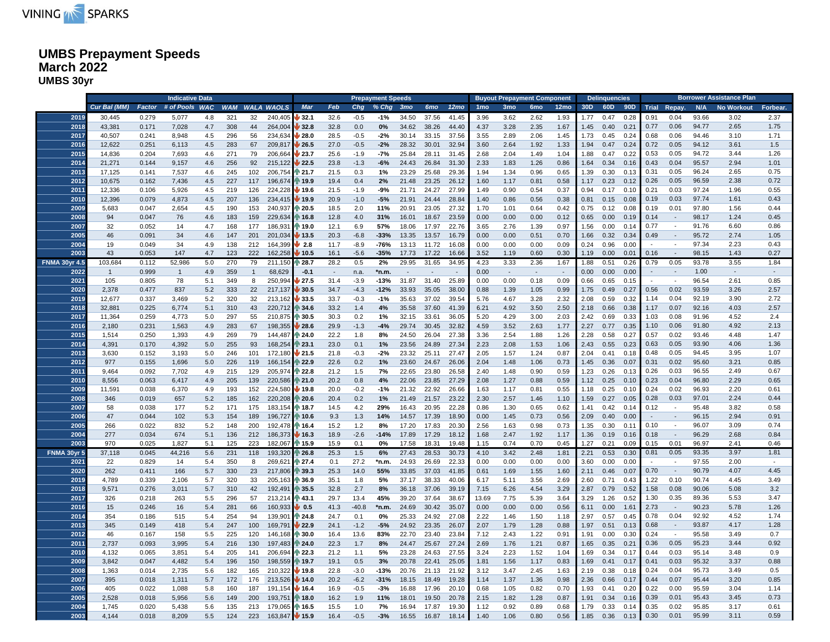

### **UMBS Prepayment Speeds March 2022 UMBS 30yr**

|                      |              |                | <b>Indicative Data</b> |       |     |                |                |                            |              |               | <b>Prepayment Speeds</b> |                 |                |                  |                 | <b>Buyout Prepayment Component</b> |                 |                  |      | <b>Delinquencies</b> |      |                      |                             |       | <b>Borrower Assistance Plan</b> |          |
|----------------------|--------------|----------------|------------------------|-------|-----|----------------|----------------|----------------------------|--------------|---------------|--------------------------|-----------------|----------------|------------------|-----------------|------------------------------------|-----------------|------------------|------|----------------------|------|----------------------|-----------------------------|-------|---------------------------------|----------|
|                      | Cur Bal (MM) | Factor         | # of Pools WAC         |       |     |                | WAM WALA WAOLS | Mar                        | Feb          | Chg           | % Chg                    | 3 <sub>mo</sub> | <b>6mo</b>     | 12 <sub>mo</sub> | 1 <sub>mo</sub> | 3 <sub>mo</sub>                    | 6 <sub>mo</sub> | 12 <sub>mo</sub> | 30D  |                      |      | 60D 90D Trial Repay. |                             |       | N/A No Workout                  | Forbear. |
| 2019                 | 30,445       | 0.279          | 5,077                  | 4.8   | 321 | 32             | 240,405        | 32.1                       | 32.6         | $-0.5$        | $-1%$                    | 34.50           | 37.56          | 41.45            | 3.96            | 3.62                               | 2.62            | 1.93             | 1.77 | 0.47                 | 0.28 | 0.91                 | 0.04                        | 93.66 | 3.02                            | 2.37     |
| 2018                 | 43,381       | 0.171          | 7,028                  | 4.7   | 308 | 44             | 264,004        | 32.8                       | 32.8         | 0.0           | 0%                       | 34.62           | 38.26          | 44.40            | 4.37            | 3.28                               | 2.35            | 1.67             | 1.45 | 0.40                 | 0.21 | 0.77                 | 0.06                        | 94.77 | 2.65                            | 1.75     |
| 2017                 | 40,507       | 0.241          | 8,948                  | 4.5   | 296 | 56             | 234,634        | 28.0                       | 28.5         | $-0.5$        | $-2%$                    | 30.14           | 33.15          | 37.56            | 3.55            | 2.89                               | 2.06            | 1.45             | 1.73 | 0.45                 | 0.24 | 0.68                 | 0.06                        | 94.46 | 3.10                            | 1.71     |
| 2016                 | 12,622       | 0.251          | 6,113                  | 4.5   | 283 | 67             | 209,817        | 26.5                       | 27.0         | $-0.5$        | $-2%$                    | 28.32           | 30.01          | 32.94            | 3.60            | 2.64                               | 1.92            | 1.33             | 1.94 | 0.47                 | 0.24 | 0.72                 | 0.05                        | 94.12 | 3.61                            | 1.5      |
| 2015                 | 14,836       | 0.204          | 7,693                  | 4.6   | 271 | 79             | 206,664        | 23.7                       | 25.6         | $-1.9$        | $-7%$                    | 25.84           | 28.11          | 31.45            | 2.68            | 2.04                               | 1.49            | 1.04             | 1.88 | 0.47                 | 0.22 | 0.53                 | 0.05                        | 94.72 | 3.44                            | 1.26     |
| 2014                 | 21,271       | 0.144          | 9,157                  | 4.6   | 256 | 92             | 215,122        | 22.5                       | 23.8         | $-1.3$        | $-6%$                    | 24.43           | 26.84          | 31.30            | 2.33            | 1.83                               | 1.26            | 0.86             | 1.64 | 0.34                 | 0.16 | 0.43                 | 0.04                        | 95.57 | 2.94                            | 1.01     |
| 2013                 | 17,125       | 0.141          | 7,537                  | 4.6   | 245 | 102            | 206,754        | $\sqrt{21.7}$              | 21.5         | 0.3           | 1%                       | 23.29           | 25.68          | 29.36            | 1.94            | 1.34                               | 0.96            | 0.65             | 1.39 | 0.30                 | 0.13 | 0.31                 | 0.05                        | 96.24 | 2.65                            | 0.75     |
| 2012                 | 10,675       | 0.162          | 7,436                  | 4.5   | 227 | 117            | 196,674        | 19.9                       | 19.4         | 0.4           | 2%                       | 21.48           | 23.25          | 26.12            | 1.60            | 1.17                               | 0.81            | 0.58             | 1.17 | 0.23                 | 0.12 | 0.26                 | 0.05                        | 96.59 | 2.38                            | 0.72     |
| 2011                 | 12,336       | 0.106          | 5,926                  | 4.5   | 219 | 126            | 224,228        | 19.6                       | 21.5         | $-1.9$        | -9%                      | 21.71           | 24.27          | 27.99            | 1.49            | 0.90                               | 0.54            | 0.37             | 0.94 | 0.17                 | 0.10 | 0.21                 | 0.03                        | 97.24 | 1.96                            | 0.55     |
| 2010                 | 12,396       | 0.079          | 4,873                  | 4.5   | 207 | 136            | 234,415        | 19.9                       | 20.9         | $-1.0$        | $-5%$                    | 21.91           | 24.44          | 28.84            | 1.40            | 0.86                               | 0.56            | 0.38             | 0.81 | 0.15                 | 0.08 | 0.19                 | 0.03                        | 97.74 | 1.61                            | 0.43     |
| 2009                 |              | 0.047          | 2,654                  | 4.5   | 190 | 153            | 240,937        | 20.5                       | 18.5         | 2.0           | 11%                      | 20.91           | 23.05          | 27.32            | 1.70            |                                    | 0.64            | 0.42             | 0.75 | 0.12                 | 0.08 | 0.19                 | 0.01                        | 97.80 | 1.56                            | 0.44     |
| 2008                 | 5,683        |                |                        |       |     |                |                |                            |              |               |                          |                 |                | 23.59            |                 | 1.01                               |                 |                  |      |                      |      | 0.14                 | $\overline{\phantom{a}}$    | 98.17 | 1.24                            | 0.45     |
|                      | 94           | 0.047          | 76                     | 4.6   | 183 | 159<br>177     | 229,634        | ↑ 16.8                     | 12.8         | 4.0           | 31%                      | 16.01           | 18.67          |                  | 0.00            | 0.00                               | 0.00            | 0.12             | 0.65 | 0.00                 | 0.19 | 0.77                 | $\sim$                      | 91.76 | 6.60                            | 0.86     |
| 2007<br>2005         | 32           | 0.052<br>0.091 | 14                     | 4.7   | 168 | 201            | 186,931        | ↑ 19.0                     | 12.1<br>20.3 | 6.9<br>$-6.8$ | 57%<br>$-33%$            | 18.06<br>13.35  | 17.97<br>13.57 | 22.76<br>16.79   | 3.65            | 2.76                               | 1.39            | 0.97             | 1.56 | 0.00                 | 0.14 | 0.49                 | $\sim$                      | 95.72 | 2.74                            | 1.05     |
|                      | 46           |                | 34                     | 4.6   | 147 |                | 201,034        | 13.5                       |              |               |                          |                 |                |                  | 0.00            | 0.00                               | 0.51            | 0.70             | 1.66 | 0.32                 | 0.34 |                      |                             | 97.34 | 2.23                            | 0.43     |
| 2004                 | 19           | 0.049          | 34                     | 4.9   | 138 | 212            | 164,399        | $\frac{1}{2.8}$            | 11.7         | $-8.9$        | -76%                     | 13.13           | 11.72          | 16.08            | 0.00            | 0.00                               | 0.00            | 0.09             | 0.24 | 0.96                 | 0.00 |                      |                             |       |                                 |          |
| 2003                 | 43           | 0.053          | 147                    | 4.7   | 123 | 222            | 162,258        | $\blacktriangleright$ 10.5 | 16.1         | $-5.6$        | $-35%$                   | 17.73           | 17.22          | 16.66            | 3.52            | 1.19                               | 0.60            | 0.30             | 1.19 | 0.00                 | 0.01 | 0.16                 | $\sim$                      | 98.15 | 1.43                            | 0.27     |
| <b>FNMA 30yr 4.5</b> | 103,684      | 0.112          | 52,986                 | 5.0   | 270 | 79             | 211,150        | 28.7                       | 28.2         | 0.5           | 2%                       | 29.95           | 31.65          | 34.95            | 4.23            | 3.33                               | 2.36            | 1.67             | 1.88 | 0.51                 | 0.26 | 0.79                 | 0.05                        | 93.78 | 3.55                            | 1.84     |
| 2022                 | $\mathbf{1}$ | 0.999          | $\mathbf{1}$           | 4.9   | 359 | $\overline{1}$ | 68,629         | $-0.1$                     | $\sim$       | n.a.          | *n.m.                    | $\sim$          |                |                  | 0.00            | $\sim$                             | $\sim$          | $\sim$           | 0.00 | 0.00                 | 0.00 |                      | $\sim$                      | 1.00  | $\sim$                          | $\sim$   |
| 2021                 | 105          | 0.805          | 78                     | 5.1   | 349 | 8              | 250,994        | 27.5                       | 31.4         | $-3.9$        | $-13%$                   | 31.87           | 31.40          | 25.89            | 0.00            | 0.00                               | 0.18            | 0.09             | 0.66 | 0.65                 | 0.15 |                      | $\sim$                      | 96.54 | 2.61                            | 0.85     |
| 2020                 | 2,378        | 0.477          | 837                    | $5.2$ | 333 | 22             | 217,137        | 30.5                       | 34.7         | $-4.3$        | $-12%$                   | 33.93           | 35.05          | 38.00            | 0.88            | 1.39                               | 1.05            | 0.99             | 1.75 | 0.49                 | 0.27 | 0.56                 | 0.02                        | 93.59 | 3.26                            | 2.57     |
| 2019                 | 12,677       | 0.337          | 3,469                  | 5.2   | 320 | 32             | 213,162        | 33.5                       | 33.7         | $-0.3$        | $-1%$                    | 35.63           | 37.02          | 39.54            | 5.76            | 4.67                               | 3.28            | 2.32             | 2.08 | 0.59                 | 0.32 | 1.14                 | 0.04                        | 92.19 | 3.90                            | 2.72     |
| 2018                 | 32,881       | 0.225          | 6,774                  | 5.1   | 310 | 43             | 220,712        | 34.6                       | 33.2         | 1.4           | 4%                       | 35.58           | 37.60          | 41.39            | 6.21            | 4.92                               | 3.50            | 2.50             | 2.18 | 0.66                 | 0.38 | 1.17                 | 0.07                        | 92.16 | 4.03                            | 2.57     |
| 2017                 | 11,364       | 0.259          | 4,773                  | 5.0   | 297 | 55             | 210,875        | 30.5                       | 30.3         | 0.2           | 1%                       | 32.15           | 33.61          | 36.05            | 5.20            | 4.29                               | 3.00            | 2.03             | 2.42 | 0.69                 | 0.33 | 1.03                 | 0.08                        | 91.96 | 4.52                            | 2.4      |
| 2016                 | 2,180        | 0.231          | 1,563                  | 4.9   | 283 | 67             | 198,355        | 28.6                       | 29.9         | $-1.3$        | $-4%$                    | 29.74           | 30.45          | 32.82            | 4.59            | 3.52                               | 2.63            | 1.77             | 2.27 | 0.77                 | 0.35 | 1.10                 | 0.06                        | 91.80 | 4.92                            | 2.13     |
| 2015                 | 1,514        | 0.250          | 1,393                  | 4.9   | 269 | 79             | 144,487        | $\approx 24.0$             | 22.2         | 1.8           | 8%                       | 24.50           | 26.04          | 27.38            | 3.36            | 2.54                               | 1.88            | 1.26             | 2.28 | 0.58                 | 0.27 | 0.57                 | 0.02                        | 93.46 | 4.48                            | 1.47     |
| 2014                 | 4,391        | 0.170          | 4,392                  | 5.0   | 255 | 93             | 168,254        | 23.1                       | 23.0         | 0.1           | 1%                       | 23.56           | 24.89          | 27.34            | 2.23            | 2.08                               | 1.53            | 1.06             | 2.43 | 0.55                 | 0.23 | 0.63                 | 0.05                        | 93.90 | 4.06                            | 1.36     |
| 2013                 | 3,630        | 0.152          | 3,193                  | 5.0   | 246 | 101            | 172,180        | 21.5                       | 21.8         | $-0.3$        | $-2%$                    | 23.32           | 25.11          | 27.47            | 2.05            | 1.57                               | 1.24            | 0.87             | 2.04 | 0.41                 | 0.18 | 0.48                 | 0.05                        | 94.45 | 3.95                            | 1.07     |
| 2012                 | 977          | 0.155          | 1,696                  | 5.0   | 226 | 119            | 166,154        | 22.9                       | 22.6         | 0.2           | 1%                       | 23.60           | 24.67          | 26.06            | 2.04            | 1.48                               | 1.06            | 0.73             | 1.45 | 0.36                 | 0.07 | 0.31                 | 0.02                        | 95.60 | 3.21                            | 0.85     |
| 2011                 | 9,464        | 0.092          | 7,702                  | 4.9   | 215 | 129            | 205,974        | 22.8                       | 21.2         | 1.5           | 7%                       | 22.65           | 23.80          | 26.58            | 2.40            | 1.48                               | 0.90            | 0.59             | 1.23 | 0.26                 | 0.13 | 0.26                 | 0.03                        | 96.55 | 2.49                            | 0.67     |
| 2010                 | 8,556        | 0.063          | 6,417                  | 4.9   | 205 | 139            | 220,586        | $\approx 21.0$             | 20.2         | 0.8           | 4%                       | 22.06           | 23.85          | 27.29            | 2.08            | 1.27                               | 0.88            | 0.59             | 1.12 | 0.25                 | 0.10 | 0.23                 | 0.04                        | 96.80 | 2.29                            | 0.65     |
| 2009                 | 11,591       | 0.038          | 6,370                  | 4.9   | 193 | 152            | 224,580        | 19.8                       | 20.0         | $-0.2$        | $-1%$                    | 21.32           | 22.92          | 26.66            | 1.63            | 1.17                               | 0.81            | 0.55             | 1.18 | 0.25                 | 0.10 | 0.24                 | 0.02                        | 96.93 | 2.20                            | 0.61     |
| 2008                 | 346          | 0.019          | 657                    | 5.2   | 185 | 162            | 220,208        | $\approx 20.6$             | 20.4         | 0.2           | 1%                       | 21.49           | 21.57          | 23.22            | 2.30            | 2.57                               | 1.46            | 1.10             | 1.59 | 0.27                 | 0.05 | 0.28                 | 0.03                        | 97.01 | 2.24                            | 0.44     |
| 2007                 | 58           | 0.038          | 177                    | 5.2   | 171 | 175            | 183,154        | ੈ 18.7                     | 14.5         | 4.2           | 29%                      | 16.43           | 20.95          | 22.28            | 0.86            | 1.30                               | 0.65            | 0.62             | 1.41 | 0.42                 | 0.14 | 0.12                 | $\sim$                      | 95.48 | 3.82                            | 0.58     |
| 2006                 | 47           | 0.044          | 102                    | 5.3   | 154 | 189            | 196,727        | ↑ 10.6                     | 9.3          | 1.3           | 14%                      | 14.57           | 17.39          | 18.90            | 0.00            | 1.45                               | 0.73            | 0.56             | 2.09 | 0.40                 | 0.00 | $\sim$               | $\mathcal{L}_{\mathcal{A}}$ | 96.15 | 2.94                            | 0.91     |
| 2005                 | 266          | 0.022          | 832                    | 5.2   | 148 | 200            | 192,478        | ↑ 16.4                     | 15.2         | $1.2$         | 8%                       | 17.20           | 17.83          | 20.30            | 2.56            | 1.63                               | 0.98            | 0.73             | 1.35 | 0.30                 | 0.11 | 0.10                 | $\sim$                      | 96.07 | 3.09                            | 0.74     |
| 2004                 | 277          | 0.034          | 674                    | 5.1   | 136 | 212            | 186,373        | 16.3                       | 18.9         | $-2.6$        | $-14%$                   | 17.89           | 17.29          | 18.12            | 1.68            | 2.47                               | 1.92            | 1.17             | 1.36 | 0.19                 | 0.16 | 0.18                 | $\sim$                      | 96.29 | 2.68                            | 0.84     |
| 2003                 | 970          | 0.025          | 1,827                  | 5.1   | 125 | 223            | 182,067        | 15.9                       | 15.9         | 0.1           | 0%                       | 17.58           | 18.31          | 19.48            | 1.15            | 0.74                               | 0.70            | 0.45             | 1.27 | 0.21                 | 0.09 | 0.15                 | 0.01                        | 96.97 | 2.41                            | 0.46     |
| <b>FNMA 30yr 5</b>   | 37,118       | 0.045          | 44,216                 | 5.6   | 231 | 118            | 193,320        | 26.8                       | 25.3         | 1.5           | 6%                       | 27.43           | 28.53          | 30.73            | 4.10            | 3.42                               | 2.48            | 1.81             | 2.21 | 0.53                 | 0.30 | 0.81                 | 0.05                        | 93.35 | 3.97                            | 1.81     |
| 2021                 | 22           | 0.829          | 14                     | 5.4   | 350 | 8              | 269,621        | $\triangleright$ 27.4      | 0.1          | 27.2          | *n.m.                    | 24.93           | 26.69          | 22.33            | 0.00            | 0.00                               | 0.00            | 0.00             | 3.60 | 0.00                 | 0.00 |                      | $\sim$                      | 97.55 | 2.00                            |          |
| 2020                 | 262          | 0.411          | 166                    | 5.7   | 330 | 23             | 217,806        | 39.3                       | 25.3         | 14.0          | 55%                      | 33.85           | 37.03          | 41.85            | 0.61            | 1.69                               | 1.55            | 1.60             | 2.11 | 0.46                 | 0.07 | 0.70                 | $\sim$                      | 90.79 | 4.07                            | 4.45     |
| 2019                 | 4,789        | 0.339          | 2,106                  | 5.7   | 320 | 33             | 205,163        | 36.9                       | 35.1         | 1.8           | 5%                       | 37.17           | 38.33          | 40.06            | 6.17            | 5.11                               | 3.56            | 2.69             | 2.60 | 0.71                 | 0.43 | 1.22                 | 0.10                        | 90.74 | 4.45                            | 3.49     |
| 2018                 | 9,571        | 0.276          | 3,011                  | 5.7   | 310 | 42             | 192,491        | 35.5                       | 32.8         | 2.7           | 8%                       | 36.18           | 37.06          | 39.19            | 7.15            | 6.26                               | 4.54            | 3.29             | 2.87 | 0.79                 | 0.52 | 1.58                 | 0.08                        | 90.06 | 5.08                            | 3.2      |
| 2017                 | 326          | 0.218          | 263                    | 5.5   | 296 | 57             | 213,214        | 43.1                       | 29.7         | 13.4          | 45%                      | 39.20           | 37.64          | 38.67            | 13.69           | 7.75                               | 5.39            | 3.64             | 3.29 | 1.26                 | 0.52 | 1.30                 | 0.35                        | 89.36 | 5.53                            | 3.47     |
| 2016                 | 15           | 0.246          | 16                     | 5.4   | 281 | 66             | 160,933        | 0.5                        | 41.3         | $-40.8$       | *n.m.                    | 24.69           | 30.42          | 35.07            | 0.00            | 0.00                               | 0.00            | 0.56             | 6.11 | 0.00                 | 1.61 | 2.73                 | $\sim$                      | 90.23 | 5.78                            | 1.26     |
| 2014                 | 354          | 0.186          | 515                    | 5.4   | 254 | 94             | 139,90         | 24.8                       | 24.7         | 0.1           | 0%                       | 25.33           | 24.92          | 27.08            | 2.22            | 1.46                               | 1.50            | 1.18             | 2.97 | 0.57                 | 0.45 | 0.78                 | 0.04                        | 92.92 | 4.52                            | 1.74     |
| 2013                 | 345          | 0.149          | 418                    | 5.4   | 247 | 100            | 169,791        | 22.9                       | 24.1         | $-1.2$        | $-5%$                    | 24.92           | 23.35          | 26.07            | 2.07            | 1.79                               | 1.28            | 0.88             | 1.97 | 0.51                 | 0.13 | 0.68                 | $\sim$                      | 93.87 | 4.17                            | 1.28     |
| 2012                 | 46           | 0.167          | 158                    | 5.5   | 225 | 120            | 146,168        | $\sqrt{30.0}$              | 16.4         | 13.6          | 83%                      | 22.70           | 23.40          | 23.84            | 7.12            | 2.43                               | 1.22            | 0.91             | 1.91 | 0.00                 | 0.30 | 0.24                 | $\sim$                      | 95.58 | 3.49                            | 0.7      |
| 2011                 | 2,737        | 0.093          | 3,995                  | 5.4   | 216 | 130            | 197,483        | 24.0                       | 22.3         | 1.7           | 8%                       | 24.47           | 25.67          | 27.24            | 2.69            | 1.76                               | 1.21            | 0.87             | 1.65 | 0.35                 | 0.21 | 0.36                 | 0.05                        | 95.23 | 3.44                            | 0.92     |
| 2010                 | 4,132        | 0.065          | 3,851                  | 5.4   | 205 | 141            | 206,694        | 22.3                       | 21.2         | 1.1           | 5%                       | 23.28           | 24.63          | 27.55            | 3.24            | 2.23                               | 1.52            | 1.04             | 1.69 | 0.34                 | 0.17 | 0.44                 | 0.03                        | 95.14 | 3.48                            | 0.9      |
| 2009                 | 3,842        | 0.047          | 4,482                  | 5.4   | 196 | 150            | 198,559        | । 19.7                     | 19.1         | 0.5           | 3%                       | 20.78           | 22.41          | 25.05            | 1.81            | 1.56                               | 1.17            | 0.83             | 1.69 | 0.41                 | 0.17 | 0.41                 | 0.03                        | 95.32 | 3.37                            | 0.88     |
| 2008                 | 1,363        | 0.014          | 2,735                  | 5.6   | 182 | 165            | 210,322        | 19.8                       | 22.8         | $-3.0$        | $-13%$                   | 20.76           | 21.13          | 21.92            | 3.12            | 3.47                               | 2.45            | 1.63             | 2.19 | 0.38                 | 0.18 | 0.24                 | 0.04                        | 95.73 | 3.49                            | 0.5      |
| 2007                 | 395          | 0.018          | 1,311                  | 5.7   | 172 | 176            | 213,526        | 14.0                       | 20.2         | $-6.2$        | $-31%$                   |                 | 18.15 18.49    | 19.28            | 1.14            | 1.37                               | 1.36            | 0.98             | 2.36 | 0.66                 | 0.17 | 0.44                 | 0.07                        | 95.44 | 3.20                            | 0.85     |
| 2006                 | 405          | 0.022          | 1,088                  | 5.8   | 160 | 187            | 191,154        | 16.4                       | 16.9         | $-0.5$        | $-3%$                    | 16.88           | 17.96          | 20.10            | 0.68            | 1.05                               | 0.82            | 0.70             | 1.93 | 0.41                 | 0.20 | 0.22                 | 0.00                        | 95.59 | 3.04                            | 1.14     |
| 2005                 | 2,528        | 0.018          | 5,956                  | 5.6   | 149 | 200            | 193,751        | 18.0                       | 16.2         | 1.9           | 11%                      | 18.01           | 19.50          | 20.78            | 2.15            | 1.82                               | 1.28            | 0.87             | 1.91 | 0.34                 | 0.16 | 0.39                 | 0.01                        | 95.43 | 3.45                            | 0.73     |
| 2004                 | 1,745        | 0.020          | 5,438                  | 5.6   | 135 | 213            | 179,065        | ↑ 16.5                     | 15.5         | 1.0           | 7%                       | 16.94           | 17.87          | 19.30            | 1.12            | 0.92                               | 0.89            | 0.68             | 1.79 | 0.33                 | 0.14 | 0.35                 | 0.02                        | 95.85 | 3.17                            | 0.61     |
| 2003                 | 4,144        | 0.018          | 8,209                  | 5.5   | 124 | 223            | 163,847 + 15.9 |                            | 16.4         | $-0.5$        | $-3%$                    | 16.55           | 16.87          | 18.14            | 1.40            | 1.06                               | 0.80            | 0.56             | 1.85 | 0.36                 | 0.13 | 0.30                 | 0.01                        | 95.99 | 3.11                            | 0.59     |
|                      |              |                |                        |       |     |                |                |                            |              |               |                          |                 |                |                  |                 |                                    |                 |                  |      |                      |      |                      |                             |       |                                 |          |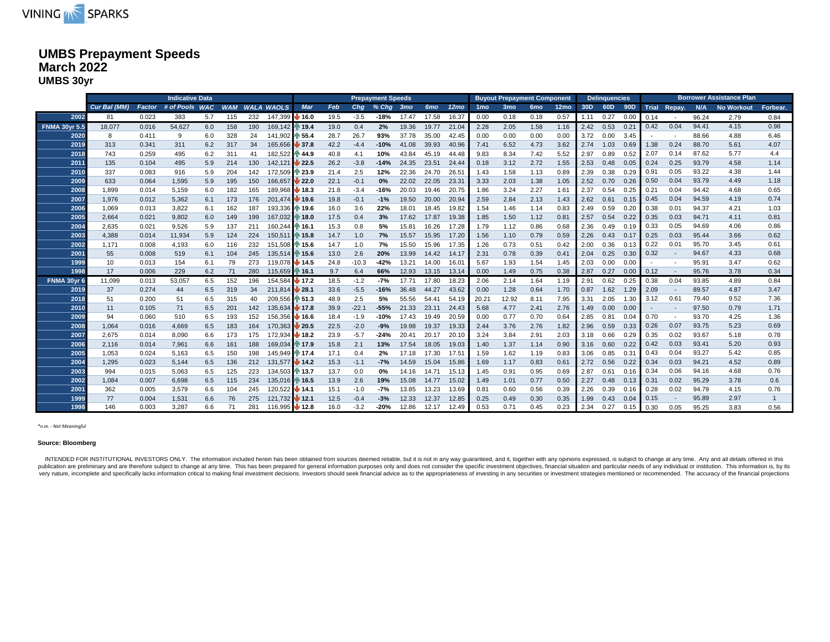

### **UMBS Prepayment Speeds March 2022 UMBS 30yr**

|                      |              |        | <b>Indicative Data</b> |     |            |     |                     |                   |      |         | <b>Prepayment Speeds</b> |       |                 |                  |                 | <b>Buyout Prepayment Component</b> |                 |                  |      | <b>Delinquencies</b> |                 |      |                          |       | <b>Borrower Assistance Plan</b> |          |
|----------------------|--------------|--------|------------------------|-----|------------|-----|---------------------|-------------------|------|---------|--------------------------|-------|-----------------|------------------|-----------------|------------------------------------|-----------------|------------------|------|----------------------|-----------------|------|--------------------------|-------|---------------------------------|----------|
|                      | Cur Bal (MM) | Factor | # of Pools WAC         |     | <b>WAM</b> |     | <b>WALA WAOLS</b>   | <b>Mar</b>        | Feb  | Chq     | % Chg 3mo                |       | 6 <sub>mo</sub> | 12 <sub>mo</sub> | 1 <sub>mo</sub> | 3 <sub>mo</sub>                    | 6 <sub>mo</sub> | 12 <sub>mo</sub> | 30D  | 60D                  | 90 <sub>D</sub> |      | Trial Repay.             | N/A   | <b>No Workout</b>               | Forbear. |
| 2002                 | 81           | 0.023  | 383                    | 5.7 | 115        | 232 | 147,399             | $\bigvee$ 16.0    | 19.5 | $-3.5$  | $-18%$                   | 17.47 | 17.58           | 16.37            | 0.00            | 0.18                               | 0.18            | 0.57             | 1.11 | 0.27                 | 0.00            | 0.14 |                          | 96.24 | 2.79                            | 0.84     |
| <b>FNMA 30yr 5.5</b> | 18,077       | 0.016  | 54,627                 | 6.0 | 158        | 190 | 169,142 19.4        |                   | 19.0 | 0.4     | 2%                       | 19.36 | 19.77           | 21.04            | 2.28            | 2.05                               | 1.58            | 1.16             | 2.42 | 0.53                 | 0.21            | 0.42 | 0.04                     | 94.41 | 4.15                            | 0.98     |
| 2020                 | 8            | 0.411  | 9                      | 6.0 | 328        | 24  | 141,902 155.4       |                   | 28.7 | 26.7    | 93%                      | 37.78 | 35.00           | 42.45            | 0.00            | 0.00                               | 0.00            | 0.00             | 3.72 | 0.00                 | 3.45            |      | $\sim$                   | 88.66 | 4.88                            | 6.46     |
| 2019                 | 313          | 0.341  | 311                    | 6.2 | 317        | 34  | 165,656             | $\downarrow$ 37.8 | 42.2 | $-4.4$  | $-10%$                   | 41.08 | 39.93           | 40.96            | 7.41            | 6.52                               | 4.73            | 3.62             | 2.74 | 1.03                 | 0.69            | 1.38 | 0.24                     | 88.70 | 5.61                            | 4.07     |
| 2018                 | 743          | 0.259  | 495                    | 6.2 | 311        | 41  | 182,522 44.9        |                   | 40.8 | 4.1     | 10%                      | 43.84 | 45.19           | 44.48            | 9.83            | 8.34                               | 7.42            | 5.52             | 2.97 | 0.89                 | 0.52            | 2.07 | 0.14                     | 87.62 | 5.77                            | 4.4      |
| 2011                 | 135          | 0.104  | 495                    | 5.9 | 214        | 130 | 142,121             | 22.5              | 26.2 | $-3.8$  | $-14%$                   | 24.35 | 23.51           | 24.44            | 0.18            | 3.12                               | 2.72            | 1.55             | 2.53 | 0.48                 | 0.05            | 0.24 | 0.25                     | 93.79 | 4.58                            | 1.14     |
| 2010                 | 337          | 0.083  | 916                    | 5.9 | 204        | 142 | 172,509 23.9        |                   | 21.4 | 2.5     | 12%                      | 22.36 | 24.70           | 26.51            | 1.43            | 1.58                               | 1.13            | 0.89             | 2.39 | 0.38                 | 0.29            | 0.91 | 0.05                     | 93.22 | 4.38                            | 1.44     |
| 2009                 | 633          | 0.064  | 1,595                  | 5.9 | 195        | 150 | 166,657             | $\frac{1}{22.0}$  | 22.1 | $-0.1$  | 0%                       | 22.02 | 22.05           | 23.31            | 3.33            | 2.03                               | 1.38            | 1.05             | 2.52 | 0.70                 | 0.26            | 0.50 | 0.04                     | 93.79 | 4.49                            | 1.18     |
| 2008                 | 1.899        | 0.014  | 5,159                  | 6.0 | 182        | 165 | 189.968             | ₩ 18.3            | 21.8 | $-3.4$  | $-16%$                   | 20.03 | 19.46           | 20.75            | 1.86            | 3.24                               | 2.27            | 1.61             | 2.37 | 0.54                 | 0.25            | 0.21 | 0.04                     | 94.42 | 4.68                            | 0.65     |
| 2007                 | 1,976        | 0.012  | 5,362                  | 6.1 | 173        | 176 | 201.474 19.6        |                   | 19.8 | $-0.1$  | $-1%$                    | 19.50 | 20.00           | 20.94            | 2.59            | 2.84                               | 2.13            | 1.43             | 2.62 | 0.61                 | 0.15            | 0.45 | 0.04                     | 94.59 | 4.19                            | 0.74     |
| 2006                 | 1.069        | 0.013  | 3.822                  | 6.1 | 162        | 187 | 193.336 1 19.6      |                   | 16.0 | 3.6     | 22%                      | 18.01 | 18.45           | 19.82            | 1.54            | 1.46                               | 1.14            | 0.83             | 2.49 | 0.59                 | 0.20            | 0.38 | 0.01                     | 94.37 | 4.21                            | 1.03     |
| 2005                 | 2,664        | 0.021  | 9.802                  | 6.0 | 149        | 199 | 167.032 1 18.0      |                   | 17.5 | 0.4     | 3%                       | 17.62 | 17.87           | 19.38            | 1.85            | 1.50                               | 1.12            | 0.81             | 2.57 | 0.54                 | 0.22            | 0.35 | 0.03                     | 94.71 | 4.11                            | 0.81     |
| 2004                 | 2,635        | 0.021  | 9,526                  | 5.9 | 137        | 211 | 160,244 16.1        |                   | 15.3 | 0.8     | 5%                       | 15.81 | 16.26           | 17.28            | 1.79            | 1.12                               | 0.86            | 0.68             | 2.36 | 0.49                 | 0.19            | 0.33 | 0.05                     | 94.69 | 4.06                            | 0.86     |
| 2003                 | 4,388        | 0.014  | 11,934                 | 5.9 | 124        | 224 | 150,511 15.8        |                   | 14.7 | 1.0     | 7%                       | 15.57 | 15.95           | 17.20            | 1.56            | 1.10                               | 0.79            | 0.59             | 2.26 | 0.43                 | 0.17            | 0.25 | 0.03                     | 95.44 | 3.66                            | 0.62     |
| 2002                 | 1,171        | 0.008  | 4,193                  | 6.0 | 116        | 232 | 151,508 15.6        |                   | 14.7 | 1.0     | 7%                       | 15.50 | 15.96           | 17.35            | 1.26            | 0.73                               | 0.51            | 0.42             | 2.00 | 0.36                 | 0.13            | 0.22 | 0.01                     | 95.70 | 3.45                            | 0.61     |
| 2001                 | 55           | 0.008  | 519                    | 6.1 | 104        | 245 | 135,514 15.6        |                   | 13.0 | 2.6     | 20%                      | 13.99 | 14.42           | 14.17            | 2.31            | 0.78                               | 0.39            | 0.41             | 2.04 | 0.25                 | 0.30            | 0.32 | $\sim$                   | 94.67 | 4.33                            | 0.68     |
| 1999                 | 10           | 0.013  | 154                    | 6.1 | 79         | 273 | 119.078 3 14.5      |                   | 24.8 | $-10.3$ | $-42%$                   | 13.21 | 14.00           | 16.01            | 5.67            | 1.93                               | 1.54            | 1.45             | 2.03 | 0.00                 | 0.00            |      |                          | 95.91 | 3.47                            | 0.62     |
| 1998                 | 17           | 0.006  | 229                    | 6.2 | 71         | 280 | 115,659 16.1        |                   | 9.7  | 6.4     | 66%                      | 12.93 | 13.15           | 13.14            | 0.00            | 1.49                               | 0.75            | 0.38             | 2.87 | 0.27                 | 0.00            | 0.12 |                          | 95.76 | 3.78                            | 0.34     |
| <b>FNMA 30vr 6</b>   | 11.099       | 0.013  | 53,057                 | 6.5 | 152        | 196 | 154.584 <b>17.2</b> |                   | 18.5 | $-1.2$  | $-7%$                    | 17.71 | 17.80           | 18.23            | 2.06            | 2.14                               | 1.64            | 1.19             | 2.91 | 0.62                 | 0.25            | 0.38 | 0.04                     | 93.85 | 4.89                            | 0.84     |
| 2019                 | 37           | 0.274  | 44                     | 6.5 | 319        | 34  | 211,814 28.1        |                   | 33.6 | $-5.5$  | $-16%$                   | 36.48 | 44.27           | 43.62            | 0.00            | 1.28                               | 0.64            | 1.70             | 0.87 | 1.62                 | 1.29            | 2.09 | $\sim$                   | 89.57 | 4.87                            | 3.47     |
| 2018                 | 51           | 0.200  | 51                     | 6.5 | 315        | 40  | 209,556 151.3       |                   | 48.9 | 2.5     | 5%                       | 55.56 | 54.41           | 54.19            | 20.21           | 12.92                              | 8.11            | 7.95             | 3.31 | 2.05                 | 1.30            | 3.12 | 0.61                     | 79.40 | 9.52                            | 7.36     |
| 2010                 | 11           | 0.105  | 71                     | 6.5 | 201        | 142 | 135,634             | $\bigvee$ 17.8    | 39.9 | $-22.1$ | $-55%$                   | 21.33 | 23.11           | 24.43            | 5.68            | 4.77                               | 2.41            | 2.76             | 1.49 | 0.00                 | 0.00            |      | $\overline{\phantom{a}}$ | 97.50 | 0.79                            | 1.71     |
| 2009                 | 94           | 0.060  | 510                    | 6.5 | 193        | 152 | 156,356 16.6        |                   | 18.4 | $-1.9$  | $-10%$                   | 17.43 | 19.49           | 20.59            | 0.00            | 0.77                               | 0.70            | 0.64             | 2.85 | 0.81                 | 0.04            | 0.70 | $\sim$                   | 93.70 | 4.25                            | 1.36     |
| 2008                 | 1,064        | 0.016  | 4,669                  | 6.5 | 183        | 164 | 170,363 20.5        |                   | 22.5 | $-2.0$  | $-9%$                    | 19.98 | 19.37           | 19.33            | 2.44            | 3.76                               | 2.76            | 1.82             | 2.96 | 0.59                 | 0.33            | 0.26 | 0.07                     | 93.75 | 5.23                            | 0.69     |
| 2007                 | 2,675        | 0.014  | 8,090                  | 6.6 | 173        | 175 | 172,934 18.2        |                   | 23.9 | $-5.7$  | $-24%$                   | 20.41 | 20.17           | 20.10            | 3.24            | 3.84                               | 2.91            | 2.03             | 3.18 | 0.66                 | 0.29            | 0.35 | 0.02                     | 93.67 | 5.18                            | 0.78     |
| 2006                 | 2,116        | 0.014  | 7,961                  | 6.6 | 161        | 188 | 169,034 17.9        |                   | 15.8 | 2.1     | 13%                      | 17.54 | 18.05           | 19.03            | 1.40            | 1.37                               | 1.14            | 0.90             | 3.16 | 0.60                 | 0.22            | 0.42 | 0.03                     | 93.41 | 5.20                            | 0.93     |
| 2005                 | 1,053        | 0.024  | 5,163                  | 6.5 | 150        | 198 | 145.949 17.4        |                   | 17.1 | 0.4     | 2%                       | 17.18 | 17.30           | 17.51            | 1.59            | 1.62                               | 1.19            | 0.83             | 3.06 | 0.85                 | 0.31            | 0.43 | 0.04                     | 93.27 | 5.42                            | 0.85     |
| 2004                 | 1,295        | 0.023  | 5,144                  | 6.5 | 136        | 212 | 131.577 14.2        |                   | 15.3 | $-1.1$  | $-7%$                    | 14.59 | 15.04           | 15.86            | 1.69            | 1.17                               | 0.83            | 0.61             | 2.72 | 0.56                 | 0.22            | 0.34 | 0.03                     | 94.21 | 4.52                            | 0.89     |
| 2003                 | 994          | 0.015  | 5,063                  | 6.5 | 125        | 223 | 134.503 13.7        |                   | 13.7 | 0.0     | 0%                       | 14.16 | 14.71           | 15.13            | 1.45            | 0.91                               | 0.95            | 0.69             | 2.87 | 0.61                 | 0.16            | 0.34 | 0.06                     | 94.16 | 4.68                            | 0.76     |
| 2002                 | 1.084        | 0.007  | 6.698                  | 6.5 | 115        | 234 | 135.016 1 16.5      |                   | 13.9 | 2.6     | 19%                      | 15.08 | 14.77           | 15.02            | 1.49            | 1.01                               | 0.77            | 0.50             | 2.27 | 0.48                 | 0.13            | 0.31 | 0.02                     | 95.29 | 3.78                            | 0.6      |
| 2001                 | 362          | 0.005  | 3,579                  | 6.6 | 104        | 245 | 120,522 14.1        |                   | 15.1 | $-1.0$  | $-7%$                    | 13.85 | 13.23           | 13.69            | 0.81            | 0.60                               | 0.56            | 0.39             | 2.26 | 0.39                 | 0.16            | 0.28 | 0.02                     | 94.79 | 4.15                            | 0.76     |
| 1999                 | 77           | 0.004  | 1,531                  | 6.6 | 76         | 275 | 121,732 12.1        |                   | 12.5 | $-0.4$  | $-3%$                    | 12.33 | 12.37           | 12.85            | 0.25            | 0.49                               | 0.30            | 0.35             | 1.99 | 0.43                 | 0.04            | 0.15 | $\overline{\phantom{a}}$ | 95.89 | 2.97                            |          |
| 1998                 | 146          | 0.003  | 3.287                  | 6.6 | 71         | 281 | 116,995 <b>12.8</b> |                   | 16.0 | $-3.2$  | $-20%$                   | 12.86 | 12.17           | 12.49            | 0.53            | 0.71                               | 0.45            | 0.23             | 2.34 | 0.27                 | 0.15            | 0.30 | 0.05                     | 95.25 | 3.83                            | 0.56     |

#### *\*n.m. - Not Meaningful*

#### **Source: Bloomberg**

INTENDED FOR INSTITUTIONAL INVESTORS ONLY. The information included herein has been obtained from sources deemed reliable, but it is not in any way guaranteed, and it, together with any opinions expressed, is subject to ch publication are preliminary and are therefore subject to change at any time. This has been prepared for general information purposes only and does not consider the specific investment objectives, financial situation and pa very nature, incomplete and specifically lacks information critical to making final investment decisions. Investors should seek financial advice as to the appropriateness of investing in any securities or investment strate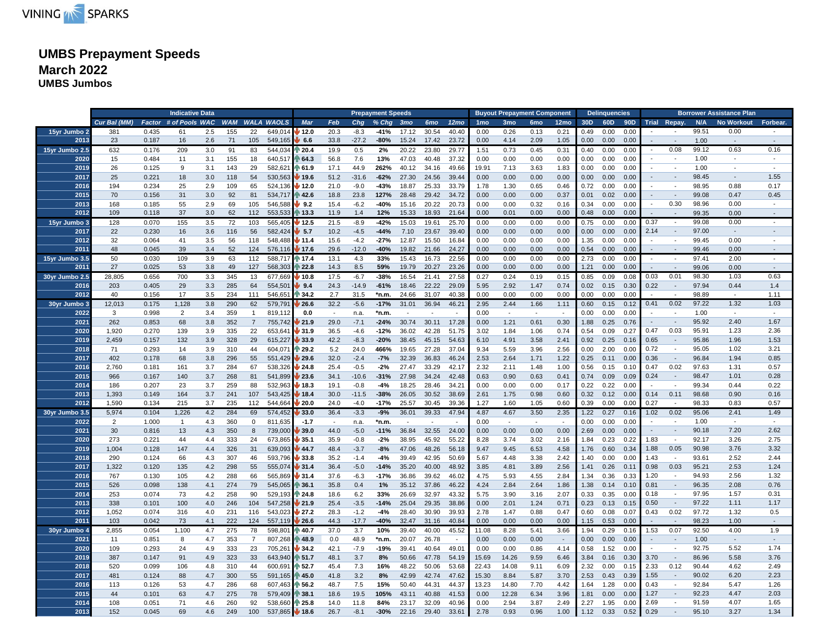

# **UMBS Prepayment Speeds March 2022 UMBS Jumbos**

|                |                |               | <b>Indicative Data</b> |     |            |                |                   |               |        |         | <b>Prepayment Speeds</b> |                          |            |                          |                 |                 | <b>Buyout Prepayment Component</b> |                  |      | <b>Delinquencies</b> |      |              |                             |       | <b>Borrower Assistance Plan</b> |                          |
|----------------|----------------|---------------|------------------------|-----|------------|----------------|-------------------|---------------|--------|---------|--------------------------|--------------------------|------------|--------------------------|-----------------|-----------------|------------------------------------|------------------|------|----------------------|------|--------------|-----------------------------|-------|---------------------------------|--------------------------|
|                | Cur Bal (MM)   | <b>Factor</b> | # of Pools WAC         |     | <b>WAM</b> |                | <b>WALA WAOLS</b> | Mar           | Feb    | Cha     | $%$ Chg                  | 3 <sub>mo</sub>          | <b>6mo</b> | 12 <sub>mo</sub>         | 1 <sub>mo</sub> | 3 <sub>mo</sub> | 6 <sub>mo</sub>                    | 12 <sub>mo</sub> | 30D  | 60 <sub>D</sub>      | 90D  |              | Trial Repay.                | N/A   | <b>No Workout</b>               | Forbear.                 |
| 15yr Jumbo 2   | 381            | 0.435         | 61                     | 2.5 | 155        | 22             | 649.014           | 12.0          | 20.3   | $-8.3$  | $-41%$                   | 17.12                    | 30.54      | 40.40                    | 0.00            | 0.26            | 0.13                               | 0.21             | 0.49 | 0.00                 | 0.00 |              |                             | 99.51 | 0.00                            |                          |
| 2013           | 23             | 0.187         | 16                     | 2.6 | 71         | 105            | 549,165           | 6.6           | 33.8   | $-27.2$ | -80%                     | 15.24                    | 17.42      | 23.72                    | 0.00            | 4.14            | 2.09                               | 1.05             | 0.00 | 0.00                 | 0.00 |              | $\sim$                      | 1.00  | $\sim$                          | $\mathcal{L}$            |
| 15yr Jumbo 2.5 | 632            | 0.176         | 209                    | 3.0 | 91         | 83             | 544,034           | $\sqrt{20.4}$ | 19.9   | 0.5     | 2%                       | 20.22                    | 23.80      | 29.77                    | 1.51            | 0.73            | 0.45                               | 0.31             | 0.40 | 0.00                 | 0.00 |              | 0.08                        | 99.12 | 0.63                            | 0.16                     |
| 2020           | 15             | 0.484         | 11                     | 3.1 | 155        | 18             | 640,517           | 64.3          | 56.8   | 7.6     | 13%                      | 47.03                    | 40.48      | 37.32                    | 0.00            | 0.00            | 0.00                               | 0.00             | 0.00 | 0.00                 | 0.00 |              |                             | 1.00  |                                 |                          |
| 2019           | 26             | 0.125         | 9                      | 3.1 | 143        | 29             | 582,62            | 61.9          | 17.1   | 44.9    | 262%                     | 40.12                    | 34.16      | 49.66                    | 19.91           | 7.13            | 3.63                               | 1.83             | 0.00 | 0.00                 | 0.00 |              | $\blacksquare$              | 1.00  |                                 | $\blacksquare$           |
| 2017           | 25             | 0.221         | 18                     | 3.0 | 118        | 54             | 530,563           | 19.6          | 51.2   | $-31.6$ | $-62%$                   | 27.30                    | 24.56      | 39.44                    | 0.00            | 0.00            | 0.00                               | 0.00             | 0.00 | 0.00                 | 0.00 |              | $\overline{\phantom{a}}$    | 98.45 |                                 | 1.55                     |
| 2016           | 194            | 0.234         | 25                     | 2.9 | 109        | 65             | 524,136           | 12.0          | 21.0   | $-9.0$  | -43%                     | 18.87                    | 25.33      | 33.79                    | 1.78            | 1.30            | 0.65                               | 0.46             | 0.72 | 0.00                 | 0.00 |              |                             | 98.95 | 0.88                            | 0.17                     |
| 2015           | 70             | 0.156         | 31                     | 3.0 | 92         | 81             | 534,717           | 42.6          | 18.8   | 23.8    | 127%                     | 28.48                    | 29.42      | 34.72                    | 0.00            | 0.00            | 0.00                               | 0.37             | 0.01 | 0.02                 | 0.00 |              | $\sim$                      | 99.08 | 0.47                            | 0.45                     |
|                |                |               |                        |     |            |                |                   |               |        |         |                          |                          |            |                          |                 |                 |                                    |                  |      |                      |      |              |                             |       |                                 |                          |
| 2013           | 168            | 0.185         | 55                     | 2.9 | 69         | 105            | 546,588           | 9.2           | 15.4   | $-6.2$  | $-40%$                   | 15.16                    | 20.22      | 20.73                    | 0.00            | 0.00            | 0.32                               | 0.16             | 0.34 | 0.00                 | 0.00 |              | 0.30                        | 98.96 | 0.00                            |                          |
| 2012           | 109            | 0.118         | 37                     | 3.0 | 62         | 112            | 553,533           | ੈ 13.3        | 11.9   | 1.4     | 12%                      | 15.33                    | 18.93      | 21.64                    | 0.00            | 0.01            | 0.00                               | 0.00             | 0.48 | 0.00                 | 0.00 |              |                             | 99.35 | 0.00                            | $\overline{a}$           |
| 15yr Jumbo:    | 128            | 0.070         | 155                    | 3.5 | 72         | 103            | 565.405           | 12.5          | 21.5   | $-8.9$  | $-42%$                   | 15.03                    | 19.61      | 25.70                    | 0.00            | 0.00            | 0.00                               | 0.00             | 0.75 | 0.00                 | 0.00 | 0.37         | $\overline{\phantom{a}}$    | 99.08 | 0.00                            | $\overline{\phantom{a}}$ |
| 2017           | 22             | 0.230         | 16                     | 3.6 | 116        | 56             | 582,424           | 5.7           | 10.2   | $-4.5$  | $-44%$                   | 7.10                     | 23.67      | 39.40                    | 0.00            | 0.00            | 0.00                               | 0.00             | 0.00 | 0.00                 | 0.00 | 2.14         | $\overline{\phantom{a}}$    | 97.00 | $\sim$                          |                          |
| 2012           | 32             | 0.064         | 41                     | 3.5 | 56         | 118            | 548,488           | ∦ 11.4        | 15.6   | $-4.2$  | $-27%$                   | 12.87                    | 15.50      | 16.84                    | 0.00            | 0.00            | 0.00                               | 0.00             | 1.35 | 0.00                 | 0.00 |              |                             | 99.45 | 0.00                            |                          |
| 2011           | 48             | 0.045         | 39                     | 3.4 | 52         | 124            | 576,116           | 17.6          | 29.6   | $-12.0$ | $-40%$                   | 19.82                    | 21.66      | 24.27                    | 0.00            | 0.00            | 0.00                               | 0.00             | 0.54 | 0.00                 | 0.00 | $\sim$       | $\blacksquare$              | 99.46 | 0.00                            | $\blacksquare$           |
| 15yr Jumbo 3.5 | 50             | 0.030         | 109                    | 3.9 | 63         | 112            | 588.717           | <b>17.4</b>   | 13.1   | 4.3     | 33%                      | 15.43                    | 16.73      | 22.56                    | 0.00            | 0.00            | 0.00                               | 0.00             | 2.73 | 0.00                 | 0.00 |              |                             | 97.41 | 2.00                            |                          |
| $201 -$        | 27             | 0.025         | 53                     | 3.8 | 49         | 127            | 568,303           | 22.8          | 14.3   | 8.5     | 59%                      | 19.79                    | 20.27      | 23.26                    | 0.00            | 0.00            | 0.00                               | 0.00             | 1.21 | 0.00                 | 0.00 |              | $\sim$                      | 99.06 | 0.00                            |                          |
| 30yr Jumbo 2.  | 28,805         | 0.656         | 700                    | 3.3 | 345        | 13             | 677,669           | ∕ 10.8        | 17.5   | $-6.7$  | -38%                     | 16.54                    | 21.41      | 27.58                    | 0.27            | 0.24            | 0.19                               | 0.15             | 0.85 | 0.09                 | 0.08 | 0.03         | 0.01                        | 98.30 | 1.03                            | 0.63                     |
| 2016           | 203            | 0.405         | 29                     | 3.3 | 285        | 64             | 554,50            | 9.4           | 24.3   | $-14.9$ | $-61%$                   | 18.46                    | 22.22      | 29.09                    | 5.95            | 2.92            | 1.47                               | 0.74             | 0.02 | 0.15                 | 0.30 | 0.22         | $\overline{\phantom{a}}$    | 97.94 | 0.44                            | 1.4                      |
| 2012           | 40             | 0.156         | 17                     | 3.5 | 234        | 111            | 546,65            | 34.2          | 2.7    | 31.5    | *n.m.                    | 24.66                    | 31.07      | 40.38                    | 0.00            | 0.00            | 0.00                               | 0.00             | 0.00 | 0.00                 | 0.00 |              |                             | 98.89 | $\sim$                          | 1.11                     |
| 30yr Jumbo:    | 12,013         | 0.175         | 1,128                  | 3.8 | 290        | 62             | 579,791           | 26.6          | 32.2   | $-5.6$  | $-17%$                   | 31.01                    | 36.94      | 46.21                    | 2.95            | 2.44            | 1.66                               | 1.11             | 0.60 | 0.15                 | 0.12 | 0.41         | 0.02                        | 97.22 | 1.32                            | 1.03                     |
| 2022           | 3              | 0.998         | $\overline{2}$         | 3.4 | 359        | $\mathbf{1}$   | 819,112           | 0.0           | $\sim$ | n.a.    | *n.m.                    | $\overline{\phantom{a}}$ |            |                          | 0.00            | $\sim$          | $\overline{\phantom{a}}$           | $\sim$           | 0.00 | 0.00                 | 0.00 |              | $\sim$                      | 1.00  | $\overline{\phantom{a}}$        |                          |
| 2021           | 262            | 0.853         | 68                     | 3.8 | 352        | $\overline{7}$ | 755,742           | 21.9          | 29.0   | $-7.1$  | $-24%$                   | 30.74                    | 30.11      | 17.28                    | 0.00            | 1.21            | 0.61                               | 0.30             | 1.88 | 0.25                 | 0.76 |              | $\sim$                      | 95.92 | 2.40                            | 1.67                     |
| 2020           | 1,920          | 0.270         | 139                    | 3.9 | 335        | 22             | 653,641           | 31.9          | 36.5   | $-4.6$  | $-12%$                   | 36.02                    | 42.28      | 51.75                    | 3.02            | 1.84            | 1.06                               | 0.74             | 0.54 | 0.09                 | 0.27 | 0.47         | 0.03                        | 95.91 | 1.23                            | 2.36                     |
| 2019           | 2,459          | 0.157         | 132                    | 3.9 | 328        | 29             | 615,227           | 33.9          | 42.2   | $-8.3$  | $-20%$                   | 38.45                    | 45.15      | 54.63                    | 6.10            | 4.91            | 3.58                               | 2.41             | 0.92 | 0.25                 | 0.16 | 0.65         | $\overline{\phantom{a}}$    | 95.86 | 1.96                            | 1.53                     |
| 2018           | 71             | 0.293         | 14                     | 3.9 | 310        | 44             | 604,07            | 29.2          | 5.2    | 24.0    | 466%                     | 19.65                    | 27.28      | 37.04                    | 9.34            | 5.59            | 3.96                               | 2.56             | 0.00 | 2.00                 | 0.00 | 0.72         | $\sim$                      | 95.05 | 1.02                            | 3.21                     |
| 2017           | 402            | 0.178         | 68                     | 3.8 | 296        | 55             | 551,429           | 29.6          | 32.0   | $-2.4$  | $-7%$                    | 32.39                    | 36.83      | 46.24                    | 2.53            | 2.64            | 1.71                               | 1.22             | 0.25 | 0.11                 | 0.00 | 0.36         | $\overline{\phantom{a}}$    | 96.84 | 1.94                            | 0.85                     |
| 2016           |                | 0.181         |                        |     | 284        |                |                   | 24.8          | 25.4   |         | $-2%$                    | 27.47                    | 33.29      | 42.17                    |                 | 2.11            | 1.48                               | 1.00             | 0.56 |                      | 0.10 |              |                             |       |                                 | 0.57                     |
|                | 2,760          |               | 161                    | 3.7 |            | 67<br>81       | 538,326           |               |        | $-0.5$  |                          |                          |            |                          | 2.32            |                 |                                    |                  | 0.74 | 0.15                 |      | 0.47<br>0.24 | 0.02<br>$\sim$              | 97.63 | 1.31<br>1.01                    |                          |
| 2015           | 966            | 0.167         | 140                    | 3.7 | 268        |                | 541,899           | 23.6          | 34.1   | $-10.6$ | $-31%$                   | 27.98                    | 34.24      | 42.48                    | 0.63            | 0.90            | 0.63                               | 0.41             |      | 0.09                 | 0.09 |              |                             | 98.47 |                                 | 0.28                     |
| 2014           | 186            | 0.207         | 23                     | 3.7 | 259        | 88             | 532.963           | 18.3          | 19.1   | $-0.8$  | $-4%$                    | 18.25                    | 28.46      | 34.21                    | 0.00            | 0.00            | 0.00                               | 0.17             | 0.22 | 0.22                 | 0.00 |              |                             | 99.34 | 0.44                            | 0.22                     |
| 2013           | 1,393          | 0.149         | 164                    | 3.7 | 241        | 107            | 543,425           | 18.4          | 30.0   | $-11.5$ | $-38%$                   | 26.05                    | 30.52      | 38.69                    | 2.61            | 1.75            | 0.98                               | 0.60             | 0.32 | 0.12                 | 0.00 | 0.14         | 0.11                        | 98.68 | 0.90                            | 0.16                     |
| 2012           | 1,590          | 0.134         | 215                    | 3.7 | 235        | 112            | 544,664           | 20.0          | 24.0   | $-4.0$  | $-17%$                   | 25.57                    | 30.45      | 39.36                    | 1.27            | 1.60            | 1.05                               | 0.60             | 0.39 | 0.00                 | 0.00 | 0.27         |                             | 98.33 | 0.83                            | 0.57                     |
| 30yr Jumbo 3.5 | 5,974          | 0.104         | 1,226                  | 4.2 | 284        | 69             | 574,452           | 33.0          | 36.4   | $-3.3$  | $-9%$                    | 36.01                    | 39.33      | 47.94                    | 4.87            | 4.67            | 3.50                               | 2.35             | 1.22 | 0.27                 | 0.16 | 1.02         | 0.02                        | 95.06 | 2.41                            | 1.49                     |
| 2022           | $\overline{2}$ | 1.000         | $\mathbf{1}$           | 4.3 | 360        | $\mathbf 0$    | 811,635           | $-1.7$        | $\sim$ | n.a.    | *n.m.                    | $\sim$                   | $\sim$     | $\overline{\phantom{a}}$ | 0.00            | $\sim$          | $\sim$                             | $\sim$           | 0.00 | 0.00                 | 0.00 |              | $\overline{\phantom{a}}$    | 1.00  | $\overline{\phantom{a}}$        |                          |
| 2021           | 30             | 0.816         | 13                     | 4.3 | 350        | 8              | 739,000           | 39.0          | 44.0   | $-5.0$  | $-11%$                   | 36.84                    | 32.55      | 24.00                    | 0.00            | 0.00            | 0.00                               | 0.00             | 2.69 | 0.00                 | 0.00 |              | $\sim$                      | 90.18 | 7.20                            | 2.62                     |
| 2020           | 273            | 0.221         | 44                     | 4.4 | 333        | 24             | 673.865           | 35.1          | 35.9   | $-0.8$  | $-2%$                    | 38.95                    | 45.92      | 55.22                    | 8.28            | 3.74            | 3.02                               | 2.16             | 1.84 | 0.23                 | 0.22 | 1.83         | $\overline{\phantom{a}}$    | 92.17 | 3.26                            | 2.75                     |
| 2019           | 1,004          | 0.128         | 147                    | 4.4 | 326        | 31             | 639,093           | 44.7          | 48.4   | $-3.7$  | $-8%$                    | 47.06                    | 48.26      | 56.18                    | 9.47            | 9.45            | 6.53                               | 4.58             | 1.76 | 0.60                 | 0.34 | 1.88         | 0.05                        | 90.98 | 3.76                            | 3.32                     |
| 2018           | 290            | 0.124         | 66                     | 4.3 | 307        | 46             | 593,796           | 33.8          | 35.2   | $-1.4$  | $-4%$                    | 39.49                    | 42.95      | 50.69                    | 5.67            | 4.48            | 3.38                               | 2.42             | 1.40 | 0.00                 | 0.00 | 1.43         |                             | 93.61 | 2.52                            | 2.44                     |
| 2017           | 1,322          | 0.120         | 135                    | 4.2 | 298        | 55             | 555,074           | 31.4          | 36.4   | $-5.0$  | $-14%$                   | 35.20                    | 40.00      | 48.92                    | 3.85            | 4.81            | 3.89                               | 2.56             | 1.41 | 0.26                 | 0.11 | 0.98         | 0.03                        | 95.21 | 2.53                            | 1.24                     |
| 2016           | 767            | 0.130         | 105                    | 4.2 | 288        | 66             | 565,869           | 31.4          | 37.6   | $-6.3$  | $-17%$                   | 36.86                    | 39.62      | 46.02                    | 4.75            | 5.93            | 4.55                               | 2.84             | 1.34 | 0.36                 | 0.33 | 1.20         | $\sim$                      | 94.93 | 2.56                            | 1.32                     |
| 2015           | 526            | 0.098         | 138                    | 4.1 | 274        | 79             | 545,065           | 36.1          | 35.8   | 0.4     | 1%                       | 35.12                    | 37.86      | 46.22                    | 4.24            | 2.84            | 2.64                               | 1.86             | 1.38 | 0.14                 | 0.10 | 0.81         | $\mathcal{L}_{\mathcal{A}}$ | 96.35 | 2.08                            | 0.76                     |
| 2014           | 253            | 0.074         | 73                     | 4.2 | 258        | 90             | 529,193           | । 24.8        | 18.6   | 6.2     | 33%                      | 26.69                    | 32.97      | 43.32                    | 5.75            | 3.90            | 3.16                               | 2.07             | 0.33 | 0.35                 | 0.00 | 0.18         | $\sim$                      | 97.95 | 1.57                            | 0.31                     |
| 2013           | 338            | 0.101         | 100                    | 4.0 | 246        | 104            | 547,258           | 21.9          | 25.4   | $-3.5$  | $-14%$                   | 25.04                    | 29.35      | 38.86                    | 0.00            | 2.01            | 1.24                               | 0.71             | 0.23 | 0.13                 | 0.15 | 0.50         | $\overline{\phantom{a}}$    | 97.22 | 1.11                            | 1.17                     |
| 2012           | 1,052          | 0.074         | 316                    | 4.0 | 231        | 116            | 543,023           | 27.2          | 28.3   | $-1.2$  | $-4%$                    | 28.40                    | 30.90      | 39.93                    | 2.78            | 1.47            | 0.88                               | 0.47             | 0.60 | 0.08                 | 0.07 | 0.43         | 0.02                        | 97.72 | 1.32                            | 0.5                      |
| 2011           | 103            | 0.042         | 73                     | 4.1 | 222        | 124            | 557,119           | 26.6          | 44.3   | $-17.7$ | -40%                     | 32.47                    | 31.16      | 40.84                    | 0.00            | 0.00            | 0.00                               | 0.00             | 1.15 | 0.53                 | 0.00 |              | $\overline{\phantom{a}}$    | 98.23 | 1.00                            | $\blacksquare$           |
| 30yr Jumbo 4   | 2,855          | 0.054         | 1,100                  | 4.7 | 275        | 78             | 598,80            | 40.7          | 37.0   | 3.7     | 10%                      | 39.40                    | 40.00      | 45.52                    | 11.08           | 8.28            | 5.41                               | 3.66             | 1.94 | 0.29                 | 0.16 | 1.53         | 0.07                        | 92.50 | 4.00                            | 1.9                      |
| $202 -$        | 11             | 0.851         | 8                      | 4.7 | 353        | $\overline{7}$ | 807,268           | 48.9          | 0.0    | 48.9    | *n.m.                    | 20.07                    | 26.78      |                          | 0.00            | 0.00            | 0.00                               |                  | 0.00 | 0.00                 | 0.00 |              | $\overline{\phantom{a}}$    | 1.00  | $\mathcal{L}$                   |                          |
| 2020           | 109            | 0.293         | 24                     | 4.9 | 333        | 23             | 705,261           | 34.2          | 42.1   | $-7.9$  | -19%                     | 39.41                    | 40.64      | 49.01                    | 0.00            | 0.00            | 0.86                               | 4.14             | 0.58 | 1.52                 | 0.00 |              | $\sim$                      | 92.75 | 5.52                            | 1.74                     |
| 2019           | 387            | 0.147         | 91                     | 4.9 | 323        | 33             | 643,940           | 51.7          | 48.1   | 3.7     | 8%                       | 50.66                    | 47.78      | 54.19                    | 15.69           | 14.26           | 9.59                               | 6.46             | 3.84 | 0.16                 | 0.30 | 3.70         | $\sim$                      | 86.96 | 5.58                            | 3.76                     |
| 2018           | 520            | 0.099         | 106                    | 4.8 | 310        | 44             | 600,69            | 52.7          | 45.4   | 7.3     | 16%                      | 48.22                    | 50.06      | 53.68                    | 22.43           | 14.08           | 9.11                               | 6.09             | 2.32 | 0.00                 | 0.15 | 2.33         | 0.12                        | 90.44 | 4.62                            | 2.49                     |
| 2017           |                | 0.124         | 88                     |     | 300        | 55             | 591,165           | 45.0          | 41.8   | 3.2     | 8%                       | 42.99                    | 42.74      | 47.62                    |                 | 8.84            | 5.87                               | 3.70             | 2.53 | 0.43                 | 0.39 | 1.55         | $\overline{\phantom{a}}$    | 90.02 |                                 | 2.23                     |
|                | 481            |               |                        | 4.7 |            |                |                   |               |        |         |                          |                          |            |                          | 15.30           |                 |                                    |                  |      |                      |      |              | $\sim$                      |       | 6.20                            |                          |
| 2016           | 113            | 0.126         | 53                     | 4.7 | 286        | 68             | 607,463           | 56.2          | 48.7   | 7.5     | 15%                      | 50.40                    | 44.31      | 44.37                    | 13.23           | 14.80           | 7.70                               | 4.42             | 1.64 | 1.28                 | 0.00 | 0.43         |                             | 92.84 | 5.47                            | 1.26                     |
| 2015           | 44             | 0.101         | 63                     | 4.7 | 275        | 78             | 579,409           | 38.1          | 18.6   | 19.5    | 105%                     | 43.11                    | 40.88      | 41.53                    | 0.00            | 12.28           | 6.34                               | 3.96             | 1.81 | 0.00                 | 0.00 | 1.27         | $\mathcal{L}_{\mathcal{A}}$ | 92.23 | 4.47                            | 2.03                     |
| 2014           | 108            | 0.051         | 71                     | 4.6 | 260        | 92             | 538,660           | 25.8          | 14.0   | 11.8    | 84%                      | 23.17                    | 32.09      | 40.96                    | 0.00            | 2.94            | 3.87                               | 2.49             | 2.27 | 1.95                 | 0.00 | 2.69         |                             | 91.59 | 4.07                            | 1.65                     |
| 2013           | 152            | 0.045         | 69                     | 4.6 | 249        | 100            | 537,865           | 18.6          | 26.7   | $-8.1$  | $-30%$                   | 22.16                    | 29.40      | 33.61                    | 2.78            | 0.93            | 0.96                               | 1.00             | 1.12 | 0.33                 | 0.52 | 0.29         |                             | 95.10 | 3.27                            | 1.34                     |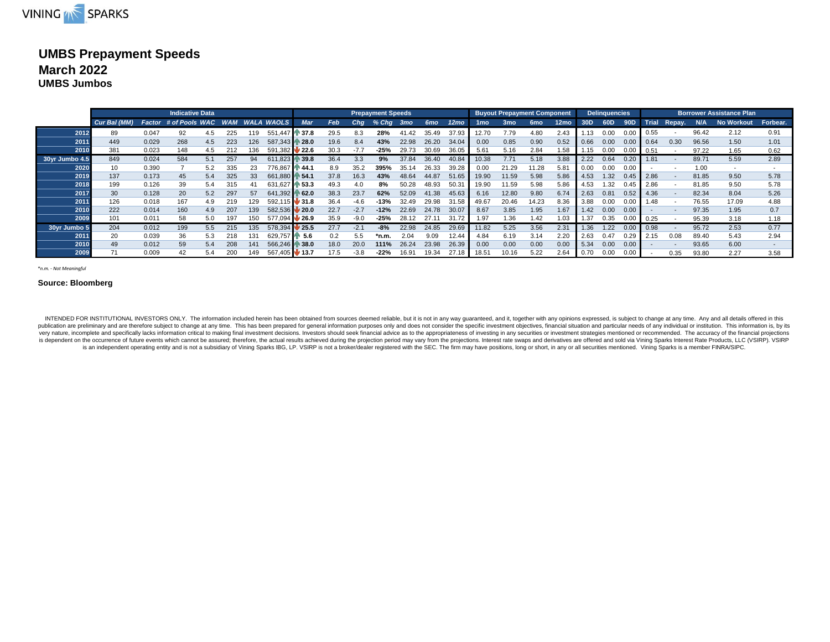

### **UMBS Prepayment Speeds March 2022 UMBS Jumbos**

|                | <b>Indicative Data</b> |       |                       |     |                 |     |                |                            |      |        | <b>Prepayment Speeds</b> |                 |       |                  |                 | <b>Buyout Prepayment Component</b> |                 |                  |      | <b>Delinquencies</b> |                  |              |        |       | <b>Borrower Assistance Plan</b> |          |
|----------------|------------------------|-------|-----------------------|-----|-----------------|-----|----------------|----------------------------|------|--------|--------------------------|-----------------|-------|------------------|-----------------|------------------------------------|-----------------|------------------|------|----------------------|------------------|--------------|--------|-------|---------------------------------|----------|
|                | Cur Bal (MM)           |       | Factor # of Pools WAC |     |                 |     | WAM WALA WAOLS | Mar                        | Feb  | Cha    | $%$ Chg                  | 3 <sub>mo</sub> | 6mo   | 12 <sub>mo</sub> | 1 <sub>mo</sub> | 3 <sub>mo</sub>                    | 6 <sub>mo</sub> | 12 <sub>mo</sub> | 30D  | 60D                  | 90 <sub>D</sub>  | <b>Trial</b> | Repay. | N/A   | <b>No Workout</b>               | Forbear. |
| 2012           | 89                     | 0.047 | 92                    | 4.5 | 225             | 119 | 551.447        | 37.8                       | 29.5 | 8.3    | 28%                      | 41.42           | 35.49 | 37.93            | 12.70           | 7.79                               | 4.80            | 2.43             |      | 0.00                 |                  | 0.55         |        | 96.42 | 2.12                            | 0.91     |
| 2011           | 449                    | 0.029 | 268                   | 4.5 | 223             | 126 | 587,343        | N 28.0                     | 19.6 | 8.4    | 43%                      | 22.98           | 26.20 | 34.04            | 0.00            | 0.85                               | 0.90            | 0.52             | 0.66 | 0.00                 | 0.0              | 0.64         | 0.30   | 96.56 | 1.50                            | 1.01     |
| 2010           | 381                    | 0.023 | 148                   | 4.5 | 212             | 136 | 591.382        | 22.6                       | 30.3 | $-7.7$ | $-25%$                   | 29.73           | 30.69 | 36.05            | 5.61            | 5.16                               | 2.84            | 1.58             | 1.15 | 0.00                 |                  | 0.51         |        | 97.22 | 1.65                            | 0.62     |
| 30yr Jumbo 4.5 | 849                    | 0.024 | 584                   | 5.1 | 257             | 94  | 611.823        | $\, 39.8$                  | 36.4 | 3.3    | 9%                       | 37.84           | 36.40 | 40.84            | 10.38           | 7.71                               | 5.18            | 3.88             | 2.22 | 0.64                 | 0.20             | 1.81         |        | 89.71 | 5.59                            | 2.89     |
| 2020           | 10                     | 0.390 |                       | 5.2 | 335             | 23  | 776.867        | N 44.1                     | 8.9  | 35.2   | 395%                     | 35.14           | 26.33 | 39.28            | 0.00            | 21.29                              | 11.28           | 5.81             | 0.00 | 0.00                 | 0.00             |              |        | 1.00  |                                 |          |
| 2019           | 137                    | 0.173 | 45                    | 5.4 | 325             | 33  | 661,880        | $\triangleright$ 54.1      | 37.8 | 16.3   | 43%                      | 48.64           | 44.87 | 51.65            | 19.90           | 11.59                              | 5.98            | 5.86             | 4.53 | 1.32                 | 0.45             | 2.86         |        | 81.85 | 9.50                            | 5.78     |
| 2018           | 199                    | 0.126 | 39                    | 5.4 | 315             |     | 631.627        | 53.3                       | 49.3 |        | 8%                       | 50.28           | 48.93 | 50.3             | 19.90           | 11.59                              | 5.98            | 5.86             | 4.53 | 1.32                 | 0.45             | 2.86         |        | 81.85 | 9.50                            | 5.78     |
| 2017           | 30                     | 0.128 | 20                    | 5.2 | 297             | 57  | 641.392        | 62.0                       | 38.3 | 23.7   | 62%                      | 52.09           | 41.38 | 45.63            | 6.16            | 12.80                              | 9.80            | 6.74             | 2.63 | 0.81                 | 0.52             | 4.36         |        | 82.34 | 8.04                            | 5.26     |
| 2011           | 126                    | 0.018 | 167                   | 4.9 | 219             | 129 | 592.115        | $\blacktriangleright$ 31.8 | 36.4 | -4.6   | $-13%$                   | 32.49           | 29.98 | 31.58            | 49.67           | 20.46                              | 14.23           | 8.36             | 3.88 | 0.00                 | 0.0 <sup>c</sup> | .48          |        | 76.55 | 17.09                           | 4.88     |
| 2010           | 222                    | 0.014 | 160                   | 4.9 | 207             | 139 | 582,536        | $\blacktriangleright$ 20.0 | 22.7 | $-2.7$ | $-12%$                   | 22.69           | 24.78 | 30.07            | 8.67            | 3.85                               | 1.95            | 1.67             | 1.42 | 0.00                 | 0.00             |              |        | 97.35 | 1.95                            | 0.7      |
| 2009           | 101                    | 0.011 | 58                    | 5.0 | 197             | 150 | 577.094        | $\frac{1}{26.9}$           | 35.9 | $-9.0$ | $-25%$                   | 28.12           | 27.11 | 31.72            | 1.97            | .36                                | 1.42            | 1.03             | 1.37 | 0.35                 | 0.00             | 0.25         |        | 95.39 | 3.18                            | 1.18     |
| 30yr Jumbo 5   | 204                    | 0.012 | 199                   | 5.5 | 215             | 135 | 578,394        | 25.5                       | 27.7 | $-2.1$ | $-8%$                    | 22.98           | 24.85 | 29.69            | 11.82           | 5.25                               | 3.56            | 2.31             | 1.36 | 1.22                 | 0.0              | 0.98         |        | 95.72 | 2.53                            | 0.77     |
| 2011           | 20                     | 0.039 | 36                    | 5.3 | 218             | 131 | 629,757        | $\parallel$ 5.6            | 0.2  | 5.5    | *n.m                     | 2.04            | 9.09  | 12.44            | 4.84            | 6.19                               | 3.14            | 2.20             | 2.63 | 0.47                 | 0.29             | 2.15         | 0.08   | 89.40 | 5.43                            | 2.94     |
| 2010           | 49                     | 0.012 | 59                    | 5.4 | 208             | 141 | 566.246        | ₦ 38.0                     | 18.0 | 20.0   | 111%                     | 26.24           | 23.98 | 26.39            | 0.00            | 0.00                               | 0.00            | 0.00             | 5.34 | 0.00                 | 0.0 <sub>0</sub> |              |        | 93.65 | 6.00                            |          |
| 2009           | 74                     | 0.009 | 42                    | 5.4 | 20 <sup>c</sup> | 149 | 567.405        | V 13.7                     | 17.5 |        | $-22%$                   |                 | 19.34 | 27.18            | 18.5'           | 10.16                              | 5.22            | 2.64             | 0.70 | 0.00                 |                  |              | 0.35   | 93.80 | 2.27                            | 3.58     |

*\*n.m. - Not Meaningful*

#### **Source: Bloomberg**

INTENDED FOR INSTITUTIONAL INVESTORS ONLY. The information included herein has been obtained from sources deemed reliable, but it is not in any way guaranteed, and it, together with any opinions expressed, is subject to ch publication are preliminary and are therefore subject to change at any time. This has been prepared for general information purposes only and does not consider the specific investment objectives, financial situation and pa very nature, incomplete and specifically lacks information critical to making final investment decisions. Investors should seek financial advice as to the appropriateness of investing in any securities or investment strate is dependent on the occurrence of future events which cannot be assured; therefore, the actual results achieved during the projection period may vary from the projections. Interest rate swaps and derivatives are offered an is an independent operating entity and is not a subsidiary of Vining Sparks IBG, LP. VSIRP is not a broken/dealer registered with the SEC. The firm may have positions, long or short, in any or all securities mentioned. Vin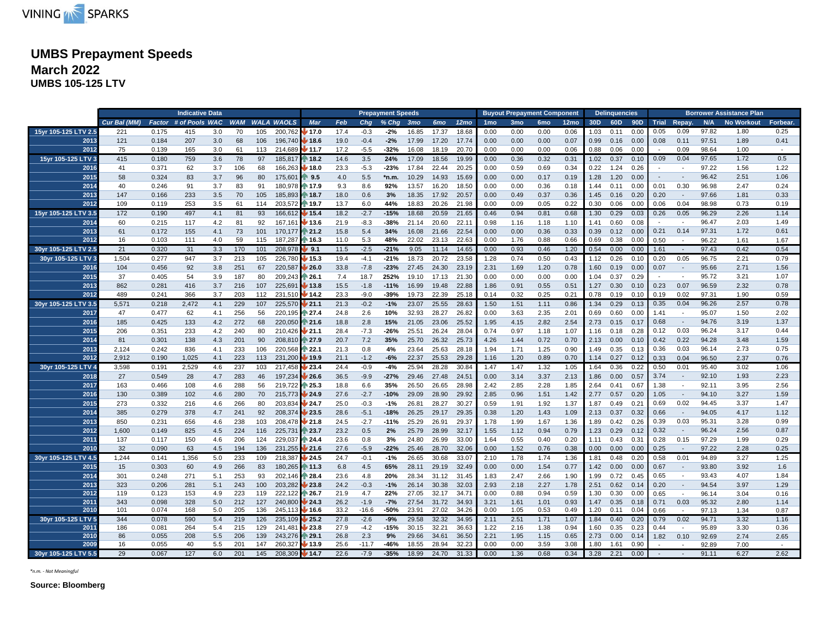

# **UMBS Prepayment Speeds March 2022**

**UMBS 105-125 LTV**

|                      |              |       | <b>Indicative Data</b> |     |            |     |                   |                            |      |         | <b>Prepayment Speeds</b> |                 |                 |                  |                 | <b>Buyout Prepayment Component</b> |                 |                  |                 | <b>Delinquencies</b> |              |                  |                          |       | <b>Borrower Assistance Plan</b> |          |
|----------------------|--------------|-------|------------------------|-----|------------|-----|-------------------|----------------------------|------|---------|--------------------------|-----------------|-----------------|------------------|-----------------|------------------------------------|-----------------|------------------|-----------------|----------------------|--------------|------------------|--------------------------|-------|---------------------------------|----------|
|                      | Cur Bal (MM) |       | Factor # of Pools WAC  |     | <b>WAM</b> |     | <b>WALA WAOLS</b> | <b>Mar</b>                 | Feb  | Cha     | $%$ Chg                  | 3 <sub>mo</sub> | 6 <sub>mo</sub> | 12 <sub>mo</sub> | 1 <sub>mo</sub> | 3 <sub>mo</sub>                    | 6 <sub>mo</sub> | 12 <sub>mo</sub> | 30 <sub>D</sub> | 60 <sub>D</sub>      |              | 90D Trial Repay. |                          | N/A   | <b>No Workout</b>               | Forbear. |
| 15yr 105-125 LTV 2.5 | 221          | 0.175 | 415                    | 3.0 | 70         | 105 | 200.762           | 17.0                       | 17.4 | $-0.3$  | $-2%$                    | 16.85           | 17.37           | 18.68            | 0.00            | 0.00                               | 0.00            | 0.06             | 1.03            | 0.11                 | 0.00         | 0.05             | 0.09                     | 97.82 | 1.80                            | 0.25     |
| 2013                 | 121          | 0.184 | 207                    | 3.0 | 68         | 106 | 196,740           | 18.6                       | 19.0 | $-0.4$  | $-2%$                    | 17.99           | 17.20           | 17.74            | 0.00            | 0.00                               | 0.00            | 0.07             | 0.99            | 0.16                 | 0.00         | 0.08             | 0.11                     | 97.51 | 1.89                            | 0.41     |
| 2012                 | 75           | 0.139 | 165                    | 3.0 | 61         | 113 | 214,689           | $\blacksquare$ 11.7        | 17.2 | $-5.5$  | $-32%$                   | 16.08           | 18.19           | 20.70            | 0.00            | 0.00                               | 0.00            | 0.06             | 0.88            | 0.06                 | 0.00         |                  | 0.09                     | 98.64 | 1.00                            | $\sim$   |
| 15yr 105-125 LTV 3   | 415          | 0.180 | 759                    | 3.6 | 78         | 97  | 185,817           | 18.2                       | 14.6 | 3.5     | 24%                      | 17.09           | 18.56           | 19.99            | 0.00            | 0.36                               | 0.32            | 0.31             | 1.02            | 0.37                 | 0.10         | 0.09             | 0.04                     | 97.65 | 1.72                            | 0.5      |
| 2016                 | 41           | 0.371 | 62                     | 3.7 | 106        | 68  | 166,263           | $\blacktriangleright$ 18.0 | 23.3 | $-5.3$  | $-23%$                   | 17.84           | 22.44           | 20.25            | 0.00            | 0.59                               | 0.69            | 0.34             | 0.22            | 1.24                 | 0.26         |                  |                          | 97.22 | 1.56                            | 1.22     |
| 2015                 | 58           | 0.324 | 83                     | 3.7 | 96         | 80  | 175,601           | $\triangleright$ 9.5       | 4.0  | 5.5     | *n.m.                    | 10.29           | 14.93           | 15.69            | 0.00            | 0.00                               | 0.17            | 0.19             | 1.28            | 1.20                 | 0.00         | $\blacksquare$   |                          | 96.42 | 2.51                            | 1.06     |
| 2014                 | 40           | 0.246 | 91                     | 3.7 | 83         | 91  | 180,978           | 17.9                       | 9.3  | 8.6     | 92%                      | 13.57           | 16.20           | 18.50            | 0.00            | 0.00                               | 0.36            | 0.18             | 1.44            | 0.11                 | 0.00         | 0.01             | 0.30                     | 96.98 | 2.47                            | 0.24     |
| 2013                 | 147          | 0.166 | 233                    | 3.5 | 70         | 105 | 185,893           | N 18.7                     | 18.0 | 0.6     | 3%                       | 18.35           | 17.92           | 20.57            | 0.00            | 0.49                               | 0.37            | 0.36             | 1.45            | 0.16                 | 0.20         | 0.20             | $\sim$                   | 97.66 | 1.81                            | 0.33     |
| 2012                 | 109          | 0.119 | 253                    | 3.5 | 61         | 114 | 203.572           | ਿ 19.7                     | 13.7 | 6.0     | 44%                      | 18.83           | 20.26           | 21.98            | 0.00            | 0.09                               | 0.05            | 0.22             | 0.30            | 0.06                 | 0.00         | 0.06             | 0.04                     | 98.98 | 0.73                            | 0.19     |
| 15yr 105-125 LTV 3.5 | 172          | 0.190 | 497                    | 4.1 | 81         | 93  | 166,612           | 15.4                       | 18.2 | $-2.7$  | $-15%$                   | 18.68           | 20.59           | 21.65            | 0.46            | 0.94                               | 0.81            | 0.68             | 1.30            | 0.29                 | 0.03         | 0.26             | 0.05                     | 96.29 | 2.26                            | 1.14     |
| 2014                 | 60           | 0.215 | 117                    | 4.2 | 81         | 92  | 167,161           | 13.6                       | 21.9 | $-8.3$  | $-38%$                   | 21.14           | 20.60           | 22.11            | 0.98            | 1.16                               | 1.18            | 1.10             | 1.41            | 0.60                 | 0.08         |                  |                          | 96.47 | 2.03                            | 1.49     |
| 2013                 | 61           | 0.172 | 155                    | 4.1 | 73         | 101 | 170,177           | 1 21.2                     | 15.8 | 5.4     | 34%                      | 16.08           | 21.66           | 22.54            | 0.00            | 0.00                               | 0.36            | 0.33             | 0.39            | 0.12                 | 0.00         | 0.21             | 0.14                     | 97.31 | 1.72                            | 0.61     |
| 2012                 | 16           | 0.103 | 111                    | 4.0 | 59         | 115 | 187.287           | $\binom{16.3}{16.3}$       | 11.0 | 5.3     | 48%                      | 22.02           | 23.13           | 22.63            | 0.00            | 1.76                               | 0.88            | 0.66             | 0.69            | 0.38                 | 0.00         | 0.50             |                          | 96.22 | 1.61                            | 1.67     |
| 30yr 105-125 LTV 2.5 | 21           | 0.320 | 31                     | 3.3 | 170        | 101 | 208,978           | $\blacktriangleright$ 9.1  | 11.5 | $-2.5$  | $-21%$                   | 9.05            | 11.14           | 14.65            | 0.00            | 0.93                               | 0.46            | 1.20             | 0.54            | 0.00                 | 0.00         | 1.61             |                          | 97.43 | 0.42                            | 0.54     |
| 30yr 105-125 LTV 3   | 1,504        | 0.277 | 947                    | 3.7 | 213        | 105 | 226,780           | 15.3                       | 19.4 | $-4.1$  | $-21%$                   | 18.73           | 20.72           | 23.58            | 1.28            | 0.74                               | 0.50            | 0.43             | 1.12            | 0.26                 | 0.10         | 0.20             | 0.05                     | 96.75 | 2.21                            | 0.79     |
| 2016                 | 104          | 0.456 | 92                     | 3.8 | 251        | 67  | 220,587           | 26.0                       | 33.8 | $-7.8$  | $-23%$                   | 27.45           | 24.30           | 23.19            | 2.31            | 1.69                               | 1.20            | 0.78             | 1.60            | 0.19                 | 0.00         | 0.07             | $\sim$                   | 95.66 | 2.71                            | 1.56     |
| 2015                 | 37           | 0.405 | 54                     | 3.9 | 187        | 80  | 209,243           | $\approx 26.1$             | 7.4  | 18.7    | 252%                     | 19.10           | 17.13           | 21.30            | 0.00            | 0.00                               | 0.00            | 0.00             | 1.04            | 0.37                 | 0.29         |                  | $\overline{\phantom{a}}$ | 95.72 | 3.21                            | 1.07     |
| 2013                 | 862          | 0.281 | 416                    | 3.7 | 216        | 107 | 225,691           | 13.8                       | 15.5 | $-1.8$  | $-11%$                   | 16.99           | 19.48           | 22.88            | 1.86            | 0.91                               | 0.55            | 0.51             | 1.27            | 0.30                 | 0.10         | 0.23             | 0.07                     | 96.59 | 2.32                            | 0.78     |
| 2012                 | 489          | 0.241 | 366                    | 3.7 | 203        | 112 | 231,510           | 14.2                       | 23.3 | $-9.0$  | $-39%$                   | 19.73           | 22.39           | 25.18            | 0.14            | 0.32                               | 0.25            | 0.21             | 0.78            | 0.19                 | 0.10         | 0.19             | 0.02                     | 97.31 | 1.90                            | 0.59     |
| 30yr 105-125 LTV 3.5 | 5,571        | 0.218 | 2,472                  | 4.1 | 229        | 107 | 225,570           | $\frac{1}{21.1}$           | 21.3 | $-0.2$  | $-1%$                    | 23.07           | 25.55           | 28.63            | 1.50            | 1.51                               | 1.11            | 0.86             | 1.34            | 0.29                 | 0.13         | 0.35             | 0.04                     | 96.26 | 2.57                            | 0.78     |
| 2017                 | 47           | 0.477 | 62                     | 4.1 | 256        | 56  | 220,195           | $\triangleright$ 27.4      | 24.8 | 2.6     | 10%                      | 32.93           | 28.27           | 26.82            | 0.00            | 3.63                               | 2.35            | 2.01             | 0.69            | 0.60                 | 0.00         | 1.41             |                          | 95.07 | 1.50                            | 2.02     |
| 2016                 | 185          | 0.425 | 133                    | 4.2 | 272        | 68  | 220,050           | $\binom{1}{21.6}$          | 18.8 | 2.8     | 15%                      | 21.05           | 23.06           | 25.52            | 1.95            | 4.15                               | 2.82            | 2.54             | 2.73            | 0.15                 | 0.17         | 0.68             | $\overline{\phantom{a}}$ | 94.76 | 3.19                            | 1.37     |
| 2015                 | 206          | 0.351 | 233                    | 4.2 | 240        | 80  | 210,426           | $\frac{1}{21.1}$           | 28.4 | $-7.3$  | $-26%$                   | 25.51           | 26.24           | 28.04            | 0.74            | 0.97                               | 1.18            | 1.07             | 1.16            | 0.18                 | 0.28         | 0.12             | 0.03                     | 96.24 | 3.17                            | 0.44     |
| 2014                 | 81           | 0.301 | 138                    | 4.3 | 201        | 90  | 208,810           | ↑ 27.9                     | 20.7 | 7.2     | 35%                      | 25.70           | 26.32           | 25.73            | 4.26            | 1.44                               | 0.72            | 0.70             | 2.13            | 0.00                 | 0.10         | 0.42             | 0.22                     | 94.28 | 3.48                            | 1.59     |
| 2013                 | 2.124        | 0.242 | 836                    | 4.1 | 233        | 106 | 220,568           | $\triangleright$ 22.1      | 21.3 | 0.8     | 4%                       | 23.64           | 25.63           | 28.18            | 1.94            | 1.71                               | 1.25            | 0.90             | 1.49            | 0.35                 | 0.13         | 0.36             | 0.03                     | 96.14 | 2.73                            | 0.75     |
| 2012                 | 2,912        | 0.190 | 1,025                  | 4.1 | 223        | 113 | 231,200           | 19.9                       | 21.1 | $-1.2$  | $-6%$                    | 22.37           | 25.53           | 29.28            | 1.16            | 1.20                               | 0.89            | 0.70             | 1.14            | 0.27                 | 0.12         | 0.33             | 0.04                     | 96.50 | 2.37                            | 0.76     |
| 30yr 105-125 LTV 4   | 3,598        | 0.191 | 2,529                  | 4.6 | 237        | 103 | 217.458           | 123.4                      | 24.4 | $-0.9$  | $-4%$                    | 25.94           | 28.28           | 30.84            | 1.47            | 1.47                               | 1.32            | 1.05             | 1.64            | 0.36                 | 0.22         | 0.50             | 0.01                     | 95.40 | 3.02                            | 1.06     |
| 2018                 | 27           | 0.549 | 28                     | 4.7 | 283        | 46  | 197,234           | 26.6                       | 36.5 | $-9.9$  | $-27%$                   | 29.46           | 27.48           | 24.51            | 0.00            | 3.14                               | 3.37            | 2.13             | 1.86            | 0.00                 | 0.57         | 3.74             |                          | 92.10 | 1.93                            | 2.23     |
| 2017                 | 163          | 0.466 | 108                    | 4.6 | 288        | 56  | 219,722           | $\triangleright$ 25.3      | 18.8 | 6.6     | 35%                      | 26.50           | 26.65           | 28.98            | 2.42            | 2.85                               | 2.28            | 1.85             | 2.64            | 0.41                 | 0.67         | 1.38             | $\overline{\phantom{a}}$ | 92.11 | 3.95                            | 2.56     |
| 2016                 | 130          | 0.389 | 102                    | 4.6 | 280        | 70  | 215,773           | 24.9                       | 27.6 | $-2.7$  | $-10%$                   | 29.09           | 28.90           | 29.92            | 2.85            | 0.96                               | 1.51            | 1.42             | 2.77            | 0.57                 | 0.20         | 1.05             | $\sim$                   | 94.10 | 3.27                            | 1.59     |
| 2015                 | 273          | 0.332 | 216                    | 4.6 | 266        | 80  | 203,834           | 24.7                       | 25.0 | $-0.3$  | $-1%$                    | 26.81           | 28.27           | 30.27            | 0.59            | 1.91                               | 1.92            | 1.37             | 1.87            | 0.49                 | 0.21         | 0.69             | 0.02                     | 94.45 | 3.37                            | 1.47     |
| 2014                 | 385          | 0.279 | 378                    | 4.7 | 241        | 92  | 208,374           | 23.5                       | 28.6 | $-5.1$  | $-18%$                   | 26.25           | 29.17           | 29.35            | 0.38            | 1.20                               | 1.43            | 1.09             | 2.13            | 0.37                 | 0.32         | 0.66             | $\sim$                   | 94.05 | 4.17                            | 1.12     |
| 2013                 | 850          | 0.231 | 656                    | 4.6 | 238        | 103 | 208,478           | 121.8                      | 24.5 | $-2.7$  | $-11%$                   | 25.29           | 26.91           | 29.37            | 1.78            | 1.99                               | 1.67            | 1.36             | 1.89            | 0.42                 | 0.26         | 0.39             | 0.03                     | 95.31 | 3.28                            | 0.99     |
| 2012                 | 1,600        | 0.149 | 825                    | 4.5 | 224        | 116 | 225,731           | $\approx 23.7$             | 23.2 | 0.5     | 2%                       | 25.79           | 28.99           | 32.17            | 1.55            | 1.12                               | 0.94            | 0.79             | 1.23            | $0.29$ 0.12          |              | 0.32             | $\sim$                   | 96.24 | 2.56                            | 0.87     |
| 2011                 | 137          | 0.117 | 150                    | 4.6 | 206        | 124 | 229,037           | $^{\circ}$ 24.4            | 23.6 | 0.8     | 3%                       | 24.80           | 26.99           | 33.00            | 1.64            | 0.55                               | 0.40            | 0.20             |                 | 0.43                 |              | 0.28             | 0.15                     | 97.29 | 1.99                            | 0.29     |
| 2010                 | 32           | 0.090 | 63                     | 4.5 | 194        | 136 | 231,255           | 21.6                       | 27.6 | $-5.9$  | $-22%$                   | 25.46           | 28.70           | 32.06            | 0.00            | 1.52                               | 0.76            | 0.38             | 1.11<br>0.00    | 0.00                 | 0.31<br>0.00 | 0.25             |                          | 97.22 | 2.28                            | 0.25     |
| 30yr 105-125 LTV 4.5 | 1,244        | 0.141 | 1,356                  | 5.0 | 233        | 109 | 218,387           | 24.5                       | 24.7 | $-0.1$  | $-1%$                    | 26.65           | 30.68           | 33.07            | 2.10            | 1.78                               | 1.74            | 1.36             | 1.81            | 0.48                 | 0.20         | 0.58             | 0.01                     | 94.89 | 3.27                            | 1.25     |
| 2015                 | 15           | 0.303 | 60                     | 4.9 | 266        | 83  | 180,265           | N 11.3                     | 6.8  | 4.5     | 65%                      | 28.11           | 29.19           | 32.49            | 0.00            | 0.00                               | 1.54            | 0.77             | 1.42            | 0.00                 | 0.00         | 0.67             | $\sim$                   | 93.80 | 3.92                            | 1.6      |
| 2014                 | 301          | 0.248 | 271                    | 5.1 | 253        | 93  | 202,146           | $\approx 28.4$             | 23.6 | 4.8     | 20%                      | 28.34           | 31.12           | 31.45            | 1.83            | 2.47                               | 2.66            | 1.90             | 1.99            | 0.72                 |              | 0.65             | $\overline{\phantom{a}}$ | 93.43 | 4.07                            | 1.84     |
| 2013                 | 323          | 0.206 | 281                    | 5.1 | 243        | 100 | 203.282           | 23.8                       | 24.2 | $-0.3$  | $-1%$                    | 26.14           | 30.38           | 32.03            | 2.93            | 2.18                               | 2.27            | 1.78             | 2.51            | 0.62                 | 0.45<br>0.14 | 0.20             | $\sim$                   | 94.54 | 3.97                            | 1.29     |
| 2012                 | 119          | 0.123 | 153                    | 4.9 | 223        | 119 | 222,122           | .26.7                      | 21.9 | 4.7     | 22%                      | 27.05           | 32.17           | 34.71            | 0.00            | 0.88                               | 0.94            | 0.59             | 1.30            | 0.30                 | 0.00         | 0.65             | $\overline{\phantom{a}}$ | 96.14 | 3.04                            | 0.16     |
| 2011                 | 343          | 0.098 | 328                    | 5.0 | 212        | 127 | 240,800           | 24.3                       | 26.2 | $-1.9$  | $-7%$                    | 27.54           | 31.72           | 34.93            | 3.21            | 1.61                               | 1.01            | 0.93             | 1.47            | 0.35                 | 0.18         | 0.71             | 0.03                     | 95.32 | 2.80                            | 1.14     |
| 2010                 | 101          | 0.074 | 168                    | 5.0 | 205        | 136 | 245,11            | / 16.6                     | 33.2 | $-16.6$ | -50%                     | 23.91           | 27.02           | 34.26            | 0.00            | 1.05                               | 0.53            | 0.49             | 1.20            | 0.11                 | 0.04         | 0.66             |                          | 97.13 | 1.34                            | 0.87     |
| 30yr 105-125 LTV 5   | 344          | 0.078 | 590                    | 5.4 | 219        | 126 | 235.109           | 25.2                       | 27.8 | $-2.6$  | $-9%$                    | 29.58           | 32.32           | 34.95            | 2.11            | 2.51                               | 1.71            | 1.07             | 1.84            | 0.40                 | 0.20         | 0.79             | 0.02                     | 94.71 | 3.32                            | 1.16     |
| 2011                 | 186          | 0.081 | 264                    | 5.4 | 215        | 129 | 241.481           | 23.8                       | 27.9 | $-4.2$  | $-15%$                   | 30.15           | 32.21           | 36.63            | 1.22            | 2.16                               | 1.38            | 0.94             | 1.60            | 0.35                 | 0.23         | 0.44             |                          | 95.89 | 3.30                            | 0.36     |
| 2010                 | 86           | 0.055 | 208                    | 5.5 | 206        | 139 | 243,276           | N 29.1                     | 26.8 | 2.3     | 9%                       | 29.66           | 34.61           | 36.50            | 2.21            | 1.95                               | 1.15            | 0.65             | 2.73            | 0.00                 | 0.14         | 1.82             | 0.10                     | 92.69 | 2.74                            | 2.65     |
| 2009                 | 16           | 0.055 | 40                     | 5.5 | 201        | 147 | 260,327           | 13.9                       | 25.6 | $-11.7$ | -46%                     | 18.55           | 28.94           | 32.23            | 0.00            | 0.00                               | 3.59            | 3.08             | 1.80            | 1.61                 | 0.90         |                  |                          | 92.89 | 7.00                            | $\sim$   |
| 30yr 105-125 LTV 5.5 | 29           | 0.067 | 127                    | 6.0 | 201        | 145 | 208,309           | $\blacktriangleright$ 14.7 | 22.6 | $-7.9$  | $-35%$                   | 18.99           | 24.70           | 31.33            | 0.00            | 1.36                               | 0.68            | 0.34             | 3.28            | 2.21                 | 0.00         |                  |                          | 91.11 | 6.27                            | 2.62     |

*\*n.m. - Not Meaningful*

**Source: Bloomberg**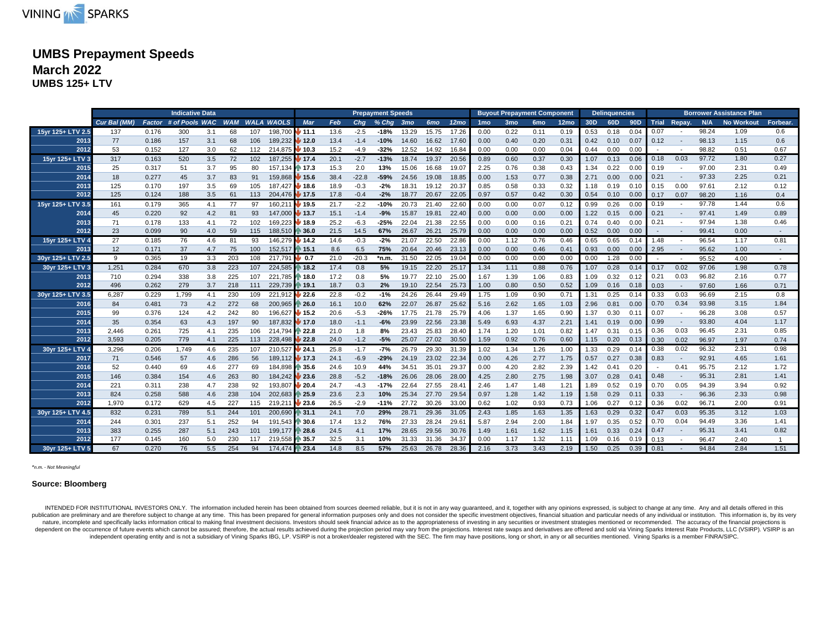

# **UMBS Prepayment Speeds March 2022**

**UMBS 125+ LTV**

|                   |              |               | <b>Indicative Data</b> |     |     |     |                       |                            |      |         | <b>Prepayment Speeds</b> |                 |                 |                  |                 |                 | <b>Buyout Prepayment Component</b> |                  |      | <b>Delinguencies</b> |      |        |                          |       | <b>Borrower Assistance Plan</b> |          |
|-------------------|--------------|---------------|------------------------|-----|-----|-----|-----------------------|----------------------------|------|---------|--------------------------|-----------------|-----------------|------------------|-----------------|-----------------|------------------------------------|------------------|------|----------------------|------|--------|--------------------------|-------|---------------------------------|----------|
|                   | Cur Bal (MM) | <b>Factor</b> | # of Pools WAC         |     |     |     | <b>WAM WALA WAOLS</b> | Mar                        | Feb  | Cha     | $%$ Chg                  | 3 <sub>mo</sub> | 6 <sub>mo</sub> | 12 <sub>mo</sub> | 1 <sub>mo</sub> | 3 <sub>mo</sub> | 6 <sub>mo</sub>                    | 12 <sub>mo</sub> | 30D  | 60D                  | 90D  |        | Trial Repay.             | N/A   | <b>No Workout</b>               | Forbear. |
| 15yr 125+ LTV 2.5 | 137          | 0.176         | 300                    | 3.1 | 68  | 107 | 198,700               | 11.1                       | 13.6 | $-2.5$  | $-18%$                   | 13.29           | 15.75           | 17.26            | 0.00            | 0.22            | 0.11                               | 0.19             | 0.53 | 0.18                 | 0.04 | 0.07   |                          | 98.24 | 1.09                            | 0.6      |
| 2013              | 77           | 0.186         | 157                    | 3.1 | 68  | 106 | 189,232 12.0          |                            | 13.4 | $-1.4$  | $-10%$                   | 14.60           | 16.62           | 17.60            | 0.00            | 0.40            | 0.20                               | 0.31             | 0.42 | 0.10                 | 0.07 | 0.12   | $\sim$                   | 98.13 | 1.15                            | 0.6      |
| 2012              | 53           | 0.152         | 127                    | 3.0 | 62  | 112 | 214.875 <b>10.3</b>   |                            | 15.2 | $-4.9$  | $-32%$                   | 12.52           | 14.92           | 16.84            | 0.00            | 0.00            | 0.00                               | 0.04             | 0.44 | 0.00                 | 0.00 |        |                          | 98.82 | 0.51                            | 0.67     |
| 15yr 125+ LTV 3   | 317          | 0.163         | 520                    | 3.5 | 72  | 102 | 187,255               | 17.4                       | 20.1 | $-2.7$  | $-13%$                   | 18.74           | 19.37           | 20.56            | 0.89            | 0.60            | 0.37                               | 0.30             | 1.07 | 0.13                 | 0.06 | 0.18   | 0.03                     | 97.72 | 1.80                            | 0.27     |
| 2015              | 25           | 0.317         | 51                     | 3.7 | 95  | 80  | 157,134 17.3          |                            | 15.3 | 2.0     | 13%                      | 15.06           | 16.68           | 19.07            | 2.25            | 0.76            | 0.38                               | 0.43             | 1.34 | 0.22                 | 0.00 | 0.19   | $\overline{\phantom{a}}$ | 97.00 | 2.31                            | 0.49     |
| 2014              | 18           | 0.277         | 45                     | 3.7 | 83  | 91  | 159,868 15.6          |                            | 38.4 | $-22.8$ | $-59%$                   | 24.56           | 19.08           | 18.85            | 0.00            | 1.53            | 0.77                               | 0.38             | 2.71 | 0.00                 | 0.00 | 0.21   | $\overline{\phantom{a}}$ | 97.33 | 2.25                            | 0.21     |
| 2013              | 125          | 0.170         | 197                    | 3.5 | 69  | 105 | 187.427               | 48.6                       | 18.9 | $-0.3$  | $-2%$                    | 18.31           | 19.12           | 20.37            | 0.85            | 0.58            | 0.33                               | 0.32             | 1.18 | 0.19                 | 0.10 | 0.15   | 0.00                     | 97.61 | 2.12                            | 0.12     |
| 2012              | 125          | 0.124         | 188                    | 3.5 | 61  | 113 | 204,476 17.5          |                            | 17.8 | $-0.4$  | $-2%$                    | 18.77           | 20.67           | 22.05            | 0.97            | 0.57            | 0.42                               | 0.30             | 0.54 | 0.10                 | 0.00 | 0.17   | 0.07                     | 98.20 | 1.16                            | 0.4      |
| 15yr 125+ LTV 3.5 | 161          | 0.179         | 365                    | 4.1 | 77  | 97  | 160,211               | 19.5                       | 21.7 | $-2.2$  | $-10%$                   | 20.73           | 21.40           | 22.60            | 0.00            | 0.00            | 0.07                               | 0.12             | 0.99 | 0.26                 | 0.00 | 0.19   | $\overline{\phantom{a}}$ | 97.78 | 1.44                            | 0.6      |
| 2014              | 45           | 0.220         | 92                     | 4.2 | 81  | 93  | 147,000 13.7          |                            | 15.1 | $-1.4$  | $-9%$                    | 15.87           | 19.81           | 22.40            | 0.00            | 0.00            | 0.00                               | 0.00             | 1.22 | 0.15                 | 0.00 | 0.21   | $\overline{\phantom{a}}$ | 97.41 | 1.49                            | 0.89     |
| 2013              | 71           | 0.178         | 133                    | 4.1 | 72  | 102 | 169,223               | $\sqrt{18.9}$              | 25.2 | $-6.3$  | $-25%$                   | 22.04           | 21.38           | 22.55            | 0.00            | 0.00            | 0.16                               | 0.21             | 0.74 | 0.40                 | 0.00 | 0.21   | $\overline{\phantom{a}}$ | 97.94 | 1.38                            | 0.46     |
| 2012              | 23           | 0.099         | 90                     | 4.0 | 59  | 115 | 188,510 36.0          |                            | 21.5 | 14.5    | 67%                      | 26.67           | 26.21           | 25.79            | 0.00            | 0.00            | 0.00                               | 0.00             | 0.52 | 0.00                 | 0.00 |        |                          | 99.41 | 0.00                            |          |
| 15yr 125+ LTV 4   | 27           | 0.185         | 76                     | 4.6 | 81  | 93  | 146,279               | 14.2                       | 14.6 | $-0.3$  | $-2%$                    | 21.07           | 22.50           | 22.86            | 0.00            | 1.12            | 0.76                               | 0.46             | 0.65 | 0.65                 | 0.14 | 1.48   | $\overline{\phantom{a}}$ | 96.54 | 1.17                            | 0.81     |
| 2013              | 12           | 0.171         | 37                     | 4.7 | 75  | 100 | 152,517               | ₩ 15.1                     | 8.6  | 6.5     | 75%                      | 20.64           | 20.46           | 23.13            | 0.00            | 0.00            | 0.46                               | 0.41             | 0.93 | 0.00                 | 0.00 | 2.95   |                          | 95.62 | 1.00                            |          |
| 30yr 125+ LTV 2.5 | 9            | 0.365         | 19                     | 3.3 | 203 | 108 | 217,791               | $\mathbf{v}$ 0.7           | 21.0 | $-20.3$ | $*n.m$ .                 | 31.50           | 22.05           | 19.04            | 0.00            | 0.00            | 0.00                               | 0.00             | 0.00 | 1.28                 | 0.00 | $\sim$ | $\overline{\phantom{a}}$ | 95.52 | 4.00                            | $\sim$   |
| 30yr 125+ LTV 3   | 1,251        | 0.284         | 670                    | 3.8 | 223 | 107 | 224.585               | ↑ 18.2                     | 17.4 | 0.8     | 5%                       | 19.15           | 22.20           | 25.17            | 1.34            | 1.11            | 0.88                               | 0.76             | 1.07 | 0.28                 | 0.14 | 0.17   | 0.02                     | 97.06 | 1.98                            | 0.78     |
| 2013              | 710          | 0.294         | 338                    | 3.8 | 225 | 107 | 221,785 18.0          |                            | 17.2 | 0.8     | 5%                       | 19.77           | 22.10           | 25.00            | 1.67            | 1.39            | 1.06                               | 0.83             | 1.09 | 0.32                 | 0.12 | 0.21   | 0.03                     | 96.82 | 2.16                            | 0.77     |
| 2012              | 496          | 0.262         | 279                    | 3.7 | 218 | 111 | 229,739               | <b>19.1</b>                | 18.7 | 0.3     | 2%                       | 19.10           | 22.54           | 25.73            | 1.00            | 0.80            | 0.50                               | 0.52             | 1.09 | 0.16                 | 0.18 | 0.03   | $\sim$                   | 97.60 | 1.66                            | 0.71     |
| 30yr 125+ LTV 3.5 | 6,287        | 0.229         | 1,799                  | 4.1 | 230 | 109 | 221,91                | 122.6                      | 22.8 | $-0.2$  | $-1%$                    | 24.26           | 26.44           | 29.49            | 1.75            | 1.09            | 0.90                               | 0.71             | 1.31 | 0.25                 | 0.14 | 0.33   | 0.03                     | 96.69 | 2.15                            | 0.8      |
| 2016              | 84           | 0.481         | 73                     | 4.2 | 272 | 68  | 200,965               | ↑ 26.0                     | 16.1 | 10.0    | 62%                      | 22.07           | 26.87           | 25.62            | 5.16            | 2.62            | 1.65                               | 1.03             | 2.96 | 0.81                 | 0.00 | 0.70   | 0.34                     | 93.98 | 3.15                            | 1.84     |
| 2015              | 99           | 0.376         | 124                    | 4.2 | 242 | 80  | 196,627               | $\blacktriangleright$ 15.2 | 20.6 | $-5.3$  | $-26%$                   | 17.75           | 21.78           | 25.79            | 4.06            | 1.37            | 1.65                               | 0.90             | 1.37 | 0.30                 | 0.11 | 0.07   |                          | 96.28 | 3.08                            | 0.57     |
| 2014              | 35           | 0.354         | 63                     | 4.3 | 197 | 90  | 187,832               | $\bigcup$ 17.0             | 18.0 | $-1.1$  | $-6%$                    | 23.99           | 22.56           | 23.38            | 5.49            | 6.93            | 4.37                               | 2.21             | 1.41 | 0.19                 | 0.00 | 0.99   |                          | 93.80 | 4.04                            | 1.17     |
| 2013              | 2,446        | 0.261         | 725                    | 4.1 | 235 | 106 | 214,794               | ↑ 22.8                     | 21.0 | 1.8     | 8%                       | 23.43           | 25.83           | 28.40            | 1.74            | 1.20            | 1.01                               | 0.82             | 1.47 | 0.31                 | 0.15 | 0.36   | 0.03                     | 96.45 | 2.31                            | 0.85     |
| 2012              | 3,593        | 0.205         | 779                    | 4.1 | 225 | 113 | 228,498               | $\blacktriangleright$ 22.8 | 24.0 | $-1.2$  | $-5%$                    | 25.07           | 27.02           | 30.50            | 1.59            | 0.92            | 0.76                               | 0.60             | 1.15 | 0.20                 | 0.13 | 0.30   | 0.02                     | 96.97 | 1.97                            | 0.74     |
| 30yr 125+ LTV 4   | 3,296        | 0.206         | 1,749                  | 4.6 | 235 | 107 | 210,527               | 124.1                      | 25.8 | $-1.7$  | $-7%$                    | 26.79           | 29.30           | 31.39            | 1.02            | 1.34            | 1.26                               | 1.00             | 1.33 | 0.29                 | 0.14 | 0.38   | 0.02                     | 96.32 | 2.31                            | 0.98     |
| 2017              | 71           | 0.546         | 57                     | 4.6 | 286 | 56  | 189,112 17.3          |                            | 24.1 | $-6.9$  | $-29%$                   | 24.19           | 23.02           | 22.34            | 0.00            | 4.26            | 2.77                               | 1.75             | 0.57 | 0.27                 | 0.38 | 0.83   | $\overline{\phantom{a}}$ | 92.91 | 4.65                            | 1.61     |
| 2016              | 52           | 0.440         | 69                     | 4.6 | 277 | 69  | 184,898 35.6          |                            | 24.6 | 10.9    | 44%                      | 34.51           | 35.01           | 29.37            | 0.00            | 4.20            | 2.82                               | 2.39             | 1.42 | 0.41                 | 0.20 |        | 0.41                     | 95.75 | 2.12                            | 1.72     |
| 2015              | 146          | 0.384         | 154                    | 4.6 | 263 | 80  | 184,242               | 123.6                      | 28.8 | $-5.2$  | $-18%$                   | 26.06           | 28.06           | 28.00            | 4.25            | 2.80            | 2.75                               | 1.98             | 3.07 | 0.28                 | 0.41 | 0.48   | $\overline{\phantom{a}}$ | 95.31 | 2.81                            | 1.41     |
| 2014              | 221          | 0.311         | 238                    | 4.7 | 238 | 92  | 193,807               | $\blacktriangleright$ 20.4 | 24.7 | $-4.3$  | $-17%$                   | 22.64           | 27.55           | 28.4'            | 2.46            | 1.47            | 1.48                               | 1.21             | 1.89 | 0.52                 | 0.19 | 0.70   | 0.05                     | 94.39 | 3.94                            | 0.92     |
| 2013              | 824          | 0.258         | 588                    | 4.6 | 238 | 104 | 202,683               | $\binom{1}{2}$ 25.9        | 23.6 | 2.3     | 10%                      | 25.34           | 27.70           | 29.54            | 0.97            | 1.28            | 1.42                               | 1.19             | 1.58 | 0.29                 | 0.11 | 0.33   | $\overline{\phantom{a}}$ | 96.36 | 2.33                            | 0.98     |
| 2012              | 1,970        | 0.172         | 629                    | 4.5 | 227 | 115 | 219,211               | 123.6                      | 26.5 | $-2.9$  | $-11%$                   | 27.72           | 30.26           | 33.00            | 0.62            | 1.02            | 0.93                               | 0.73             | 1.06 | 0.27                 | 0.12 | 0.36   | 0.02                     | 96.71 | 2.00                            | 0.91     |
| 30yr 125+ LTV 4.5 | 832          | 0.231         | 789                    | 5.1 | 244 | 101 | 200,690               | $\sqrt{31.1}$              | 24.1 | 7.0     | 29%                      | 28.71           | 29.36           | 31.05            | 2.43            | 1.85            | 1.63                               | 1.35             | 1.63 | 0.29                 | 0.32 | 0.47   | 0.03                     | 95.35 | 3.12                            | 1.03     |
| 2014              | 244          | 0.301         | 237                    | 5.1 | 252 | 94  | 191,543               | <b>1</b> 30.6              | 17.4 | 13.2    | 76%                      | 27.33           | 28.24           | 29.61            | 5.87            | 2.94            | 2.00                               | 1.84             | 1.97 | 0.35                 | 0.52 | 0.70   | 0.04                     | 94.49 | 3.36                            | 1.41     |
| 2013              | 383          | 0.255         | 287                    | 5.1 | 243 | 101 | 199,177               | 128.6                      | 24.5 | 4.1     | 17%                      | 28.65           | 29.56           | 30.76            | 1.49            | 1.61            | 1.62                               | 1.15             | 1.61 | 0.33                 | 0.24 | 0.47   |                          | 95.31 | 3.41                            | 0.82     |
| 2012              | 177          | 0.145         | 160                    | 5.0 | 230 | 117 | 219,558               | ↑ 35.7                     | 32.5 | 3.1     | 10%                      | 31.33           | 31.36           | 34.37            | 0.00            | 1.17            | 1.32                               | 1.11             | 1.09 | 0.16                 | 0.19 | 0.13   |                          | 96.47 | 2.40                            |          |
| 30yr 125+ LTV 5   | 67           | 0.270         | 76                     | 5.5 | 254 | 94  | 174.474 23.4          |                            | 14.8 | 8.5     | 57%                      | 25.63           | 26.78           | 28.36            | 2.16            | 3.73            | 3.43                               | 2.19             | 1.50 | 0.25                 | 0.39 | 0.81   |                          | 94.84 | 2.84                            | 1.51     |

*\*n.m. - Not Meaningful*

#### **Source: Bloomberg**

INTENDED FOR INSTITUTIONAL INVESTORS ONLY. The information included herein has been obtained from sources deemed reliable, but it is not in any way guaranteed, and it, together with any opinions expressed, is subject to ch publication are preliminary and are therefore subject to change at any time. This has been prepared for general information purposes only and does not consider the specific investment objectives, financial situation and pa nature, incomplete and specifically lacks information critical to making final investment decisions. Investors should seek financial advice as to the appropriateness of investing in any securities or investment strategies dependent on the occurrence of future events which cannot be assured; therefore, the actual results achieved during the projection period may vary from the projections. Interest rate swaps and derivatives are offered and s independent operating entity and is not a subsidiary of Vining Sparks IBG, LP. VSIRP is not a broker/dealer registered with the SEC. The firm may have positions, long or short, in any or all securities mentioned. Vining Sp